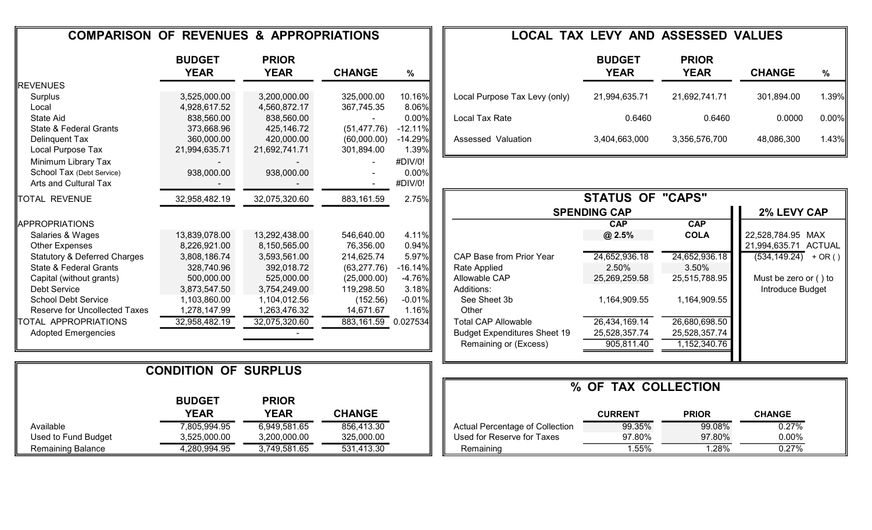| <b>COMPARISON OF REVENUES &amp; APPROPRIATIONS</b> |                              |                             |                     |           |                                     | <b>LOCAL TAX LEVY AND ASSESSED VALUES</b> |                             |                                    |       |
|----------------------------------------------------|------------------------------|-----------------------------|---------------------|-----------|-------------------------------------|-------------------------------------------|-----------------------------|------------------------------------|-------|
|                                                    | <b>BUDGET</b><br><b>YEAR</b> | <b>PRIOR</b><br><b>YEAR</b> | <b>CHANGE</b>       | $\%$      |                                     | <b>BUDGET</b><br><b>YEAR</b>              | <b>PRIOR</b><br><b>YEAR</b> | <b>CHANGE</b>                      | %     |
| REVENUES                                           |                              |                             |                     |           |                                     |                                           |                             |                                    |       |
| Surplus                                            | 3,525,000.00                 | 3,200,000.00                | 325,000.00          | 10.16%    | Local Purpose Tax Levy (only)       | 21,994,635.71                             | 21,692,741.71               | 301,894.00                         | 1.39% |
| Local                                              | 4,928,617.52                 | 4,560,872.17                | 367,745.35          | 8.06%     |                                     |                                           |                             |                                    |       |
| State Aid                                          | 838,560.00                   | 838,560.00                  |                     | 0.00%     | Local Tax Rate                      | 0.6460                                    | 0.6460                      | 0.0000                             | 0.00% |
| State & Federal Grants                             | 373,668.96                   | 425,146.72                  | (51, 477.76)        | $-12.11%$ |                                     |                                           |                             |                                    |       |
| Delinquent Tax                                     | 360,000.00                   | 420,000.00                  | (60,000.00)         | $-14.29%$ | Assessed Valuation                  | 3,404,663,000                             | 3,356,576,700               | 48,086,300                         | 1.43% |
| Local Purpose Tax                                  | 21,994,635.71                | 21,692,741.71               | 301,894.00          | 1.39%     |                                     |                                           |                             |                                    |       |
| Minimum Library Tax                                |                              |                             |                     | #DIV/0!   |                                     |                                           |                             |                                    |       |
| School Tax (Debt Service)                          | 938,000.00                   | 938,000.00                  |                     | 0.00%     |                                     |                                           |                             |                                    |       |
| Arts and Cultural Tax                              |                              |                             |                     | #DIV/0!   |                                     |                                           |                             |                                    |       |
| <b>TOTAL REVENUE</b>                               | 32,958,482.19                | 32,075,320.60               | 883,161.59          | 2.75%     |                                     | <b>STATUS OF "CAPS"</b>                   |                             |                                    |       |
|                                                    |                              |                             |                     |           |                                     | <b>SPENDING CAP</b>                       |                             | 2% LEVY CAP                        |       |
| <b>IAPPROPRIATIONS</b>                             |                              |                             |                     |           |                                     | <b>CAP</b>                                | CAP                         |                                    |       |
| Salaries & Wages                                   | 13,839,078.00                | 13,292,438.00               | 546,640.00          | 4.11%     |                                     | @ 2.5%                                    | <b>COLA</b>                 | 22,528,784.95 MAX                  |       |
| <b>Other Expenses</b>                              | 8,226,921.00                 | 8,150,565.00                | 76,356.00           | 0.94%     |                                     |                                           |                             | 21,994,635.71 ACTUAL               |       |
| <b>Statutory &amp; Deferred Charges</b>            | 3,808,186.74                 | 3,593,561.00                | 214,625.74          | 5.97%     | CAP Base from Prior Year            | 24,652,936.18                             | 24,652,936.18               | $\overline{(534, 149.24)}$ + OR () |       |
| State & Federal Grants                             | 328,740.96                   | 392,018.72                  | (63, 277.76)        | $-16.14%$ | Rate Applied                        | 2.50%                                     | 3.50%                       |                                    |       |
| Capital (without grants)                           | 500,000.00                   | 525,000.00                  | (25,000.00)         | $-4.76%$  | Allowable CAP                       | 25,269,259.58                             | 25,515,788.95               | Must be zero or () to              |       |
| Debt Service                                       | 3,873,547.50                 | 3,754,249.00                | 119,298.50          | 3.18%     | Additions:                          |                                           |                             | Introduce Budget                   |       |
| <b>School Debt Service</b>                         | 1,103,860.00                 | 1,104,012.56                | (152.56)            | $-0.01%$  | See Sheet 3b                        | 1,164,909.55                              | 1,164,909.55                |                                    |       |
| Reserve for Uncollected Taxes                      | 1,278,147.99                 | 1,263,476.32                | 14,671.67           | 1.16%     | Other                               |                                           |                             |                                    |       |
| TOTAL APPROPRIATIONS                               | 32,958,482.19                | 32,075,320.60               | 883,161.59 0.027534 |           | <b>Total CAP Allowable</b>          | 26,434,169.14                             | 26,680,698.50               |                                    |       |
| <b>Adopted Emergencies</b>                         |                              |                             |                     |           | <b>Budget Expenditures Sheet 19</b> | 25,528,357.74                             | 25,528,357.74               |                                    |       |
|                                                    |                              |                             |                     |           | Remaining or (Excess)               | 905,811.40                                | 1,152,340.76                |                                    |       |
|                                                    |                              |                             |                     |           |                                     |                                           |                             |                                    |       |
|                                                    | <b>CONDITION OF SURPLUS</b>  |                             |                     |           |                                     |                                           |                             |                                    |       |
|                                                    |                              |                             |                     |           |                                     | % OF TAX COLLECTION                       |                             |                                    |       |
|                                                    | <b>BUDGET</b>                | <b>PRIOR</b>                |                     |           |                                     |                                           |                             |                                    |       |
|                                                    | <b>YEAR</b>                  | <b>YEAR</b>                 | <b>CHANGE</b>       |           |                                     | <b>CURRENT</b>                            | <b>PRIOR</b>                | <b>CHANGE</b>                      |       |
| Available                                          | 7,805,994.95                 | 6,949,581.65                | 856,413.30          |           | Actual Percentage of Collection     | 99.35%                                    | 99.08%                      | 0.27%                              |       |
| Used to Fund Budget                                | 3,525,000.00                 | 3,200,000.00                | 325,000.00          |           | Used for Reserve for Taxes          | 97.80%                                    | 97.80%                      | 0.00%                              |       |
| Remaining Balance                                  | 4,280,994.95                 | 3,749,581.65                | 531,413.30          |           | Remaining                           | 1.55%                                     | 1.28%                       | 0.27%                              |       |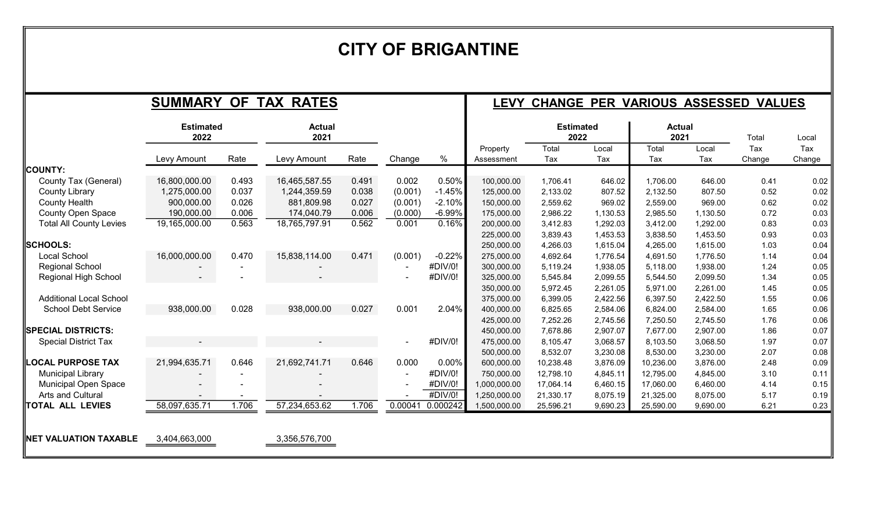# CITY OF BRIGANTINE

|                                |                          |       | <b>SUMMARY OF TAX RATES</b> |       |                |          |                        | LEVY CHANGE PER VARIOUS ASSESSED VALUES |              |                       |              |               |               |
|--------------------------------|--------------------------|-------|-----------------------------|-------|----------------|----------|------------------------|-----------------------------------------|--------------|-----------------------|--------------|---------------|---------------|
|                                | <b>Estimated</b><br>2022 |       | <b>Actual</b><br>2021       |       |                |          |                        | <b>Estimated</b><br>2022                |              | <b>Actual</b><br>2021 |              | Total         | Local         |
|                                | Levy Amount              | Rate  | Levy Amount                 | Rate  | Change         | %        | Property<br>Assessment | Total<br>Tax                            | Local<br>Tax | Total<br>Tax          | Local<br>Tax | Tax<br>Change | Tax<br>Change |
| COUNTY:                        |                          |       |                             |       |                |          |                        |                                         |              |                       |              |               |               |
| County Tax (General)           | 16,800,000.00            | 0.493 | 16,465,587.55               | 0.491 | 0.002          | 0.50%    | 100,000.00             | 1,706.41                                | 646.02       | 1,706.00              | 646.00       | 0.41          | 0.02          |
| County Library                 | 1,275,000.00             | 0.037 | 1,244,359.59                | 0.038 | (0.001)        | $-1.45%$ | 125,000.00             | 2,133.02                                | 807.52       | 2,132.50              | 807.50       | 0.52          | 0.02          |
| <b>County Health</b>           | 900,000.00               | 0.026 | 881,809.98                  | 0.027 | (0.001)        | $-2.10%$ | 150,000.00             | 2,559.62                                | 969.02       | 2,559.00              | 969.00       | 0.62          | 0.02          |
| <b>County Open Space</b>       | 190,000.00               | 0.006 | 174,040.79                  | 0.006 | (0.000)        | $-6.99%$ | 175,000.00             | 2,986.22                                | 1,130.53     | 2,985.50              | 1,130.50     | 0.72          | 0.03          |
| <b>Total All County Levies</b> | 19,165,000.00            | 0.563 | 18,765,797.91               | 0.562 | 0.001          | 0.16%    | 200,000.00             | 3,412.83                                | 1,292.03     | 3,412.00              | 1,292.00     | 0.83          | 0.03          |
|                                |                          |       |                             |       |                |          | 225,000.00             | 3,839.43                                | 1,453.53     | 3,838.50              | 1,453.50     | 0.93          | 0.03          |
| <b>SCHOOLS:</b>                |                          |       |                             |       |                |          | 250,000.00             | 4,266.03                                | 1,615.04     | 4,265.00              | 1,615.00     | 1.03          | 0.04          |
| <b>Local School</b>            | 16,000,000.00            | 0.470 | 15,838,114.00               | 0.471 | (0.001)        | $-0.22%$ | 275,000.00             | 4,692.64                                | 1,776.54     | 4,691.50              | 1,776.50     | 1.14          | 0.04          |
| <b>Regional School</b>         |                          |       |                             |       |                | #DIV/0!  | 300,000.00             | 5,119.24                                | 1,938.05     | 5,118.00              | 1,938.00     | 1.24          | 0.05          |
| Regional High School           |                          |       |                             |       |                | #DIV/0!  | 325,000.00             | 5,545.84                                | 2,099.55     | 5,544.50              | 2,099.50     | 1.34          | 0.05          |
|                                |                          |       |                             |       |                |          | 350.000.00             | 5,972.45                                | 2,261.05     | 5,971.00              | 2,261.00     | 1.45          | 0.05          |
| <b>Additional Local School</b> |                          |       |                             |       |                |          | 375,000.00             | 6,399.05                                | 2,422.56     | 6,397.50              | 2,422.50     | 1.55          | 0.06          |
| <b>School Debt Service</b>     | 938,000.00               | 0.028 | 938,000.00                  | 0.027 | 0.001          | 2.04%    | 400,000.00             | 6,825.65                                | 2,584.06     | 6,824.00              | 2,584.00     | 1.65          | 0.06          |
|                                |                          |       |                             |       |                |          | 425,000.00             | 7,252.26                                | 2,745.56     | 7,250.50              | 2,745.50     | 1.76          | 0.06          |
| SPECIAL DISTRICTS:             |                          |       |                             |       |                |          | 450,000.00             | 7,678.86                                | 2,907.07     | 7,677.00              | 2,907.00     | 1.86          | 0.07          |
| <b>Special District Tax</b>    |                          |       |                             |       | $\blacksquare$ | #DIV/0!  | 475,000.00             | 8,105.47                                | 3,068.57     | 8,103.50              | 3,068.50     | 1.97          | 0.07          |
|                                |                          |       |                             |       |                |          | 500,000.00             | 8,532.07                                | 3,230.08     | 8,530.00              | 3,230.00     | 2.07          | 0.08          |
| <b>LOCAL PURPOSE TAX</b>       | 21,994,635.71            | 0.646 | 21,692,741.71               | 0.646 | 0.000          | 0.00%    | 600,000.00             | 10,238.48                               | 3,876.09     | 10,236.00             | 3,876.00     | 2.48          | 0.09          |
| <b>Municipal Library</b>       |                          |       |                             |       |                | #DIV/0!  | 750,000.00             | 12,798.10                               | 4,845.11     | 12,795.00             | 4,845.00     | 3.10          | 0.11          |
| <b>Municipal Open Space</b>    |                          |       |                             |       |                | #DIV/0!  | 1,000,000.00           | 17,064.14                               | 6,460.15     | 17,060.00             | 6,460.00     | 4.14          | 0.15          |
| Arts and Cultural              |                          |       |                             |       |                | #DIV/0!  | 1,250,000.00           | 21,330.17                               | 8,075.19     | 21,325.00             | 8,075.00     | 5.17          | 0.19          |
| <b>TOTAL ALL LEVIES</b>        | 58,097,635.71            | 1.706 | 57,234,653.62               | 1.706 | 0.00041        | 0.000242 | 1,500,000.00           | 25,596.21                               | 9,690.23     | 25,590.00             | 9,690.00     | 6.21          | 0.23          |
|                                |                          |       |                             |       |                |          |                        |                                         |              |                       |              |               |               |
| NET VALUATION TAXABLE          | 3,404,663,000            |       | 3,356,576,700               |       |                |          |                        |                                         |              |                       |              |               |               |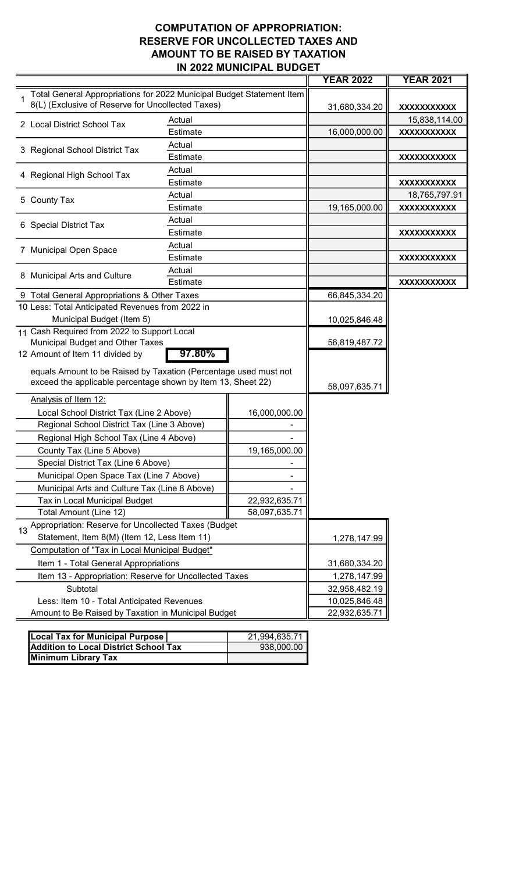#### COMPUTATION OF APPROPRIATION: RESERVE FOR UNCOLLECTED TAXES AND AMOUNT TO BE RAISED BY TAXATION IN 2022 MUNICIPAL BUDGET

| Total General Appropriations for 2022 Municipal Budget Statement Item<br>8(L) (Exclusive of Reserve for Uncollected Taxes)<br>31,680,334.20<br>XXXXXXXXXXX<br>Actual<br>15,838,114.00<br>2 Local District School Tax<br>Estimate<br>16,000,000.00<br>XXXXXXXXXXX<br>Actual<br>3 Regional School District Tax<br>Estimate<br>XXXXXXXXXXX<br>Actual<br>4 Regional High School Tax<br>Estimate<br>XXXXXXXXXXX<br>Actual<br>18,765,797.91<br>5 County Tax<br>Estimate<br>19,165,000.00<br>XXXXXXXXXXX<br>Actual<br>6 Special District Tax<br>Estimate<br>XXXXXXXXXXX<br>Actual<br>7 Municipal Open Space<br>Estimate<br>XXXXXXXXXXX<br>Actual<br>8 Municipal Arts and Culture<br>Estimate<br>XXXXXXXXXXX<br>9 Total General Appropriations & Other Taxes<br>66,845,334.20<br>10 Less: Total Anticipated Revenues from 2022 in<br>Municipal Budget (Item 5)<br>10,025,846.48<br>11 Cash Required from 2022 to Support Local<br>Municipal Budget and Other Taxes<br>56,819,487.72<br>97.80%<br>12 Amount of Item 11 divided by<br>equals Amount to be Raised by Taxation (Percentage used must not<br>exceed the applicable percentage shown by Item 13, Sheet 22)<br>58,097,635.71<br>Analysis of Item 12:<br>Local School District Tax (Line 2 Above)<br>16,000,000.00<br>Regional School District Tax (Line 3 Above)<br>Regional High School Tax (Line 4 Above)<br>County Tax (Line 5 Above)<br>19,165,000.00<br>Special District Tax (Line 6 Above)<br>Municipal Open Space Tax (Line 7 Above)<br>Municipal Arts and Culture Tax (Line 8 Above)<br>Tax in Local Municipal Budget<br>22,932,635.71<br>Total Amount (Line 12)<br>58,097,635.71<br>Appropriation: Reserve for Uncollected Taxes (Budget<br>Statement, Item 8(M) (Item 12, Less Item 11)<br>1,278,147.99<br>Computation of "Tax in Local Municipal Budget"<br>Item 1 - Total General Appropriations<br>31,680,334.20<br>Item 13 - Appropriation: Reserve for Uncollected Taxes<br>1,278,147.99<br>Subtotal<br>32,958,482.19<br>Less: Item 10 - Total Anticipated Revenues<br>10,025,846.48<br>Amount to Be Raised by Taxation in Municipal Budget<br>22,932,635.71 |  |  |  | <b>YEAR 2022</b> | <b>YEAR 2021</b> |
|------------------------------------------------------------------------------------------------------------------------------------------------------------------------------------------------------------------------------------------------------------------------------------------------------------------------------------------------------------------------------------------------------------------------------------------------------------------------------------------------------------------------------------------------------------------------------------------------------------------------------------------------------------------------------------------------------------------------------------------------------------------------------------------------------------------------------------------------------------------------------------------------------------------------------------------------------------------------------------------------------------------------------------------------------------------------------------------------------------------------------------------------------------------------------------------------------------------------------------------------------------------------------------------------------------------------------------------------------------------------------------------------------------------------------------------------------------------------------------------------------------------------------------------------------------------------------------------------------------------------------------------------------------------------------------------------------------------------------------------------------------------------------------------------------------------------------------------------------------------------------------------------------------------------------------------------------------------------------------------------------------------------------------------------------------------------------------------------------------------------------|--|--|--|------------------|------------------|
|                                                                                                                                                                                                                                                                                                                                                                                                                                                                                                                                                                                                                                                                                                                                                                                                                                                                                                                                                                                                                                                                                                                                                                                                                                                                                                                                                                                                                                                                                                                                                                                                                                                                                                                                                                                                                                                                                                                                                                                                                                                                                                                              |  |  |  |                  |                  |
|                                                                                                                                                                                                                                                                                                                                                                                                                                                                                                                                                                                                                                                                                                                                                                                                                                                                                                                                                                                                                                                                                                                                                                                                                                                                                                                                                                                                                                                                                                                                                                                                                                                                                                                                                                                                                                                                                                                                                                                                                                                                                                                              |  |  |  |                  |                  |
|                                                                                                                                                                                                                                                                                                                                                                                                                                                                                                                                                                                                                                                                                                                                                                                                                                                                                                                                                                                                                                                                                                                                                                                                                                                                                                                                                                                                                                                                                                                                                                                                                                                                                                                                                                                                                                                                                                                                                                                                                                                                                                                              |  |  |  |                  |                  |
|                                                                                                                                                                                                                                                                                                                                                                                                                                                                                                                                                                                                                                                                                                                                                                                                                                                                                                                                                                                                                                                                                                                                                                                                                                                                                                                                                                                                                                                                                                                                                                                                                                                                                                                                                                                                                                                                                                                                                                                                                                                                                                                              |  |  |  |                  |                  |
|                                                                                                                                                                                                                                                                                                                                                                                                                                                                                                                                                                                                                                                                                                                                                                                                                                                                                                                                                                                                                                                                                                                                                                                                                                                                                                                                                                                                                                                                                                                                                                                                                                                                                                                                                                                                                                                                                                                                                                                                                                                                                                                              |  |  |  |                  |                  |
|                                                                                                                                                                                                                                                                                                                                                                                                                                                                                                                                                                                                                                                                                                                                                                                                                                                                                                                                                                                                                                                                                                                                                                                                                                                                                                                                                                                                                                                                                                                                                                                                                                                                                                                                                                                                                                                                                                                                                                                                                                                                                                                              |  |  |  |                  |                  |
|                                                                                                                                                                                                                                                                                                                                                                                                                                                                                                                                                                                                                                                                                                                                                                                                                                                                                                                                                                                                                                                                                                                                                                                                                                                                                                                                                                                                                                                                                                                                                                                                                                                                                                                                                                                                                                                                                                                                                                                                                                                                                                                              |  |  |  |                  |                  |
|                                                                                                                                                                                                                                                                                                                                                                                                                                                                                                                                                                                                                                                                                                                                                                                                                                                                                                                                                                                                                                                                                                                                                                                                                                                                                                                                                                                                                                                                                                                                                                                                                                                                                                                                                                                                                                                                                                                                                                                                                                                                                                                              |  |  |  |                  |                  |
|                                                                                                                                                                                                                                                                                                                                                                                                                                                                                                                                                                                                                                                                                                                                                                                                                                                                                                                                                                                                                                                                                                                                                                                                                                                                                                                                                                                                                                                                                                                                                                                                                                                                                                                                                                                                                                                                                                                                                                                                                                                                                                                              |  |  |  |                  |                  |
|                                                                                                                                                                                                                                                                                                                                                                                                                                                                                                                                                                                                                                                                                                                                                                                                                                                                                                                                                                                                                                                                                                                                                                                                                                                                                                                                                                                                                                                                                                                                                                                                                                                                                                                                                                                                                                                                                                                                                                                                                                                                                                                              |  |  |  |                  |                  |
|                                                                                                                                                                                                                                                                                                                                                                                                                                                                                                                                                                                                                                                                                                                                                                                                                                                                                                                                                                                                                                                                                                                                                                                                                                                                                                                                                                                                                                                                                                                                                                                                                                                                                                                                                                                                                                                                                                                                                                                                                                                                                                                              |  |  |  |                  |                  |
|                                                                                                                                                                                                                                                                                                                                                                                                                                                                                                                                                                                                                                                                                                                                                                                                                                                                                                                                                                                                                                                                                                                                                                                                                                                                                                                                                                                                                                                                                                                                                                                                                                                                                                                                                                                                                                                                                                                                                                                                                                                                                                                              |  |  |  |                  |                  |
|                                                                                                                                                                                                                                                                                                                                                                                                                                                                                                                                                                                                                                                                                                                                                                                                                                                                                                                                                                                                                                                                                                                                                                                                                                                                                                                                                                                                                                                                                                                                                                                                                                                                                                                                                                                                                                                                                                                                                                                                                                                                                                                              |  |  |  |                  |                  |
|                                                                                                                                                                                                                                                                                                                                                                                                                                                                                                                                                                                                                                                                                                                                                                                                                                                                                                                                                                                                                                                                                                                                                                                                                                                                                                                                                                                                                                                                                                                                                                                                                                                                                                                                                                                                                                                                                                                                                                                                                                                                                                                              |  |  |  |                  |                  |
|                                                                                                                                                                                                                                                                                                                                                                                                                                                                                                                                                                                                                                                                                                                                                                                                                                                                                                                                                                                                                                                                                                                                                                                                                                                                                                                                                                                                                                                                                                                                                                                                                                                                                                                                                                                                                                                                                                                                                                                                                                                                                                                              |  |  |  |                  |                  |
|                                                                                                                                                                                                                                                                                                                                                                                                                                                                                                                                                                                                                                                                                                                                                                                                                                                                                                                                                                                                                                                                                                                                                                                                                                                                                                                                                                                                                                                                                                                                                                                                                                                                                                                                                                                                                                                                                                                                                                                                                                                                                                                              |  |  |  |                  |                  |
|                                                                                                                                                                                                                                                                                                                                                                                                                                                                                                                                                                                                                                                                                                                                                                                                                                                                                                                                                                                                                                                                                                                                                                                                                                                                                                                                                                                                                                                                                                                                                                                                                                                                                                                                                                                                                                                                                                                                                                                                                                                                                                                              |  |  |  |                  |                  |
|                                                                                                                                                                                                                                                                                                                                                                                                                                                                                                                                                                                                                                                                                                                                                                                                                                                                                                                                                                                                                                                                                                                                                                                                                                                                                                                                                                                                                                                                                                                                                                                                                                                                                                                                                                                                                                                                                                                                                                                                                                                                                                                              |  |  |  |                  |                  |
|                                                                                                                                                                                                                                                                                                                                                                                                                                                                                                                                                                                                                                                                                                                                                                                                                                                                                                                                                                                                                                                                                                                                                                                                                                                                                                                                                                                                                                                                                                                                                                                                                                                                                                                                                                                                                                                                                                                                                                                                                                                                                                                              |  |  |  |                  |                  |
|                                                                                                                                                                                                                                                                                                                                                                                                                                                                                                                                                                                                                                                                                                                                                                                                                                                                                                                                                                                                                                                                                                                                                                                                                                                                                                                                                                                                                                                                                                                                                                                                                                                                                                                                                                                                                                                                                                                                                                                                                                                                                                                              |  |  |  |                  |                  |
|                                                                                                                                                                                                                                                                                                                                                                                                                                                                                                                                                                                                                                                                                                                                                                                                                                                                                                                                                                                                                                                                                                                                                                                                                                                                                                                                                                                                                                                                                                                                                                                                                                                                                                                                                                                                                                                                                                                                                                                                                                                                                                                              |  |  |  |                  |                  |
|                                                                                                                                                                                                                                                                                                                                                                                                                                                                                                                                                                                                                                                                                                                                                                                                                                                                                                                                                                                                                                                                                                                                                                                                                                                                                                                                                                                                                                                                                                                                                                                                                                                                                                                                                                                                                                                                                                                                                                                                                                                                                                                              |  |  |  |                  |                  |
|                                                                                                                                                                                                                                                                                                                                                                                                                                                                                                                                                                                                                                                                                                                                                                                                                                                                                                                                                                                                                                                                                                                                                                                                                                                                                                                                                                                                                                                                                                                                                                                                                                                                                                                                                                                                                                                                                                                                                                                                                                                                                                                              |  |  |  |                  |                  |
|                                                                                                                                                                                                                                                                                                                                                                                                                                                                                                                                                                                                                                                                                                                                                                                                                                                                                                                                                                                                                                                                                                                                                                                                                                                                                                                                                                                                                                                                                                                                                                                                                                                                                                                                                                                                                                                                                                                                                                                                                                                                                                                              |  |  |  |                  |                  |
|                                                                                                                                                                                                                                                                                                                                                                                                                                                                                                                                                                                                                                                                                                                                                                                                                                                                                                                                                                                                                                                                                                                                                                                                                                                                                                                                                                                                                                                                                                                                                                                                                                                                                                                                                                                                                                                                                                                                                                                                                                                                                                                              |  |  |  |                  |                  |
|                                                                                                                                                                                                                                                                                                                                                                                                                                                                                                                                                                                                                                                                                                                                                                                                                                                                                                                                                                                                                                                                                                                                                                                                                                                                                                                                                                                                                                                                                                                                                                                                                                                                                                                                                                                                                                                                                                                                                                                                                                                                                                                              |  |  |  |                  |                  |
|                                                                                                                                                                                                                                                                                                                                                                                                                                                                                                                                                                                                                                                                                                                                                                                                                                                                                                                                                                                                                                                                                                                                                                                                                                                                                                                                                                                                                                                                                                                                                                                                                                                                                                                                                                                                                                                                                                                                                                                                                                                                                                                              |  |  |  |                  |                  |
|                                                                                                                                                                                                                                                                                                                                                                                                                                                                                                                                                                                                                                                                                                                                                                                                                                                                                                                                                                                                                                                                                                                                                                                                                                                                                                                                                                                                                                                                                                                                                                                                                                                                                                                                                                                                                                                                                                                                                                                                                                                                                                                              |  |  |  |                  |                  |
|                                                                                                                                                                                                                                                                                                                                                                                                                                                                                                                                                                                                                                                                                                                                                                                                                                                                                                                                                                                                                                                                                                                                                                                                                                                                                                                                                                                                                                                                                                                                                                                                                                                                                                                                                                                                                                                                                                                                                                                                                                                                                                                              |  |  |  |                  |                  |
|                                                                                                                                                                                                                                                                                                                                                                                                                                                                                                                                                                                                                                                                                                                                                                                                                                                                                                                                                                                                                                                                                                                                                                                                                                                                                                                                                                                                                                                                                                                                                                                                                                                                                                                                                                                                                                                                                                                                                                                                                                                                                                                              |  |  |  |                  |                  |
|                                                                                                                                                                                                                                                                                                                                                                                                                                                                                                                                                                                                                                                                                                                                                                                                                                                                                                                                                                                                                                                                                                                                                                                                                                                                                                                                                                                                                                                                                                                                                                                                                                                                                                                                                                                                                                                                                                                                                                                                                                                                                                                              |  |  |  |                  |                  |
|                                                                                                                                                                                                                                                                                                                                                                                                                                                                                                                                                                                                                                                                                                                                                                                                                                                                                                                                                                                                                                                                                                                                                                                                                                                                                                                                                                                                                                                                                                                                                                                                                                                                                                                                                                                                                                                                                                                                                                                                                                                                                                                              |  |  |  |                  |                  |
|                                                                                                                                                                                                                                                                                                                                                                                                                                                                                                                                                                                                                                                                                                                                                                                                                                                                                                                                                                                                                                                                                                                                                                                                                                                                                                                                                                                                                                                                                                                                                                                                                                                                                                                                                                                                                                                                                                                                                                                                                                                                                                                              |  |  |  |                  |                  |
|                                                                                                                                                                                                                                                                                                                                                                                                                                                                                                                                                                                                                                                                                                                                                                                                                                                                                                                                                                                                                                                                                                                                                                                                                                                                                                                                                                                                                                                                                                                                                                                                                                                                                                                                                                                                                                                                                                                                                                                                                                                                                                                              |  |  |  |                  |                  |
|                                                                                                                                                                                                                                                                                                                                                                                                                                                                                                                                                                                                                                                                                                                                                                                                                                                                                                                                                                                                                                                                                                                                                                                                                                                                                                                                                                                                                                                                                                                                                                                                                                                                                                                                                                                                                                                                                                                                                                                                                                                                                                                              |  |  |  |                  |                  |
|                                                                                                                                                                                                                                                                                                                                                                                                                                                                                                                                                                                                                                                                                                                                                                                                                                                                                                                                                                                                                                                                                                                                                                                                                                                                                                                                                                                                                                                                                                                                                                                                                                                                                                                                                                                                                                                                                                                                                                                                                                                                                                                              |  |  |  |                  |                  |
|                                                                                                                                                                                                                                                                                                                                                                                                                                                                                                                                                                                                                                                                                                                                                                                                                                                                                                                                                                                                                                                                                                                                                                                                                                                                                                                                                                                                                                                                                                                                                                                                                                                                                                                                                                                                                                                                                                                                                                                                                                                                                                                              |  |  |  |                  |                  |
|                                                                                                                                                                                                                                                                                                                                                                                                                                                                                                                                                                                                                                                                                                                                                                                                                                                                                                                                                                                                                                                                                                                                                                                                                                                                                                                                                                                                                                                                                                                                                                                                                                                                                                                                                                                                                                                                                                                                                                                                                                                                                                                              |  |  |  |                  |                  |
|                                                                                                                                                                                                                                                                                                                                                                                                                                                                                                                                                                                                                                                                                                                                                                                                                                                                                                                                                                                                                                                                                                                                                                                                                                                                                                                                                                                                                                                                                                                                                                                                                                                                                                                                                                                                                                                                                                                                                                                                                                                                                                                              |  |  |  |                  |                  |
|                                                                                                                                                                                                                                                                                                                                                                                                                                                                                                                                                                                                                                                                                                                                                                                                                                                                                                                                                                                                                                                                                                                                                                                                                                                                                                                                                                                                                                                                                                                                                                                                                                                                                                                                                                                                                                                                                                                                                                                                                                                                                                                              |  |  |  |                  |                  |
|                                                                                                                                                                                                                                                                                                                                                                                                                                                                                                                                                                                                                                                                                                                                                                                                                                                                                                                                                                                                                                                                                                                                                                                                                                                                                                                                                                                                                                                                                                                                                                                                                                                                                                                                                                                                                                                                                                                                                                                                                                                                                                                              |  |  |  |                  |                  |
|                                                                                                                                                                                                                                                                                                                                                                                                                                                                                                                                                                                                                                                                                                                                                                                                                                                                                                                                                                                                                                                                                                                                                                                                                                                                                                                                                                                                                                                                                                                                                                                                                                                                                                                                                                                                                                                                                                                                                                                                                                                                                                                              |  |  |  |                  |                  |

| Local Tax for Municipal Purpose              | 21,994,635.71 |
|----------------------------------------------|---------------|
| <b>Addition to Local District School Tax</b> | 938,000.00    |
| <b>Minimum Library Tax</b>                   |               |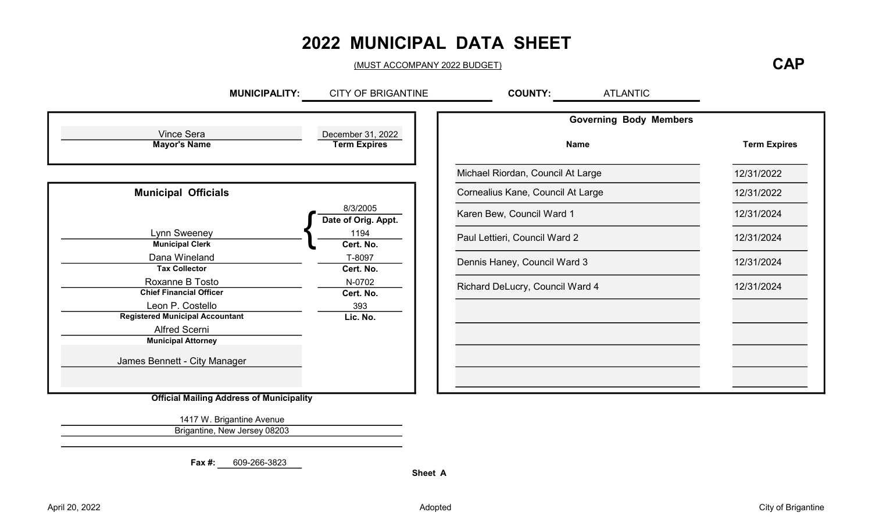# 2022 MUNICIPAL DATA SHEET

(MUST ACCOMPANY 2022 BUDGET)

#### **CAP**

|                     | <b>Governing Body Members</b>     |                                          |                                                                                             |
|---------------------|-----------------------------------|------------------------------------------|---------------------------------------------------------------------------------------------|
| <b>Term Expires</b> | Name                              | December 31, 2022<br><b>Term Expires</b> | Vince Sera<br><b>Mayor's Name</b>                                                           |
| 12/31/2022          | Michael Riordan, Council At Large |                                          |                                                                                             |
| 12/31/2022          | Cornealius Kane, Council At Large |                                          | <b>Municipal Officials</b>                                                                  |
| 12/31/2024          | Karen Bew, Council Ward 1         | 8/3/2005<br>Date of Orig. Appt.          |                                                                                             |
| 12/31/2024          | Paul Lettieri, Council Ward 2     | 1194<br>Cert. No.                        | Lynn Sweeney<br><b>Municipal Clerk</b>                                                      |
| 12/31/2024          | Dennis Haney, Council Ward 3      | T-8097<br>Cert. No.                      | Dana Wineland<br><b>Tax Collector</b>                                                       |
| 12/31/2024          | Richard DeLucry, Council Ward 4   | N-0702<br>Cert. No.                      | Roxanne B Tosto<br><b>Chief Financial Officer</b>                                           |
|                     |                                   | 393                                      | Leon P. Costello                                                                            |
|                     |                                   | Lic. No.                                 | <b>Registered Municipal Accountant</b><br><b>Alfred Scerni</b><br><b>Municipal Attorney</b> |
|                     |                                   |                                          | James Bennett - City Manager                                                                |

1417 W. Brigantine Avenue Brigantine, New Jersey 08203

Fax #: 609-266-3823

Sheet A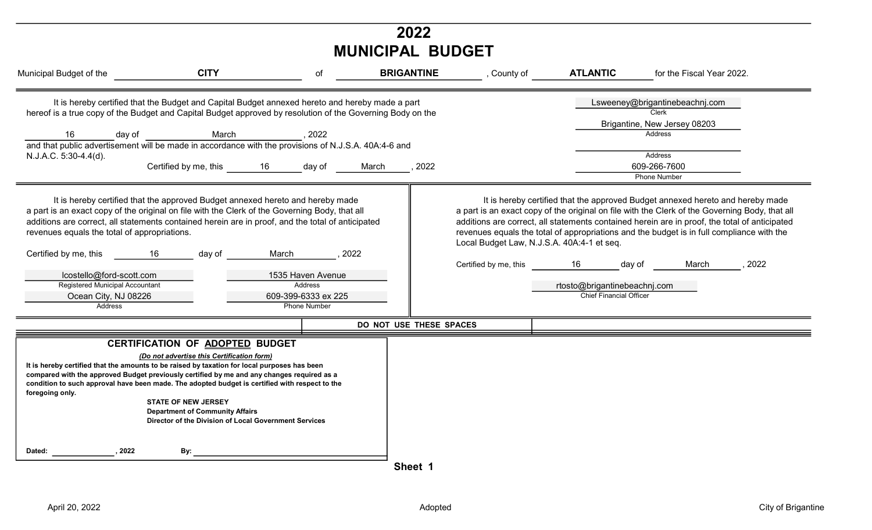| 2022<br><b>MUNICIPAL BUDGET</b>                                                                                                                                                                                                                                                                                                                                                                                                                                                                                                                                                                                                               |                                                                                                                                                                                                                                        |                                                                                                                |                          |                                                                        |                                                                          |                                                                                                                                                                                                                                                                                                                                                                                                                                                                                                                                                |  |  |  |
|-----------------------------------------------------------------------------------------------------------------------------------------------------------------------------------------------------------------------------------------------------------------------------------------------------------------------------------------------------------------------------------------------------------------------------------------------------------------------------------------------------------------------------------------------------------------------------------------------------------------------------------------------|----------------------------------------------------------------------------------------------------------------------------------------------------------------------------------------------------------------------------------------|----------------------------------------------------------------------------------------------------------------|--------------------------|------------------------------------------------------------------------|--------------------------------------------------------------------------|------------------------------------------------------------------------------------------------------------------------------------------------------------------------------------------------------------------------------------------------------------------------------------------------------------------------------------------------------------------------------------------------------------------------------------------------------------------------------------------------------------------------------------------------|--|--|--|
| Municipal Budget of the                                                                                                                                                                                                                                                                                                                                                                                                                                                                                                                                                                                                                       | <b>CITY</b>                                                                                                                                                                                                                            | of                                                                                                             | <b>BRIGANTINE</b>        | , County of                                                            | <b>ATLANTIC</b>                                                          | for the Fiscal Year 2022.                                                                                                                                                                                                                                                                                                                                                                                                                                                                                                                      |  |  |  |
| hereof is a true copy of the Budget and Capital Budget approved by resolution of the Governing Body on the<br>day of<br>16<br>and that public advertisement will be made in accordance with the provisions of N.J.S.A. 40A:4-6 and<br>N.J.A.C. 5:30-4.4(d).<br>a part is an exact copy of the original on file with the Clerk of the Governing Body, that all<br>additions are correct, all statements contained herein are in proof, and the total of anticipated<br>revenues equals the total of appropriations.<br>Certified by me, this<br>lcostello@ford-scott.com<br>Registered Municipal Accountant<br>Ocean City, NJ 08226<br>Address | It is hereby certified that the Budget and Capital Budget annexed hereto and hereby made a part<br>March<br>Certified by me, this 16<br>It is hereby certified that the approved Budget annexed hereto and hereby made<br>16<br>day of | , 2022<br>day of<br>March<br>1535 Haven Avenue<br><b>Address</b><br>609-399-6333 ex 225<br><b>Phone Number</b> | ,2022<br>March<br>. 2022 | Local Budget Law, N.J.S.A. 40A:4-1 et seq.<br>Certified by me, this 16 | day of<br>rtosto@brigantinebeachnj.com<br><b>Chief Financial Officer</b> | Lsweeney@brigantinebeachnj.com<br><b>Clerk</b><br>Brigantine, New Jersey 08203<br>Address<br>Address<br>609-266-7600<br><b>Phone Number</b><br>It is hereby certified that the approved Budget annexed hereto and hereby made<br>a part is an exact copy of the original on file with the Clerk of the Governing Body, that all<br>additions are correct, all statements contained herein are in proof, the total of anticipated<br>revenues equals the total of appropriations and the budget is in full compliance with the<br>March<br>2022 |  |  |  |
|                                                                                                                                                                                                                                                                                                                                                                                                                                                                                                                                                                                                                                               |                                                                                                                                                                                                                                        |                                                                                                                | DO NOT USE THESE SPACES  |                                                                        |                                                                          |                                                                                                                                                                                                                                                                                                                                                                                                                                                                                                                                                |  |  |  |
| It is hereby certified that the amounts to be raised by taxation for local purposes has been<br>compared with the approved Budget previously certified by me and any changes required as a<br>condition to such approval have been made. The adopted budget is certified with respect to the<br>foregoing only.                                                                                                                                                                                                                                                                                                                               | CERTIFICATION OF ADOPTED BUDGET<br>(Do not advertise this Certification form)<br><b>STATE OF NEW JERSEY</b><br><b>Department of Community Affairs</b><br>Director of the Division of Local Government Services                         |                                                                                                                |                          |                                                                        |                                                                          |                                                                                                                                                                                                                                                                                                                                                                                                                                                                                                                                                |  |  |  |
| , 2022<br>Dated:                                                                                                                                                                                                                                                                                                                                                                                                                                                                                                                                                                                                                              | By:                                                                                                                                                                                                                                    |                                                                                                                | Sheet 1                  |                                                                        |                                                                          |                                                                                                                                                                                                                                                                                                                                                                                                                                                                                                                                                |  |  |  |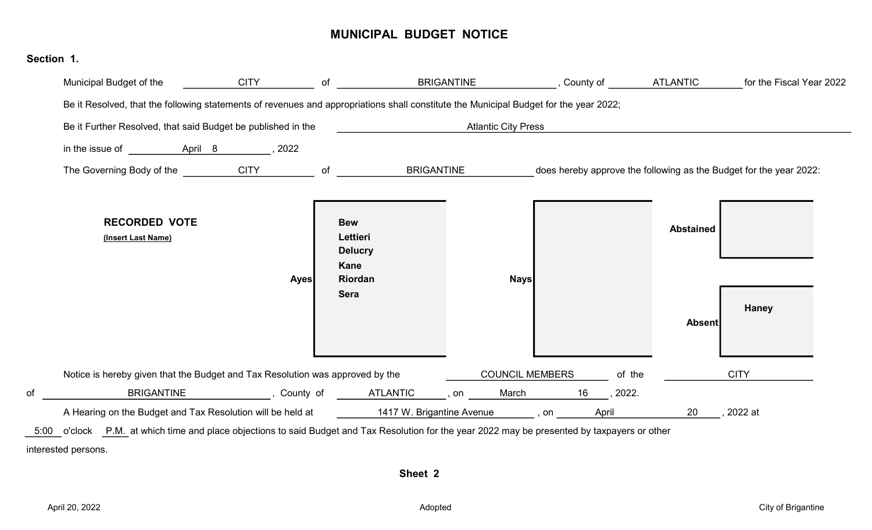#### MUNICIPAL BUDGET NOTICE

| Municipal Budget of the                                                       | <b>CITY</b> |                                                                                                                                       |                            |              |                  | for the Fiscal Year 2022                                           |
|-------------------------------------------------------------------------------|-------------|---------------------------------------------------------------------------------------------------------------------------------------|----------------------------|--------------|------------------|--------------------------------------------------------------------|
|                                                                               |             | Be it Resolved, that the following statements of revenues and appropriations shall constitute the Municipal Budget for the year 2022; |                            |              |                  |                                                                    |
| Be it Further Resolved, that said Budget be published in the                  |             |                                                                                                                                       | <b>Atlantic City Press</b> |              |                  |                                                                    |
|                                                                               |             |                                                                                                                                       |                            |              |                  |                                                                    |
| The Governing Body of the CITY                                                |             | of<br><b>BRIGANTINE</b>                                                                                                               |                            |              |                  | does hereby approve the following as the Budget for the year 2022: |
| <b>RECORDED VOTE</b><br>(Insert Last Name)                                    |             | <b>Bew</b><br>Lettieri<br><b>Delucry</b>                                                                                              |                            |              | <b>Abstained</b> |                                                                    |
|                                                                               | <b>Ayes</b> | Kane<br>Riordan<br><b>Sera</b>                                                                                                        | <b>Nays</b>                |              | <b>Absent</b>    | <b>Haney</b>                                                       |
| Notice is hereby given that the Budget and Tax Resolution was approved by the |             |                                                                                                                                       | <b>COUNCIL MEMBERS</b>     | of the       |                  | <b>CITY</b>                                                        |
|                                                                               |             | BRIGANTINE _______________, County of _______ATLANTIC _____, on ______March _________________, 2022.                                  |                            |              |                  |                                                                    |
|                                                                               |             | A Hearing on the Budget and Tax Resolution will be held at 1417 W. Brigantine Avenue , on                                             |                            | <b>April</b> | 20               | ,2022 at                                                           |

Sheet 2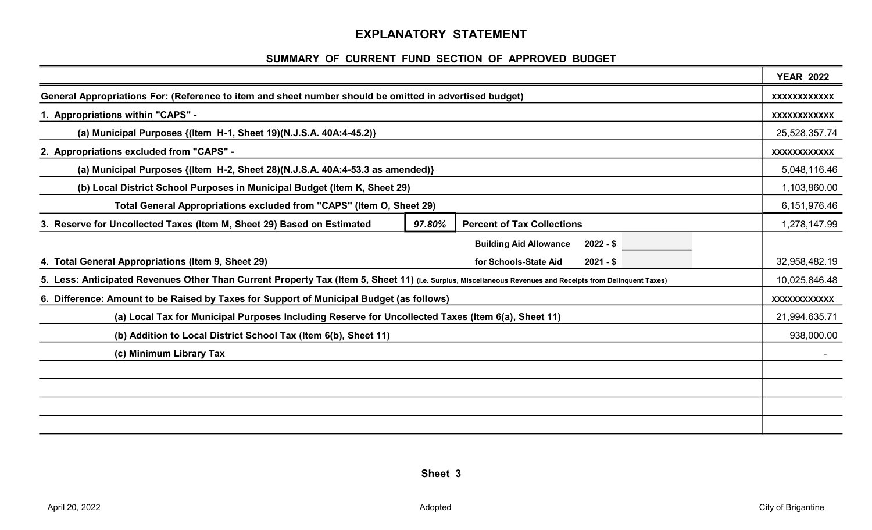#### EXPLANATORY STATEMENT

#### SUMMARY OF CURRENT FUND SECTION OF APPROVED BUDGET

|                                                                                                                                                            |        |                                             | <b>YEAR 2022</b>    |
|------------------------------------------------------------------------------------------------------------------------------------------------------------|--------|---------------------------------------------|---------------------|
| General Appropriations For: (Reference to item and sheet number should be omitted in advertised budget)                                                    |        |                                             | <b>XXXXXXXXXXXX</b> |
| 1. Appropriations within "CAPS" -                                                                                                                          |        |                                             | <b>XXXXXXXXXXXX</b> |
| (a) Municipal Purposes {(Item H-1, Sheet 19)(N.J.S.A. 40A:4-45.2)}                                                                                         |        |                                             | 25,528,357.74       |
| 2. Appropriations excluded from "CAPS" -                                                                                                                   |        |                                             | XXXXXXXXXXX         |
| (a) Municipal Purposes {(Item H-2, Sheet 28)(N.J.S.A. 40A:4-53.3 as amended)}                                                                              |        |                                             | 5,048,116.46        |
| (b) Local District School Purposes in Municipal Budget (Item K, Sheet 29)                                                                                  |        |                                             | 1,103,860.00        |
| Total General Appropriations excluded from "CAPS" (Item O, Sheet 29)                                                                                       |        |                                             | 6,151,976.46        |
| 3. Reserve for Uncollected Taxes (Item M, Sheet 29) Based on Estimated                                                                                     | 97.80% | <b>Percent of Tax Collections</b>           | 1,278,147.99        |
|                                                                                                                                                            |        | <b>Building Aid Allowance</b><br>$2022 - $$ |                     |
| 4. Total General Appropriations (Item 9, Sheet 29)                                                                                                         |        | for Schools-State Aid<br>$2021 - $$         | 32,958,482.19       |
| 5. Less: Anticipated Revenues Other Than Current Property Tax (Item 5, Sheet 11) (i.e. Surplus, Miscellaneous Revenues and Receipts from Delinquent Taxes) |        |                                             | 10,025,846.48       |
| 6. Difference: Amount to be Raised by Taxes for Support of Municipal Budget (as follows)                                                                   |        |                                             | XXXXXXXXXXX         |
| (a) Local Tax for Municipal Purposes Including Reserve for Uncollected Taxes (Item 6(a), Sheet 11)                                                         |        |                                             | 21,994,635.71       |
| (b) Addition to Local District School Tax (Item 6(b), Sheet 11)                                                                                            |        |                                             | 938,000.00          |
| (c) Minimum Library Tax                                                                                                                                    |        |                                             |                     |
|                                                                                                                                                            |        |                                             |                     |
|                                                                                                                                                            |        |                                             |                     |
|                                                                                                                                                            |        |                                             |                     |
|                                                                                                                                                            |        |                                             |                     |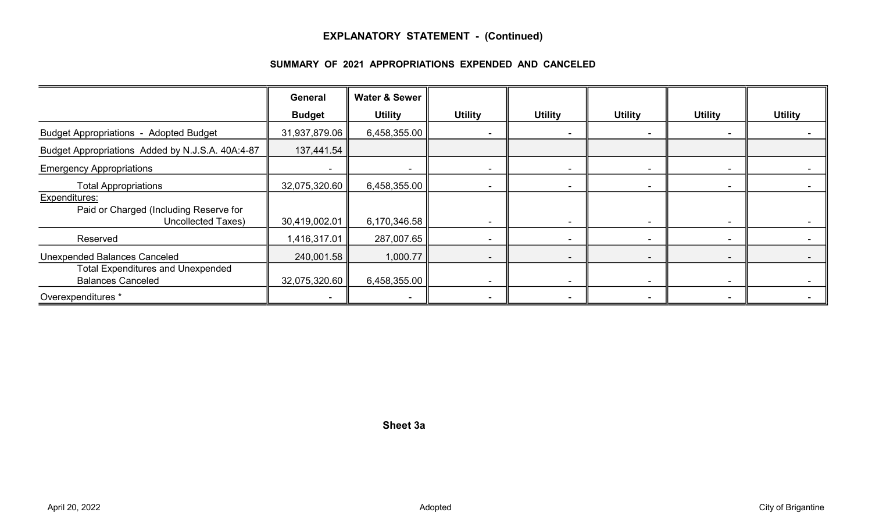#### EXPLANATORY STATEMENT - (Continued)

#### SUMMARY OF 2021 APPROPRIATIONS EXPENDED AND CANCELED

|                                                                               | General       | <b>Water &amp; Sewer</b> |                |                          |                          |                          |                |
|-------------------------------------------------------------------------------|---------------|--------------------------|----------------|--------------------------|--------------------------|--------------------------|----------------|
|                                                                               | <b>Budget</b> | <b>Utility</b>           | <b>Utility</b> | <b>Utility</b>           | <b>Utility</b>           | <b>Utility</b>           | <b>Utility</b> |
| <b>Budget Appropriations - Adopted Budget</b>                                 | 31,937,879.06 | 6,458,355.00             |                | $\sim$                   |                          |                          |                |
| Budget Appropriations Added by N.J.S.A. 40A:4-87                              | 137,441.54    |                          |                |                          |                          |                          |                |
| <b>Emergency Appropriations</b>                                               |               |                          |                | $\overline{\phantom{a}}$ |                          |                          |                |
| <b>Total Appropriations</b>                                                   | 32,075,320.60 | 6,458,355.00             |                | $\overline{\phantom{a}}$ |                          |                          |                |
| Expenditures:<br>Paid or Charged (Including Reserve for<br>Uncollected Taxes) | 30,419,002.01 | 6,170,346.58             |                | $\overline{\phantom{a}}$ |                          |                          |                |
| Reserved                                                                      | 1,416,317.01  | 287,007.65               |                | $\sim$                   | ۰.                       | $\blacksquare$           |                |
| <b>Unexpended Balances Canceled</b>                                           | 240,001.58    | 1,000.77                 |                | $\overline{\phantom{a}}$ |                          | $\overline{\phantom{0}}$ |                |
| <b>Total Expenditures and Unexpended</b><br><b>Balances Canceled</b>          | 32,075,320.60 | 6,458,355.00             |                | $\sim$                   | $\overline{\phantom{a}}$ | $\sim$                   |                |
| Overexpenditures *                                                            |               | $\overline{\phantom{a}}$ |                | $\sim$                   |                          | $\blacksquare$           |                |

Sheet 3a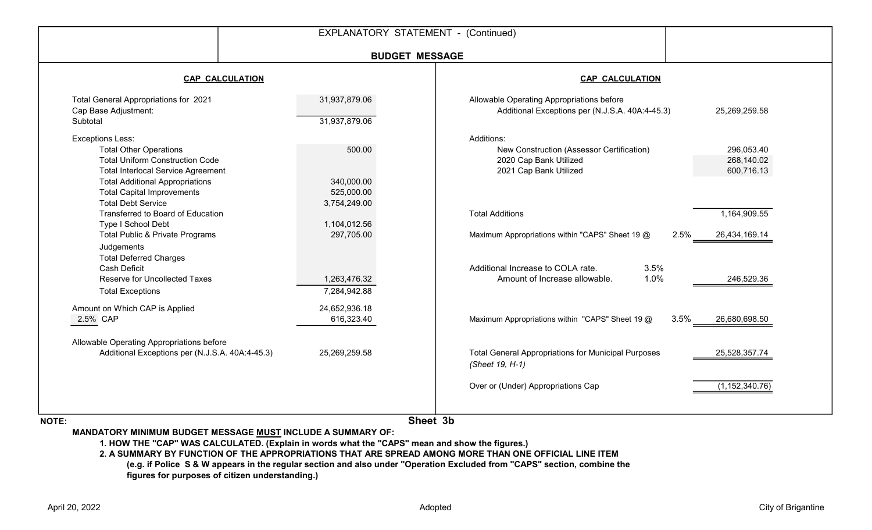|                                                                                                                                                                                                                                                             | EXPLANATORY STATEMENT - (Continued)        |                                                                                                             |                                        |
|-------------------------------------------------------------------------------------------------------------------------------------------------------------------------------------------------------------------------------------------------------------|--------------------------------------------|-------------------------------------------------------------------------------------------------------------|----------------------------------------|
|                                                                                                                                                                                                                                                             | <b>BUDGET MESSAGE</b>                      |                                                                                                             |                                        |
| <b>CAP CALCULATION</b>                                                                                                                                                                                                                                      |                                            | <b>CAP CALCULATION</b>                                                                                      |                                        |
| Total General Appropriations for 2021<br>Cap Base Adjustment:<br>Subtotal                                                                                                                                                                                   | 31,937,879.06<br>31,937,879.06             | Allowable Operating Appropriations before<br>Additional Exceptions per (N.J.S.A. 40A:4-45.3)                | 25,269,259.58                          |
| <b>Exceptions Less:</b><br><b>Total Other Operations</b><br><b>Total Uniform Construction Code</b><br><b>Total Interlocal Service Agreement</b><br><b>Total Additional Appropriations</b><br><b>Total Capital Improvements</b><br><b>Total Debt Service</b> | 500.00<br>340,000.00<br>525,000.00         | Additions:<br>New Construction (Assessor Certification)<br>2020 Cap Bank Utilized<br>2021 Cap Bank Utilized | 296,053.40<br>268,140.02<br>600,716.13 |
| Transferred to Board of Education<br>Type I School Debt<br>Total Public & Private Programs<br>Judgements                                                                                                                                                    | 3,754,249.00<br>1,104,012.56<br>297,705.00 | <b>Total Additions</b><br>2.5%<br>Maximum Appropriations within "CAPS" Sheet 19 @                           | 1,164,909.55<br>26,434,169.14          |
| <b>Total Deferred Charges</b><br><b>Cash Deficit</b><br><b>Reserve for Uncollected Taxes</b><br><b>Total Exceptions</b>                                                                                                                                     | 1,263,476.32<br>7,284,942.88               | Additional Increase to COLA rate.<br>3.5%<br>1.0%<br>Amount of Increase allowable.                          | 246,529.36                             |
| Amount on Which CAP is Applied<br>2.5% CAP                                                                                                                                                                                                                  | 24,652,936.18<br>616,323.40                | Maximum Appropriations within "CAPS" Sheet 19 @<br>3.5%                                                     | 26,680,698.50                          |
| Allowable Operating Appropriations before<br>Additional Exceptions per (N.J.S.A. 40A:4-45.3)                                                                                                                                                                | 25,269,259.58                              | <b>Total General Appropriations for Municipal Purposes</b><br>(Sheet 19, H-1)                               | 25,528,357.74                          |
|                                                                                                                                                                                                                                                             |                                            | Over or (Under) Appropriations Cap                                                                          | (1, 152, 340.76)                       |

NOTE:

Sheet 3b

MANDATORY MINIMUM BUDGET MESSAGE MUST INCLUDE A SUMMARY OF:

1. HOW THE "CAP" WAS CALCULATED. (Explain in words what the "CAPS" mean and show the figures.)

2. A SUMMARY BY FUNCTION OF THE APPROPRIATIONS THAT ARE SPREAD AMONG MORE THAN ONE OFFICIAL LINE ITEM (e.g. if Police S & W appears in the regular section and also under "Operation Excluded from "CAPS" section, combine the figures for purposes of citizen understanding.)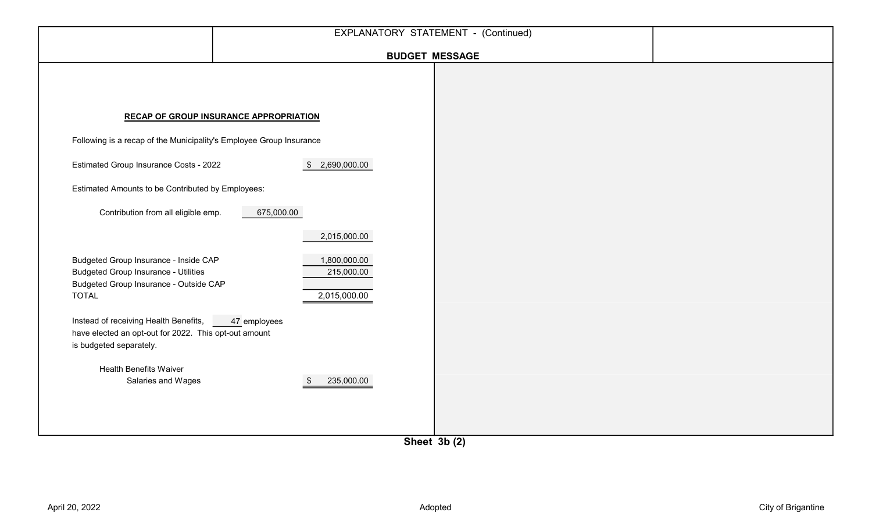|                                                                                                                                                       | EXPLANATORY STATEMENT - (Continued)           |                       |  |
|-------------------------------------------------------------------------------------------------------------------------------------------------------|-----------------------------------------------|-----------------------|--|
|                                                                                                                                                       |                                               | <b>BUDGET MESSAGE</b> |  |
|                                                                                                                                                       | <b>RECAP OF GROUP INSURANCE APPROPRIATION</b> |                       |  |
| Following is a recap of the Municipality's Employee Group Insurance                                                                                   |                                               |                       |  |
| Estimated Group Insurance Costs - 2022                                                                                                                | \$2,690,000.00                                |                       |  |
| Estimated Amounts to be Contributed by Employees:                                                                                                     |                                               |                       |  |
| Contribution from all eligible emp.                                                                                                                   | 675,000.00                                    |                       |  |
|                                                                                                                                                       | 2,015,000.00                                  |                       |  |
| Budgeted Group Insurance - Inside CAP<br><b>Budgeted Group Insurance - Utilities</b><br><b>Budgeted Group Insurance - Outside CAP</b><br><b>TOTAL</b> | 1,800,000.00<br>215,000.00<br>2,015,000.00    |                       |  |
| Instead of receiving Health Benefits,<br>have elected an opt-out for 2022. This opt-out amount<br>is budgeted separately.                             | 47 employees                                  |                       |  |
| <b>Health Benefits Waiver</b><br>Salaries and Wages                                                                                                   | 235,000.00<br>- \$                            |                       |  |

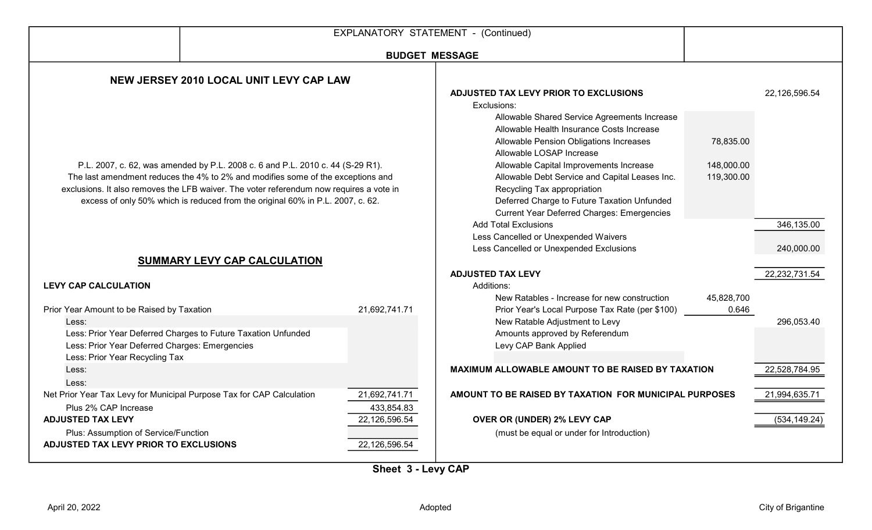|                                                                                                                                                                                                                                                                                                                                                |                                                                       |                                | EXPLANATORY STATEMENT - (Continued)                                                                                                                                                                                                                                 |                         |                                             |  |  |
|------------------------------------------------------------------------------------------------------------------------------------------------------------------------------------------------------------------------------------------------------------------------------------------------------------------------------------------------|-----------------------------------------------------------------------|--------------------------------|---------------------------------------------------------------------------------------------------------------------------------------------------------------------------------------------------------------------------------------------------------------------|-------------------------|---------------------------------------------|--|--|
|                                                                                                                                                                                                                                                                                                                                                |                                                                       | <b>BUDGET MESSAGE</b>          |                                                                                                                                                                                                                                                                     |                         |                                             |  |  |
|                                                                                                                                                                                                                                                                                                                                                | NEW JERSEY 2010 LOCAL UNIT LEVY CAP LAW                               |                                |                                                                                                                                                                                                                                                                     |                         |                                             |  |  |
|                                                                                                                                                                                                                                                                                                                                                |                                                                       |                                | ADJUSTED TAX LEVY PRIOR TO EXCLUSIONS<br>Exclusions:<br>Allowable Shared Service Agreements Increase<br>Allowable Health Insurance Costs Increase<br>Allowable Pension Obligations Increases<br>Allowable LOSAP Increase<br>Allowable Capital Improvements Increase | 78,835.00<br>148,000.00 | 22,126,596.54                               |  |  |
| P.L. 2007, c. 62, was amended by P.L. 2008 c. 6 and P.L. 2010 c. 44 (S-29 R1).<br>The last amendment reduces the 4% to 2% and modifies some of the exceptions and<br>exclusions. It also removes the LFB waiver. The voter referendum now requires a vote in<br>excess of only 50% which is reduced from the original 60% in P.L. 2007, c. 62. |                                                                       |                                | Allowable Debt Service and Capital Leases Inc.<br>Recycling Tax appropriation<br>Deferred Charge to Future Taxation Unfunded<br><b>Current Year Deferred Charges: Emergencies</b>                                                                                   | 119,300.00              |                                             |  |  |
|                                                                                                                                                                                                                                                                                                                                                | SUMMARY LEVY CAP CALCULATION                                          |                                | <b>Add Total Exclusions</b><br>Less Cancelled or Unexpended Waivers<br>Less Cancelled or Unexpended Exclusions<br><b>ADJUSTED TAX LEVY</b>                                                                                                                          |                         | 346,135.00<br>240,000.00<br>22, 232, 731.54 |  |  |
| <b>LEVY CAP CALCULATION</b>                                                                                                                                                                                                                                                                                                                    |                                                                       |                                | Additions:<br>New Ratables - Increase for new construction                                                                                                                                                                                                          | 45,828,700              |                                             |  |  |
| Prior Year Amount to be Raised by Taxation<br>Less:<br>Less: Prior Year Deferred Charges: Emergencies<br>Less: Prior Year Recycling Tax                                                                                                                                                                                                        | Less: Prior Year Deferred Charges to Future Taxation Unfunded         | 21,692,741.71                  | Prior Year's Local Purpose Tax Rate (per \$100)<br>New Ratable Adjustment to Levy<br>Amounts approved by Referendum<br>Levy CAP Bank Applied                                                                                                                        | 0.646                   | 296,053.40                                  |  |  |
| Less:<br>Less:                                                                                                                                                                                                                                                                                                                                 |                                                                       |                                | MAXIMUM ALLOWABLE AMOUNT TO BE RAISED BY TAXATION                                                                                                                                                                                                                   |                         | 22,528,784.95                               |  |  |
| Plus 2% CAP Increase                                                                                                                                                                                                                                                                                                                           | Net Prior Year Tax Levy for Municipal Purpose Tax for CAP Calculation | 21,692,741.71<br>433,854.83    | AMOUNT TO BE RAISED BY TAXATION FOR MUNICIPAL PURPOSES                                                                                                                                                                                                              |                         | 21,994,635.71                               |  |  |
| <b>ADJUSTED TAX LEVY</b><br>Plus: Assumption of Service/Function<br>ADJUSTED TAX LEVY PRIOR TO EXCLUSIONS                                                                                                                                                                                                                                      |                                                                       | 22,126,596.54<br>22,126,596.54 | OVER OR (UNDER) 2% LEVY CAP<br>(must be equal or under for Introduction)                                                                                                                                                                                            |                         | (534, 149.24)                               |  |  |

Sheet 3 - Levy CAP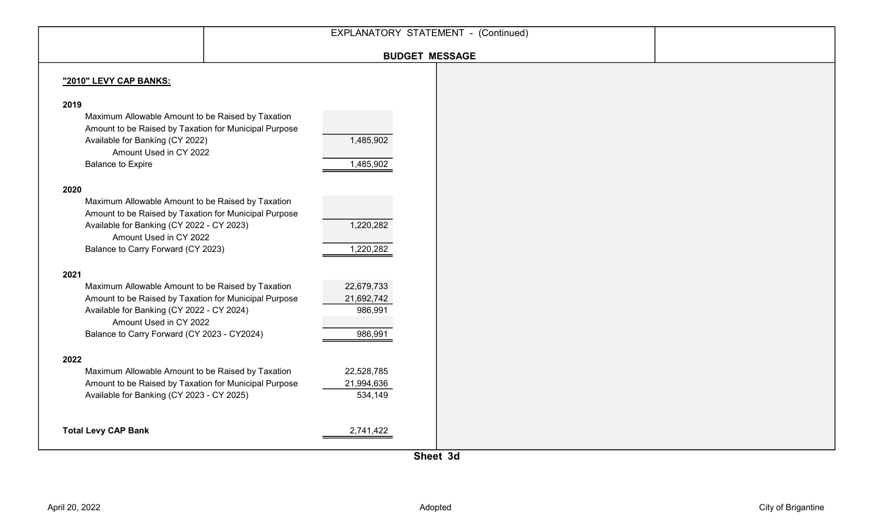|                                                                                                                                                                                                                                          | EXPLANATORY STATEMENT - (Continued)            |  |  |
|------------------------------------------------------------------------------------------------------------------------------------------------------------------------------------------------------------------------------------------|------------------------------------------------|--|--|
|                                                                                                                                                                                                                                          |                                                |  |  |
|                                                                                                                                                                                                                                          | <b>BUDGET MESSAGE</b>                          |  |  |
| "2010" LEVY CAP BANKS:                                                                                                                                                                                                                   |                                                |  |  |
| 2019<br>Maximum Allowable Amount to be Raised by Taxation<br>Amount to be Raised by Taxation for Municipal Purpose<br>Available for Banking (CY 2022)<br>Amount Used in CY 2022<br><b>Balance to Expire</b>                              | 1,485,902<br>1,485,902                         |  |  |
| 2020<br>Maximum Allowable Amount to be Raised by Taxation<br>Amount to be Raised by Taxation for Municipal Purpose<br>Available for Banking (CY 2022 - CY 2023)<br>Amount Used in CY 2022<br>Balance to Carry Forward (CY 2023)          | 1,220,282<br>1,220,282                         |  |  |
| 2021<br>Maximum Allowable Amount to be Raised by Taxation<br>Amount to be Raised by Taxation for Municipal Purpose<br>Available for Banking (CY 2022 - CY 2024)<br>Amount Used in CY 2022<br>Balance to Carry Forward (CY 2023 - CY2024) | 22,679,733<br>21,692,742<br>986,991<br>986,991 |  |  |
| 2022<br>Maximum Allowable Amount to be Raised by Taxation<br>Amount to be Raised by Taxation for Municipal Purpose<br>Available for Banking (CY 2023 - CY 2025)                                                                          | 22,528,785<br>21,994,636<br>534,149            |  |  |
| <b>Total Levy CAP Bank</b>                                                                                                                                                                                                               | 2,741,422                                      |  |  |

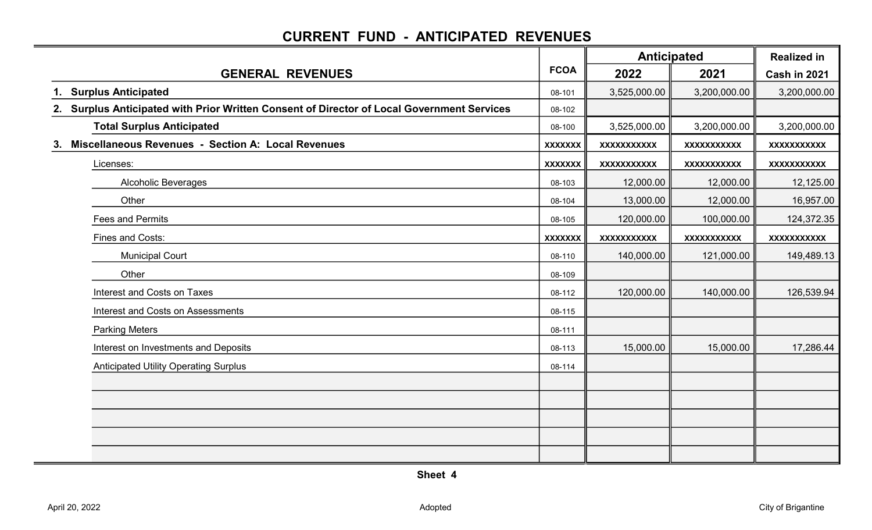### CURRENT FUND - ANTICIPATED REVENUES

|                                                                                            |                | <b>Anticipated</b> |                    | <b>Realized in</b> |  |
|--------------------------------------------------------------------------------------------|----------------|--------------------|--------------------|--------------------|--|
| <b>GENERAL REVENUES</b>                                                                    | <b>FCOA</b>    | 2022               | 2021               | Cash in 2021       |  |
| 1. Surplus Anticipated                                                                     | 08-101         | 3,525,000.00       | 3,200,000.00       | 3,200,000.00       |  |
| 2. Surplus Anticipated with Prior Written Consent of Director of Local Government Services | 08-102         |                    |                    |                    |  |
| <b>Total Surplus Anticipated</b>                                                           | 08-100         | 3,525,000.00       | 3,200,000.00       | 3,200,000.00       |  |
| <b>Miscellaneous Revenues - Section A: Local Revenues</b><br>3.                            | <b>XXXXXXX</b> | <b>XXXXXXXXXXX</b> | XXXXXXXXXX         | <b>XXXXXXXXXXX</b> |  |
| Licenses:                                                                                  | <b>XXXXXXX</b> | <b>XXXXXXXXXXX</b> | XXXXXXXXXX         | <b>XXXXXXXXXX</b>  |  |
| <b>Alcoholic Beverages</b>                                                                 | 08-103         | 12,000.00          | 12,000.00          | 12,125.00          |  |
| Other                                                                                      | 08-104         | 13,000.00          | 12,000.00          | 16,957.00          |  |
| <b>Fees and Permits</b>                                                                    | 08-105         | 120,000.00         | 100,000.00         | 124,372.35         |  |
| Fines and Costs:                                                                           | <b>XXXXXXX</b> | <b>XXXXXXXXXXX</b> | <b>XXXXXXXXXXX</b> | XXXXXXXXXX         |  |
| <b>Municipal Court</b>                                                                     | 08-110         | 140,000.00         | 121,000.00         | 149,489.13         |  |
| Other                                                                                      | 08-109         |                    |                    |                    |  |
| <b>Interest and Costs on Taxes</b>                                                         | 08-112         | 120,000.00         | 140,000.00         | 126,539.94         |  |
| Interest and Costs on Assessments                                                          | 08-115         |                    |                    |                    |  |
| <b>Parking Meters</b>                                                                      | 08-111         |                    |                    |                    |  |
| Interest on Investments and Deposits                                                       | 08-113         | 15,000.00          | 15,000.00          | 17,286.44          |  |
| <b>Anticipated Utility Operating Surplus</b>                                               | 08-114         |                    |                    |                    |  |
|                                                                                            |                |                    |                    |                    |  |
|                                                                                            |                |                    |                    |                    |  |
|                                                                                            |                |                    |                    |                    |  |
|                                                                                            |                |                    |                    |                    |  |
|                                                                                            |                |                    |                    |                    |  |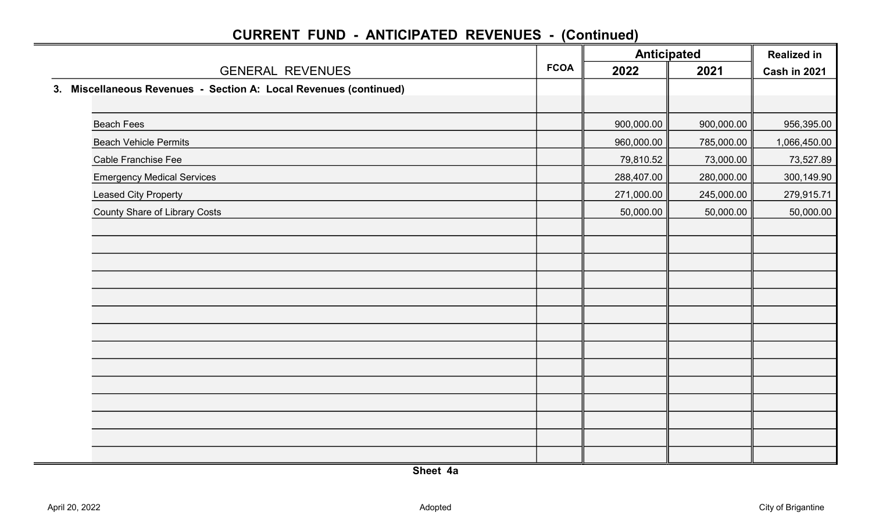|                                                                   |             | <b>Anticipated</b> |            | <b>Realized in</b><br>Cash in 2021 |
|-------------------------------------------------------------------|-------------|--------------------|------------|------------------------------------|
| <b>GENERAL REVENUES</b>                                           | <b>FCOA</b> | 2022               | 2021       |                                    |
| 3. Miscellaneous Revenues - Section A: Local Revenues (continued) |             |                    |            |                                    |
|                                                                   |             |                    |            |                                    |
| <b>Beach Fees</b>                                                 |             | 900,000.00         | 900,000.00 | 956,395.00                         |
| <b>Beach Vehicle Permits</b>                                      |             | 960,000.00         | 785,000.00 | 1,066,450.00                       |
| <b>Cable Franchise Fee</b>                                        |             | 79,810.52          | 73,000.00  | 73,527.89                          |
| <b>Emergency Medical Services</b>                                 |             | 288,407.00         | 280,000.00 | 300,149.90                         |
| <b>Leased City Property</b>                                       |             | 271,000.00         | 245,000.00 | 279,915.71                         |
| <b>County Share of Library Costs</b>                              |             | 50,000.00          | 50,000.00  | 50,000.00                          |
|                                                                   |             |                    |            |                                    |
|                                                                   |             |                    |            |                                    |
|                                                                   |             |                    |            |                                    |
|                                                                   |             |                    |            |                                    |
|                                                                   |             |                    |            |                                    |
|                                                                   |             |                    |            |                                    |
|                                                                   |             |                    |            |                                    |
|                                                                   |             |                    |            |                                    |
|                                                                   |             |                    |            |                                    |
|                                                                   |             |                    |            |                                    |
|                                                                   |             |                    |            |                                    |
|                                                                   |             |                    |            |                                    |
|                                                                   |             |                    |            |                                    |
|                                                                   |             |                    |            |                                    |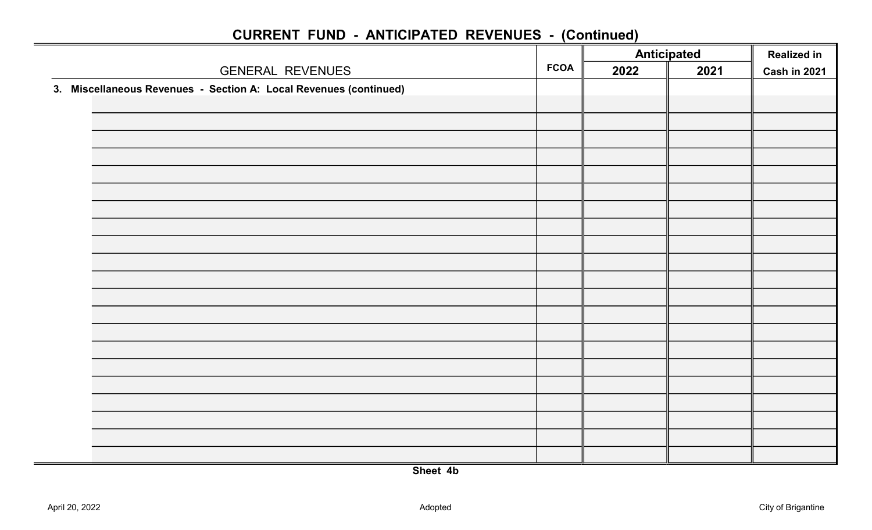|                                                                   |             | <b>Anticipated</b> |      | <b>Realized in</b> |
|-------------------------------------------------------------------|-------------|--------------------|------|--------------------|
| <b>GENERAL REVENUES</b>                                           | <b>FCOA</b> | 2022               | 2021 | Cash in 2021       |
| 3. Miscellaneous Revenues - Section A: Local Revenues (continued) |             |                    |      |                    |
|                                                                   |             |                    |      |                    |
|                                                                   |             |                    |      |                    |
|                                                                   |             |                    |      |                    |
|                                                                   |             |                    |      |                    |
|                                                                   |             |                    |      |                    |
|                                                                   |             |                    |      |                    |
|                                                                   |             |                    |      |                    |
|                                                                   |             |                    |      |                    |
|                                                                   |             |                    |      |                    |
|                                                                   |             |                    |      |                    |
|                                                                   |             |                    |      |                    |
|                                                                   |             |                    |      |                    |
|                                                                   |             |                    |      |                    |
|                                                                   |             |                    |      |                    |
|                                                                   |             |                    |      |                    |
|                                                                   |             |                    |      |                    |
|                                                                   |             |                    |      |                    |
|                                                                   |             |                    |      |                    |
|                                                                   |             |                    |      |                    |
|                                                                   |             |                    |      |                    |
|                                                                   |             |                    |      |                    |
|                                                                   |             |                    |      |                    |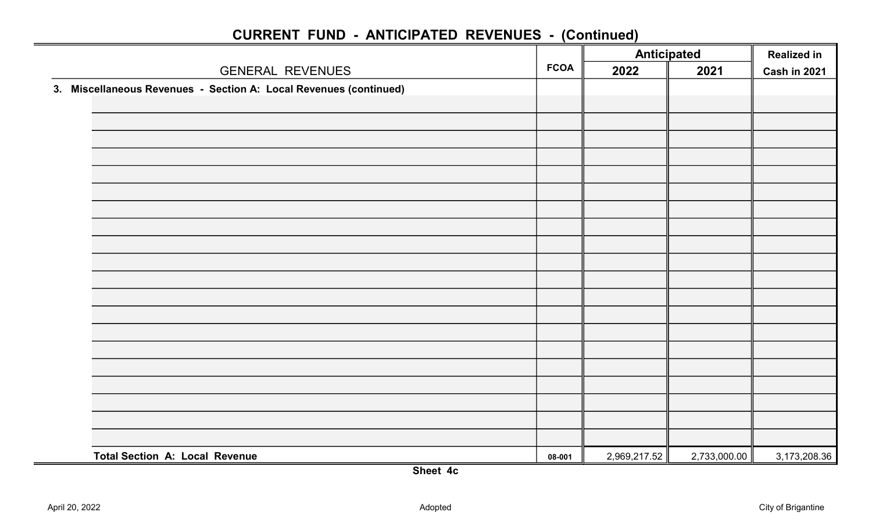|             | <b>Anticipated</b> |              | <b>Realized in</b> |
|-------------|--------------------|--------------|--------------------|
| <b>FCOA</b> | 2022               | 2021         | Cash in 2021       |
|             |                    |              |                    |
|             |                    |              |                    |
|             |                    |              |                    |
|             |                    |              |                    |
|             |                    |              |                    |
|             |                    |              |                    |
|             |                    |              |                    |
|             |                    |              |                    |
|             |                    |              |                    |
|             |                    |              |                    |
|             |                    |              |                    |
|             |                    |              |                    |
|             |                    |              |                    |
|             |                    |              |                    |
|             |                    |              |                    |
|             |                    |              |                    |
|             |                    |              |                    |
|             |                    |              |                    |
|             |                    |              |                    |
|             |                    |              |                    |
|             |                    |              |                    |
| 08-001      |                    | 2,733,000.00 | 3,173,208.36       |
|             |                    |              | 2,969,217.52       |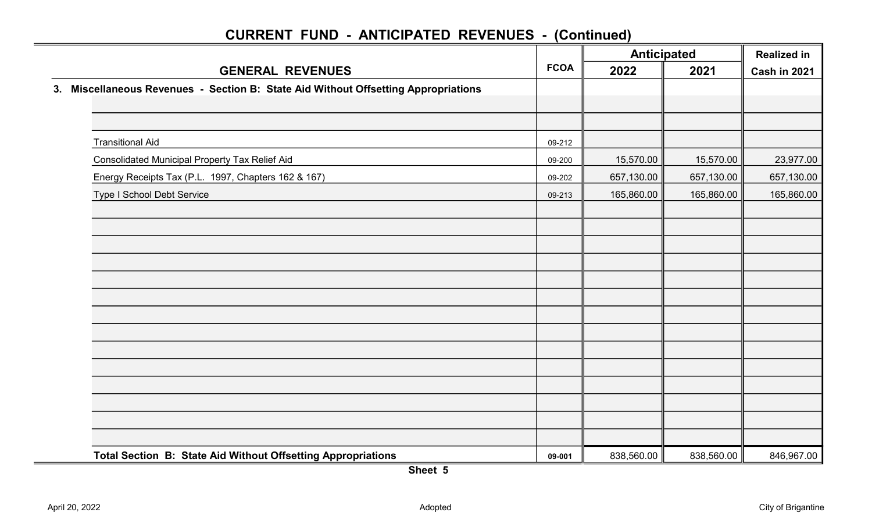|                                                                                    |             |            | <b>Anticipated</b> |              |
|------------------------------------------------------------------------------------|-------------|------------|--------------------|--------------|
| <b>GENERAL REVENUES</b>                                                            | <b>FCOA</b> | 2022       | 2021               | Cash in 2021 |
| 3. Miscellaneous Revenues - Section B: State Aid Without Offsetting Appropriations |             |            |                    |              |
|                                                                                    |             |            |                    |              |
|                                                                                    |             |            |                    |              |
| <b>Transitional Aid</b>                                                            | 09-212      |            |                    |              |
| Consolidated Municipal Property Tax Relief Aid                                     | 09-200      | 15,570.00  | 15,570.00          | 23,977.00    |
| Energy Receipts Tax (P.L. 1997, Chapters 162 & 167)                                | 09-202      | 657,130.00 | 657,130.00         | 657,130.00   |
| <b>Type I School Debt Service</b>                                                  | 09-213      | 165,860.00 | 165,860.00         | 165,860.00   |
|                                                                                    |             |            |                    |              |
|                                                                                    |             |            |                    |              |
|                                                                                    |             |            |                    |              |
|                                                                                    |             |            |                    |              |
|                                                                                    |             |            |                    |              |
|                                                                                    |             |            |                    |              |
|                                                                                    |             |            |                    |              |
|                                                                                    |             |            |                    |              |
|                                                                                    |             |            |                    |              |
|                                                                                    |             |            |                    |              |
|                                                                                    |             |            |                    |              |
|                                                                                    |             |            |                    |              |
|                                                                                    |             |            |                    |              |
|                                                                                    |             |            |                    |              |
| Total Section B: State Aid Without Offsetting Appropriations                       | 09-001      | 838,560.00 | 838,560.00         | 846,967.00   |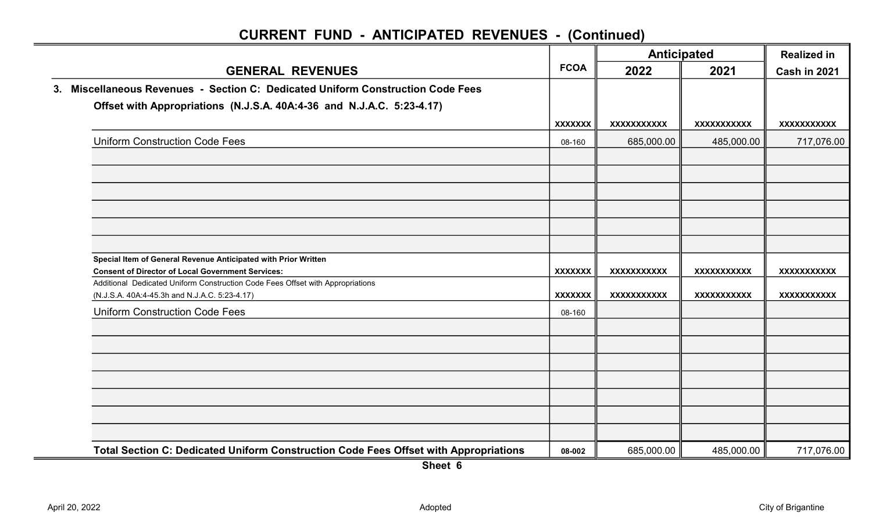|                                                                                                                                            |                          | <b>Anticipated</b> |                    | <b>Realized in</b> |
|--------------------------------------------------------------------------------------------------------------------------------------------|--------------------------|--------------------|--------------------|--------------------|
| <b>GENERAL REVENUES</b>                                                                                                                    | <b>FCOA</b>              | 2022               | 2021               | Cash in 2021       |
| 3. Miscellaneous Revenues - Section C: Dedicated Uniform Construction Code Fees                                                            |                          |                    |                    |                    |
| Offset with Appropriations (N.J.S.A. 40A:4-36 and N.J.A.C. 5:23-4.17)                                                                      |                          |                    |                    |                    |
|                                                                                                                                            | <b>XXXXXXX</b>           | XXXXXXXXXXX        | <b>XXXXXXXXXXX</b> | XXXXXXXXXXX        |
| <b>Uniform Construction Code Fees</b>                                                                                                      | 08-160                   | 685,000.00         | 485,000.00         | 717,076.00         |
|                                                                                                                                            |                          |                    |                    |                    |
|                                                                                                                                            |                          |                    |                    |                    |
|                                                                                                                                            |                          |                    |                    |                    |
|                                                                                                                                            |                          |                    |                    |                    |
| Special Item of General Revenue Anticipated with Prior Written                                                                             |                          |                    |                    |                    |
| <b>Consent of Director of Local Government Services:</b><br>Additional Dedicated Uniform Construction Code Fees Offset with Appropriations | <b>XXXXXXX</b>           | XXXXXXXXXXX        | <b>XXXXXXXXXXX</b> | XXXXXXXXXXX        |
| (N.J.S.A. 40A:4-45.3h and N.J.A.C. 5:23-4.17)<br><b>Uniform Construction Code Fees</b>                                                     | <b>XXXXXXX</b><br>08-160 | XXXXXXXXXXX        | <b>XXXXXXXXXXX</b> | <b>XXXXXXXXXXX</b> |
|                                                                                                                                            |                          |                    |                    |                    |
|                                                                                                                                            |                          |                    |                    |                    |
|                                                                                                                                            |                          |                    |                    |                    |
|                                                                                                                                            |                          |                    |                    |                    |
|                                                                                                                                            |                          |                    |                    |                    |
|                                                                                                                                            |                          |                    |                    |                    |
| Total Section C: Dedicated Uniform Construction Code Fees Offset with Appropriations                                                       | 08-002                   | 685,000.00         | 485,000.00         | 717,076.00         |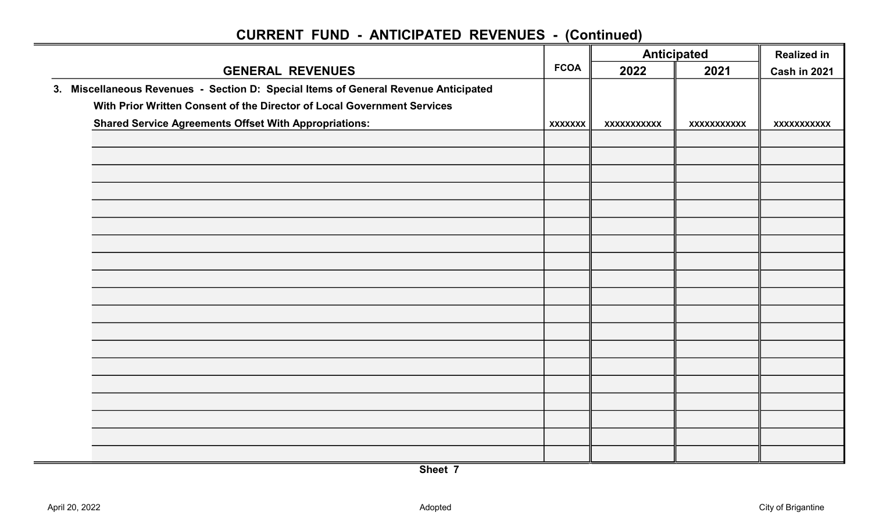|                                                                                     |                | <b>Anticipated</b><br><b>FCOA</b> |            | <b>Realized in</b>  |
|-------------------------------------------------------------------------------------|----------------|-----------------------------------|------------|---------------------|
| <b>GENERAL REVENUES</b>                                                             |                | 2022                              | 2021       | <b>Cash in 2021</b> |
| 3. Miscellaneous Revenues - Section D: Special Items of General Revenue Anticipated |                |                                   |            |                     |
| With Prior Written Consent of the Director of Local Government Services             |                |                                   |            |                     |
| <b>Shared Service Agreements Offset With Appropriations:</b>                        | <b>XXXXXXX</b> | XXXXXXXXXX                        | XXXXXXXXXX | <b>XXXXXXXXXXX</b>  |
|                                                                                     |                |                                   |            |                     |
|                                                                                     |                |                                   |            |                     |
|                                                                                     |                |                                   |            |                     |
|                                                                                     |                |                                   |            |                     |
|                                                                                     |                |                                   |            |                     |
|                                                                                     |                |                                   |            |                     |
|                                                                                     |                |                                   |            |                     |
|                                                                                     |                |                                   |            |                     |
|                                                                                     |                |                                   |            |                     |
|                                                                                     |                |                                   |            |                     |
|                                                                                     |                |                                   |            |                     |
|                                                                                     |                |                                   |            |                     |
|                                                                                     |                |                                   |            |                     |
|                                                                                     |                |                                   |            |                     |
|                                                                                     |                |                                   |            |                     |
|                                                                                     |                |                                   |            |                     |
|                                                                                     |                |                                   |            |                     |
|                                                                                     |                |                                   |            |                     |
|                                                                                     |                |                                   |            |                     |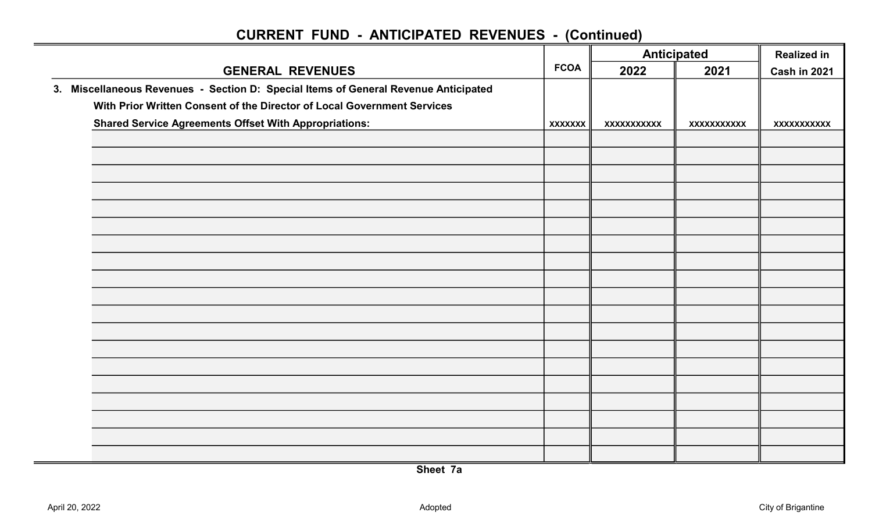|                                                                                     |                | <b>Anticipated</b><br><b>FCOA</b> |            | <b>Realized in</b>  |
|-------------------------------------------------------------------------------------|----------------|-----------------------------------|------------|---------------------|
| <b>GENERAL REVENUES</b>                                                             |                | 2022                              | 2021       | <b>Cash in 2021</b> |
| 3. Miscellaneous Revenues - Section D: Special Items of General Revenue Anticipated |                |                                   |            |                     |
| With Prior Written Consent of the Director of Local Government Services             |                |                                   |            |                     |
| <b>Shared Service Agreements Offset With Appropriations:</b>                        | <b>XXXXXXX</b> | XXXXXXXXXX                        | XXXXXXXXXX | <b>XXXXXXXXXXX</b>  |
|                                                                                     |                |                                   |            |                     |
|                                                                                     |                |                                   |            |                     |
|                                                                                     |                |                                   |            |                     |
|                                                                                     |                |                                   |            |                     |
|                                                                                     |                |                                   |            |                     |
|                                                                                     |                |                                   |            |                     |
|                                                                                     |                |                                   |            |                     |
|                                                                                     |                |                                   |            |                     |
|                                                                                     |                |                                   |            |                     |
|                                                                                     |                |                                   |            |                     |
|                                                                                     |                |                                   |            |                     |
|                                                                                     |                |                                   |            |                     |
|                                                                                     |                |                                   |            |                     |
|                                                                                     |                |                                   |            |                     |
|                                                                                     |                |                                   |            |                     |
|                                                                                     |                |                                   |            |                     |
|                                                                                     |                |                                   |            |                     |
|                                                                                     |                |                                   |            |                     |
|                                                                                     |                |                                   |            |                     |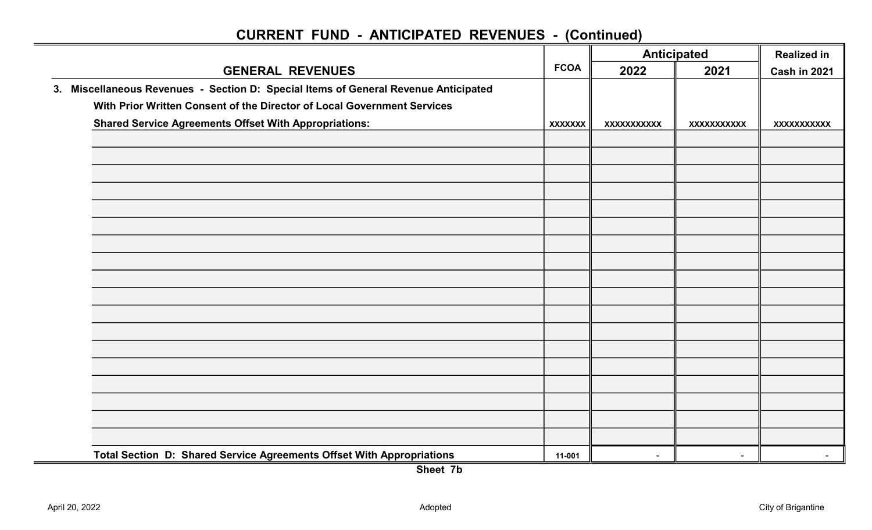|                                                                                     |                | <b>Anticipated</b> |                    | <b>Realized in</b>  |
|-------------------------------------------------------------------------------------|----------------|--------------------|--------------------|---------------------|
| <b>GENERAL REVENUES</b>                                                             | <b>FCOA</b>    | 2022               | 2021               | <b>Cash in 2021</b> |
| 3. Miscellaneous Revenues - Section D: Special Items of General Revenue Anticipated |                |                    |                    |                     |
| With Prior Written Consent of the Director of Local Government Services             |                |                    |                    |                     |
| <b>Shared Service Agreements Offset With Appropriations:</b>                        | <b>XXXXXXX</b> | XXXXXXXXXXX        | <b>XXXXXXXXXXX</b> | XXXXXXXXXX          |
|                                                                                     |                |                    |                    |                     |
|                                                                                     |                |                    |                    |                     |
|                                                                                     |                |                    |                    |                     |
|                                                                                     |                |                    |                    |                     |
|                                                                                     |                |                    |                    |                     |
|                                                                                     |                |                    |                    |                     |
|                                                                                     |                |                    |                    |                     |
|                                                                                     |                |                    |                    |                     |
|                                                                                     |                |                    |                    |                     |
|                                                                                     |                |                    |                    |                     |
|                                                                                     |                |                    |                    |                     |
|                                                                                     |                |                    |                    |                     |
|                                                                                     |                |                    |                    |                     |
|                                                                                     |                |                    |                    |                     |
|                                                                                     |                |                    |                    |                     |
|                                                                                     |                |                    |                    |                     |
|                                                                                     |                |                    |                    |                     |
|                                                                                     |                |                    |                    |                     |
| Total Section D: Shared Service Agreements Offset With Appropriations               | 11-001         | $\sim$             | $\sim$             | $\sim$              |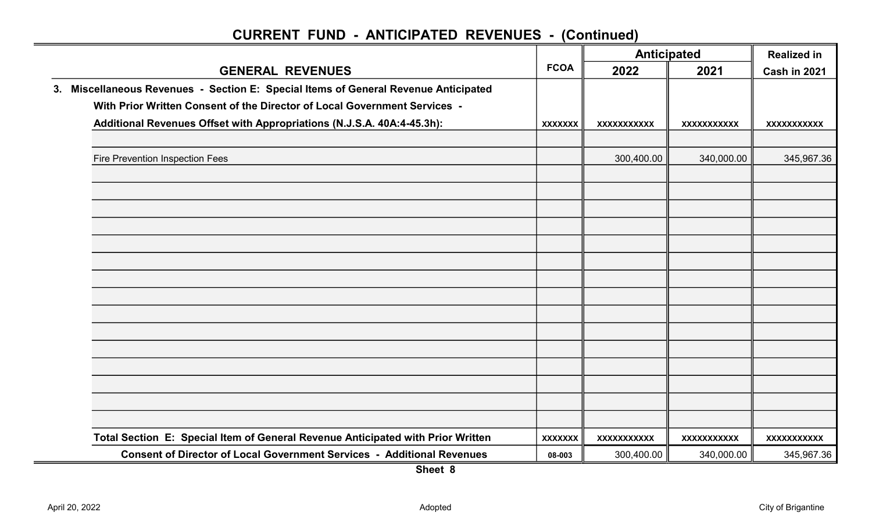| <b>GENERAL REVENUES</b>                                                             |                | <b>Anticipated</b> |                    | <b>Realized in</b> |  |
|-------------------------------------------------------------------------------------|----------------|--------------------|--------------------|--------------------|--|
|                                                                                     |                | 2022               | 2021               | Cash in 2021       |  |
| 3. Miscellaneous Revenues - Section E: Special Items of General Revenue Anticipated |                |                    |                    |                    |  |
| With Prior Written Consent of the Director of Local Government Services -           |                |                    |                    |                    |  |
| Additional Revenues Offset with Appropriations (N.J.S.A. 40A:4-45.3h):              | <b>XXXXXXX</b> | XXXXXXXXXXX        | <b>XXXXXXXXXXX</b> | <b>XXXXXXXXXXX</b> |  |
|                                                                                     |                |                    |                    |                    |  |
| Fire Prevention Inspection Fees                                                     |                | 300,400.00         | 340,000.00         | 345,967.36         |  |
|                                                                                     |                |                    |                    |                    |  |
|                                                                                     |                |                    |                    |                    |  |
|                                                                                     |                |                    |                    |                    |  |
|                                                                                     |                |                    |                    |                    |  |
|                                                                                     |                |                    |                    |                    |  |
|                                                                                     |                |                    |                    |                    |  |
|                                                                                     |                |                    |                    |                    |  |
|                                                                                     |                |                    |                    |                    |  |
|                                                                                     |                |                    |                    |                    |  |
|                                                                                     |                |                    |                    |                    |  |
|                                                                                     |                |                    |                    |                    |  |
|                                                                                     |                |                    |                    |                    |  |
|                                                                                     |                |                    |                    |                    |  |
|                                                                                     |                |                    |                    |                    |  |
|                                                                                     |                |                    |                    |                    |  |
| Total Section E: Special Item of General Revenue Anticipated with Prior Written     | <b>XXXXXXX</b> | <b>XXXXXXXXXXX</b> | <b>XXXXXXXXXXX</b> | <b>XXXXXXXXXXX</b> |  |
| <b>Consent of Director of Local Government Services - Additional Revenues</b>       | 08-003         | 300,400.00         | 340,000.00         | 345,967.36         |  |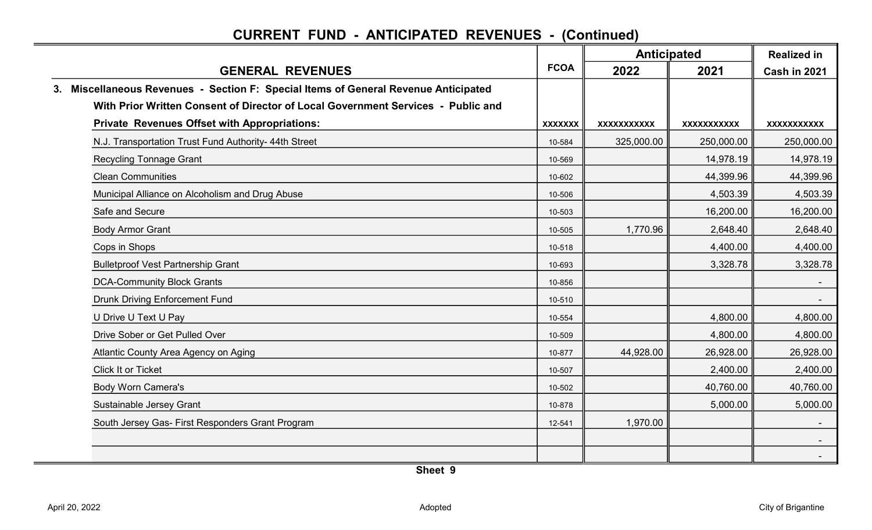|                                                                                     |                | <b>Anticipated</b> |                    | <b>Realized in</b>  |
|-------------------------------------------------------------------------------------|----------------|--------------------|--------------------|---------------------|
| <b>GENERAL REVENUES</b>                                                             | <b>FCOA</b>    | 2022               | 2021               | <b>Cash in 2021</b> |
| 3. Miscellaneous Revenues - Section F: Special Items of General Revenue Anticipated |                |                    |                    |                     |
| With Prior Written Consent of Director of Local Government Services - Public and    |                |                    |                    |                     |
| <b>Private Revenues Offset with Appropriations:</b>                                 | <b>XXXXXXX</b> | XXXXXXXXXXX        | <b>XXXXXXXXXXX</b> | <b>XXXXXXXXXXX</b>  |
| N.J. Transportation Trust Fund Authority- 44th Street                               | 10-584         | 325,000.00         | 250,000.00         | 250,000.00          |
| <b>Recycling Tonnage Grant</b>                                                      | 10-569         |                    | 14,978.19          | 14,978.19           |
| <b>Clean Communities</b>                                                            | 10-602         |                    | 44,399.96          | 44,399.96           |
| Municipal Alliance on Alcoholism and Drug Abuse                                     | 10-506         |                    | 4,503.39           | 4,503.39            |
| Safe and Secure                                                                     | 10-503         |                    | 16,200.00          | 16,200.00           |
| <b>Body Armor Grant</b>                                                             | 10-505         | 1,770.96           | 2,648.40           | 2,648.40            |
| Cops in Shops                                                                       | 10-518         |                    | 4,400.00           | 4,400.00            |
| <b>Bulletproof Vest Partnership Grant</b>                                           | 10-693         |                    | 3,328.78           | 3,328.78            |
| <b>DCA-Community Block Grants</b>                                                   | 10-856         |                    |                    |                     |
| <b>Drunk Driving Enforcement Fund</b>                                               | 10-510         |                    |                    | $\sim$ $-$          |
| U Drive U Text U Pay                                                                | 10-554         |                    | 4,800.00           | 4,800.00            |
| Drive Sober or Get Pulled Over                                                      | 10-509         |                    | 4,800.00           | 4,800.00            |
| Atlantic County Area Agency on Aging                                                | 10-877         | 44,928.00          | 26,928.00          | 26,928.00           |
| <b>Click It or Ticket</b>                                                           | 10-507         |                    | 2,400.00           | 2,400.00            |
| <b>Body Worn Camera's</b>                                                           | 10-502         |                    | 40,760.00          | 40,760.00           |
| Sustainable Jersey Grant                                                            | 10-878         |                    | 5,000.00           | 5,000.00            |
| South Jersey Gas- First Responders Grant Program                                    | 12-541         | 1,970.00           |                    |                     |
|                                                                                     |                |                    |                    |                     |
|                                                                                     |                |                    |                    | $\sim$              |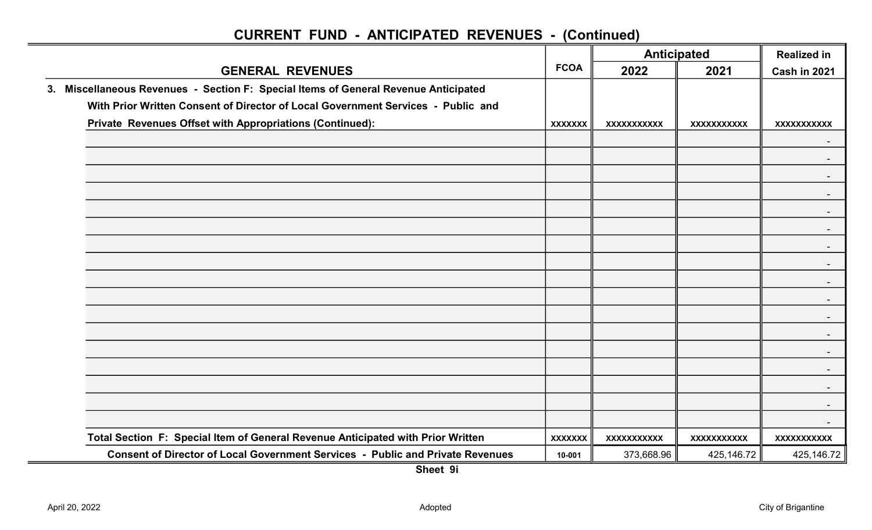|                                                                                     |                |                    | <b>Anticipated</b> | <b>Realized in</b> |
|-------------------------------------------------------------------------------------|----------------|--------------------|--------------------|--------------------|
| <b>GENERAL REVENUES</b>                                                             | <b>FCOA</b>    | 2022               | 2021               | Cash in 2021       |
| 3. Miscellaneous Revenues - Section F: Special Items of General Revenue Anticipated |                |                    |                    |                    |
| With Prior Written Consent of Director of Local Government Services - Public and    |                |                    |                    |                    |
| Private Revenues Offset with Appropriations (Continued):                            | <b>XXXXXXX</b> | <b>XXXXXXXXXXX</b> | <b>XXXXXXXXXXX</b> | <b>XXXXXXXXXXX</b> |
|                                                                                     |                |                    |                    |                    |
|                                                                                     |                |                    |                    |                    |
|                                                                                     |                |                    |                    |                    |
|                                                                                     |                |                    |                    |                    |
|                                                                                     |                |                    |                    |                    |
|                                                                                     |                |                    |                    |                    |
|                                                                                     |                |                    |                    |                    |
|                                                                                     |                |                    |                    |                    |
|                                                                                     |                |                    |                    |                    |
|                                                                                     |                |                    |                    |                    |
|                                                                                     |                |                    |                    |                    |
|                                                                                     |                |                    |                    |                    |
|                                                                                     |                |                    |                    |                    |
|                                                                                     |                |                    |                    |                    |
|                                                                                     |                |                    |                    |                    |
|                                                                                     |                |                    |                    |                    |
|                                                                                     |                |                    |                    |                    |
| Total Section F: Special Item of General Revenue Anticipated with Prior Written     | <b>XXXXXXX</b> | <b>XXXXXXXXXXX</b> | <b>XXXXXXXXXXX</b> | <b>XXXXXXXXXXX</b> |
| Consent of Director of Local Government Services - Public and Private Revenues      | 10-001         | 373,668.96         | 425,146.72         | 425, 146.72        |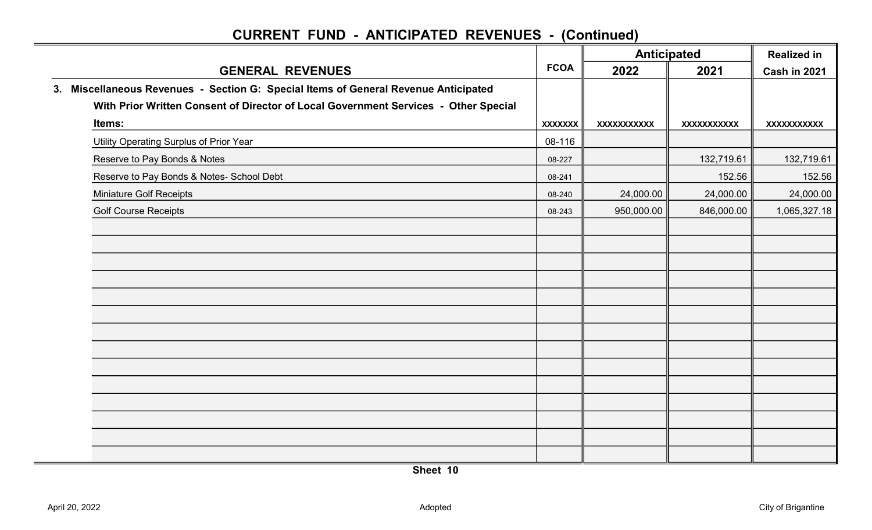|                                                                                     |                | <b>Anticipated</b> |                                                                       | <b>Realized in</b> |
|-------------------------------------------------------------------------------------|----------------|--------------------|-----------------------------------------------------------------------|--------------------|
| <b>GENERAL REVENUES</b>                                                             | <b>FCOA</b>    | 2022               | 2021<br>XXXXXXXXXX<br>132,719.61<br>152.56<br>24,000.00<br>846,000.00 | Cash in 2021       |
| 3. Miscellaneous Revenues - Section G: Special Items of General Revenue Anticipated |                |                    |                                                                       |                    |
| With Prior Written Consent of Director of Local Government Services - Other Special |                |                    |                                                                       |                    |
| Items:                                                                              | <b>XXXXXXX</b> | <b>XXXXXXXXXXX</b> |                                                                       | XXXXXXXXXXX        |
| Utility Operating Surplus of Prior Year                                             | 08-116         |                    |                                                                       |                    |
| Reserve to Pay Bonds & Notes                                                        | 08-227         |                    |                                                                       | 132,719.61         |
| Reserve to Pay Bonds & Notes- School Debt                                           | 08-241         |                    |                                                                       | 152.56             |
| <b>Miniature Golf Receipts</b>                                                      | 08-240         | 24,000.00          |                                                                       | 24,000.00          |
| <b>Golf Course Receipts</b>                                                         | 08-243         | 950,000.00         |                                                                       | 1,065,327.18       |
|                                                                                     |                |                    |                                                                       |                    |
|                                                                                     |                |                    |                                                                       |                    |
|                                                                                     |                |                    |                                                                       |                    |
|                                                                                     |                |                    |                                                                       |                    |
|                                                                                     |                |                    |                                                                       |                    |
|                                                                                     |                |                    |                                                                       |                    |
|                                                                                     |                |                    |                                                                       |                    |
|                                                                                     |                |                    |                                                                       |                    |
|                                                                                     |                |                    |                                                                       |                    |
|                                                                                     |                |                    |                                                                       |                    |
|                                                                                     |                |                    |                                                                       |                    |
|                                                                                     |                |                    |                                                                       |                    |
|                                                                                     |                |                    |                                                                       |                    |
|                                                                                     |                |                    |                                                                       |                    |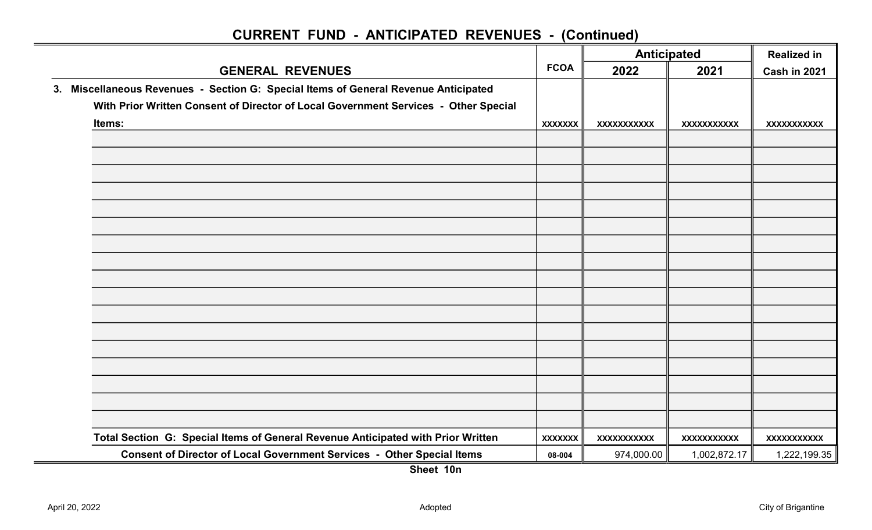|                                                                                     |                                                              |             | <b>Anticipated</b>  | <b>Realized in</b> |
|-------------------------------------------------------------------------------------|--------------------------------------------------------------|-------------|---------------------|--------------------|
| <b>GENERAL REVENUES</b>                                                             | <b>FCOA</b><br>2022<br>2021<br><b>XXXXXXX</b><br>XXXXXXXXXXX |             | <b>Cash in 2021</b> |                    |
| 3. Miscellaneous Revenues - Section G: Special Items of General Revenue Anticipated |                                                              |             |                     |                    |
| With Prior Written Consent of Director of Local Government Services - Other Special |                                                              |             |                     |                    |
| Items:                                                                              |                                                              |             | <b>XXXXXXXXXXX</b>  | <b>XXXXXXXXXXX</b> |
|                                                                                     |                                                              |             |                     |                    |
|                                                                                     |                                                              |             |                     |                    |
|                                                                                     |                                                              |             |                     |                    |
|                                                                                     |                                                              |             |                     |                    |
|                                                                                     |                                                              |             |                     |                    |
|                                                                                     |                                                              |             |                     |                    |
|                                                                                     |                                                              |             |                     |                    |
|                                                                                     |                                                              |             |                     |                    |
|                                                                                     |                                                              |             |                     |                    |
|                                                                                     |                                                              |             |                     |                    |
|                                                                                     |                                                              |             |                     |                    |
|                                                                                     |                                                              |             |                     |                    |
|                                                                                     |                                                              |             |                     |                    |
|                                                                                     |                                                              |             |                     |                    |
|                                                                                     |                                                              |             |                     |                    |
|                                                                                     |                                                              |             |                     |                    |
|                                                                                     |                                                              |             |                     |                    |
| Total Section G: Special Items of General Revenue Anticipated with Prior Written    | <b>XXXXXXX</b>                                               | XXXXXXXXXXX | <b>XXXXXXXXXXX</b>  | <b>XXXXXXXXXXX</b> |
| Consent of Director of Local Government Services - Other Special Items              | 08-004                                                       | 974,000.00  | 1,002,872.17        | 1,222,199.35       |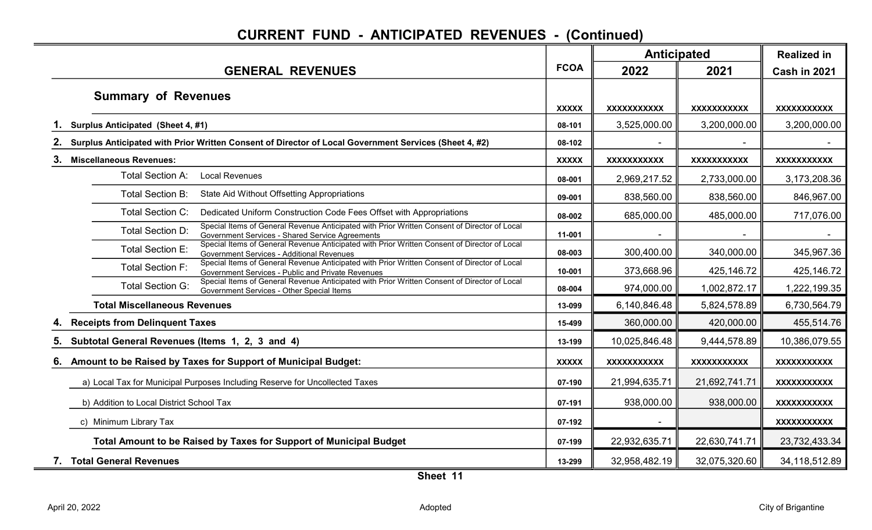|                                                                                                                                                                              |              |                    | <b>Anticipated</b> | <b>Realized in</b> |
|------------------------------------------------------------------------------------------------------------------------------------------------------------------------------|--------------|--------------------|--------------------|--------------------|
| <b>GENERAL REVENUES</b>                                                                                                                                                      | <b>FCOA</b>  | 2022               | 2021               | Cash in 2021       |
| <b>Summary of Revenues</b>                                                                                                                                                   | <b>XXXXX</b> | <b>XXXXXXXXXXX</b> | <b>XXXXXXXXXXX</b> | XXXXXXXXXX         |
| Surplus Anticipated (Sheet 4, #1)                                                                                                                                            | 08-101       | 3,525,000.00       | 3,200,000.00       | 3,200,000.00       |
| Surplus Anticipated with Prior Written Consent of Director of Local Government Services (Sheet 4, #2)                                                                        | 08-102       |                    |                    |                    |
| 3.<br><b>Miscellaneous Revenues:</b>                                                                                                                                         | <b>XXXXX</b> | <b>XXXXXXXXXXX</b> | <b>XXXXXXXXXXX</b> | XXXXXXXXXX         |
| <b>Local Revenues</b><br>Total Section A:                                                                                                                                    | 08-001       | 2,969,217.52       | 2,733,000.00       | 3,173,208.36       |
| Total Section B:<br>State Aid Without Offsetting Appropriations                                                                                                              | 09-001       | 838,560.00         | 838,560.00         | 846,967.00         |
| <b>Total Section C:</b><br>Dedicated Uniform Construction Code Fees Offset with Appropriations                                                                               | 08-002       | 685,000.00         | 485,000.00         | 717,076.00         |
| Special Items of General Revenue Anticipated with Prior Written Consent of Director of Local<br>Total Section D:<br>Government Services - Shared Service Agreements          | 11-001       |                    |                    |                    |
| Special Items of General Revenue Anticipated with Prior Written Consent of Director of Local<br><b>Total Section E:</b><br><b>Government Services - Additional Revenues</b>  | 08-003       | 300,400.00         | 340,000.00         | 345,967.36         |
| Special Items of General Revenue Anticipated with Prior Written Consent of Director of Local<br><b>Total Section F:</b><br>Government Services - Public and Private Revenues | 10-001       | 373,668.96         | 425,146.72         | 425, 146. 72       |
| Special Items of General Revenue Anticipated with Prior Written Consent of Director of Local<br><b>Total Section G:</b><br>Government Services - Other Special Items         | 08-004       | 974,000.00         | 1,002,872.17       | 1,222,199.35       |
| <b>Total Miscellaneous Revenues</b>                                                                                                                                          | 13-099       | 6,140,846.48       | 5,824,578.89       | 6,730,564.79       |
| <b>Receipts from Delinquent Taxes</b>                                                                                                                                        | 15-499       | 360,000.00         | 420,000.00         | 455,514.76         |
| Subtotal General Revenues (Items 1, 2, 3 and 4)<br>5.                                                                                                                        | 13-199       | 10,025,846.48      | 9,444,578.89       | 10,386,079.55      |
| Amount to be Raised by Taxes for Support of Municipal Budget:<br>6.                                                                                                          | <b>XXXXX</b> | <b>XXXXXXXXXXX</b> | <b>XXXXXXXXXXX</b> | <b>XXXXXXXXXX</b>  |
| a) Local Tax for Municipal Purposes Including Reserve for Uncollected Taxes                                                                                                  | 07-190       | 21,994,635.71      | 21,692,741.71      | <b>XXXXXXXXXXX</b> |
| b) Addition to Local District School Tax                                                                                                                                     | 07-191       | 938,000.00         | 938,000.00         | <b>XXXXXXXXXXX</b> |
| c) Minimum Library Tax                                                                                                                                                       | 07-192       |                    |                    | <b>XXXXXXXXXXX</b> |
| Total Amount to be Raised by Taxes for Support of Municipal Budget                                                                                                           | 07-199       | 22,932,635.71      | 22,630,741.71      | 23,732,433.34      |
| 7. Total General Revenues                                                                                                                                                    | 13-299       | 32,958,482.19      | 32,075,320.60      | 34,118,512.89      |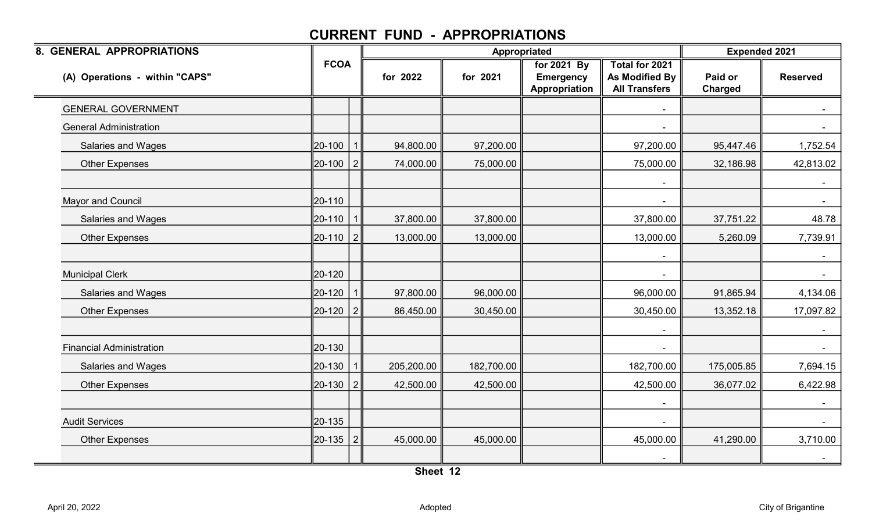| 8. GENERAL APPROPRIATIONS       |             |                |            | Appropriated |                                                  |                                                                 | <b>Expended 2021</b> |                 |
|---------------------------------|-------------|----------------|------------|--------------|--------------------------------------------------|-----------------------------------------------------------------|----------------------|-----------------|
| (A) Operations - within "CAPS"  | <b>FCOA</b> |                | for 2022   | for 2021     | for 2021 By<br><b>Emergency</b><br>Appropriation | <b>Total for 2021</b><br>As Modified By<br><b>All Transfers</b> | Paid or<br>Charged   | <b>Reserved</b> |
| <b>GENERAL GOVERNMENT</b>       |             |                |            |              |                                                  |                                                                 |                      |                 |
| <b>General Administration</b>   |             |                |            |              |                                                  |                                                                 |                      |                 |
| Salaries and Wages              | 20-100      |                | 94,800.00  | 97,200.00    |                                                  | 97,200.00                                                       | 95,447.46            | 1,752.54        |
| <b>Other Expenses</b>           | 20-100      | 2              | 74,000.00  | 75,000.00    |                                                  | 75,000.00                                                       | 32,186.98            | 42,813.02       |
| <b>Mayor and Council</b>        | 20-110      |                |            |              |                                                  |                                                                 |                      |                 |
| <b>Salaries and Wages</b>       | 20-110      | $\mathbf{1}$   | 37,800.00  | 37,800.00    |                                                  | 37,800.00                                                       | 37,751.22            | 48.78           |
| <b>Other Expenses</b>           | 20-110      | $\overline{2}$ | 13,000.00  | 13,000.00    |                                                  | 13,000.00                                                       | 5,260.09             | 7,739.91        |
| <b>Municipal Clerk</b>          | 20-120      |                |            |              |                                                  |                                                                 |                      | $\sim$          |
| <b>Salaries and Wages</b>       | 20-120      | $\mathbf{1}$   | 97,800.00  | 96,000.00    |                                                  | 96,000.00                                                       | 91,865.94            | 4,134.06        |
| <b>Other Expenses</b>           | 20-120      | 2              | 86,450.00  | 30,450.00    |                                                  | 30,450.00                                                       | 13,352.18            | 17,097.82       |
| <b>Financial Administration</b> | 20-130      |                |            |              |                                                  |                                                                 |                      | $\sim$          |
| <b>Salaries and Wages</b>       | 20-130      | $\mathbf 1$    | 205,200.00 | 182,700.00   |                                                  | 182,700.00                                                      | 175,005.85           | 7,694.15        |
| <b>Other Expenses</b>           | 20-130      | $\overline{2}$ | 42,500.00  | 42,500.00    |                                                  | 42,500.00                                                       | 36,077.02            | 6,422.98        |
| <b>Audit Services</b>           | 20-135      |                |            |              |                                                  |                                                                 |                      | $\sim$          |
| <b>Other Expenses</b>           | 20-135      | $\overline{2}$ | 45,000.00  | 45,000.00    |                                                  | 45,000.00                                                       | 41,290.00            | 3,710.00        |
|                                 |             |                |            |              |                                                  |                                                                 |                      | $\sim$          |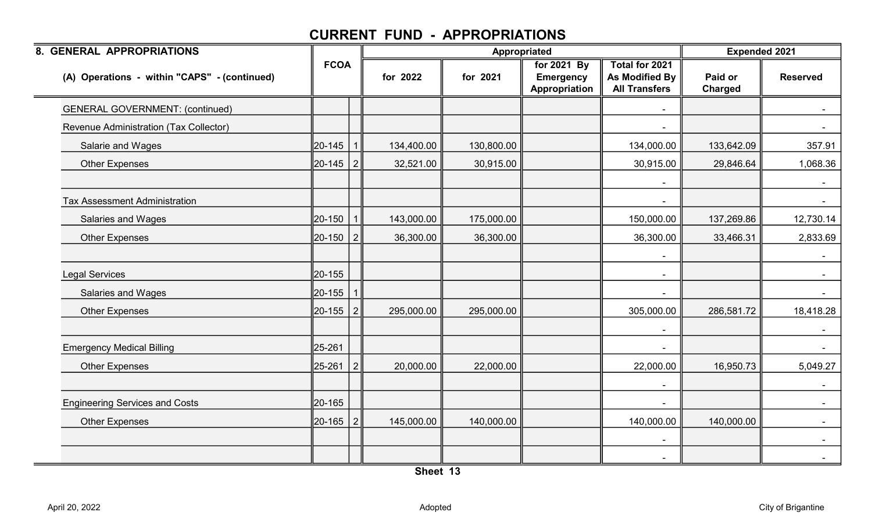| 8. GENERAL APPROPRIATIONS                    |                |                |            | Appropriated |                                                  |                                                          | <b>Expended 2021</b> |                 |
|----------------------------------------------|----------------|----------------|------------|--------------|--------------------------------------------------|----------------------------------------------------------|----------------------|-----------------|
| (A) Operations - within "CAPS" - (continued) | <b>FCOA</b>    |                | for 2022   | for 2021     | for 2021 By<br><b>Emergency</b><br>Appropriation | Total for 2021<br>As Modified By<br><b>All Transfers</b> | Paid or<br>Charged   | <b>Reserved</b> |
| <b>GENERAL GOVERNMENT: (continued)</b>       |                |                |            |              |                                                  |                                                          |                      |                 |
| Revenue Administration (Tax Collector)       |                |                |            |              |                                                  |                                                          |                      |                 |
| Salarie and Wages                            | 20-145         |                | 134,400.00 | 130,800.00   |                                                  | 134,000.00                                               | 133,642.09           | 357.91          |
| <b>Other Expenses</b>                        | 20-145         | 2              | 32,521.00  | 30,915.00    |                                                  | 30,915.00                                                | 29,846.64            | 1,068.36        |
|                                              |                |                |            |              |                                                  |                                                          |                      |                 |
| <b>Tax Assessment Administration</b>         |                |                |            |              |                                                  |                                                          |                      |                 |
| Salaries and Wages                           | 20-150         |                | 143,000.00 | 175,000.00   |                                                  | 150,000.00                                               | 137,269.86           | 12,730.14       |
| <b>Other Expenses</b>                        | ∥20-150        | 2              | 36,300.00  | 36,300.00    |                                                  | 36,300.00                                                | 33,466.31            | 2,833.69        |
|                                              |                |                |            |              |                                                  |                                                          |                      |                 |
| <b>Legal Services</b>                        | 20-155         |                |            |              |                                                  | $\blacksquare$                                           |                      | $\sim$          |
| Salaries and Wages                           | 20-155         |                |            |              |                                                  | $\blacksquare$                                           |                      | $\sim$          |
| <b>Other Expenses</b>                        | $\ 20 - 155\ $ | $\overline{2}$ | 295,000.00 | 295,000.00   |                                                  | 305,000.00                                               | 286,581.72           | 18,418.28       |
|                                              |                |                |            |              |                                                  |                                                          |                      |                 |
| <b>Emergency Medical Billing</b>             | 25-261         |                |            |              |                                                  |                                                          |                      |                 |
| <b>Other Expenses</b>                        | 25-261         | 2              | 20,000.00  | 22,000.00    |                                                  | 22,000.00                                                | 16,950.73            | 5,049.27        |
|                                              |                |                |            |              |                                                  | $\blacksquare$                                           |                      | $\sim$          |
| <b>Engineering Services and Costs</b>        | 20-165         |                |            |              |                                                  | $\overline{a}$                                           |                      | $\sim$ 10 $\,$  |
| <b>Other Expenses</b>                        | 20-165         | 2              | 145,000.00 | 140,000.00   |                                                  | 140,000.00                                               | 140,000.00           |                 |
|                                              |                |                |            |              |                                                  | $\blacksquare$                                           |                      | $\sim$          |
|                                              |                |                |            |              |                                                  |                                                          |                      | $\sim$          |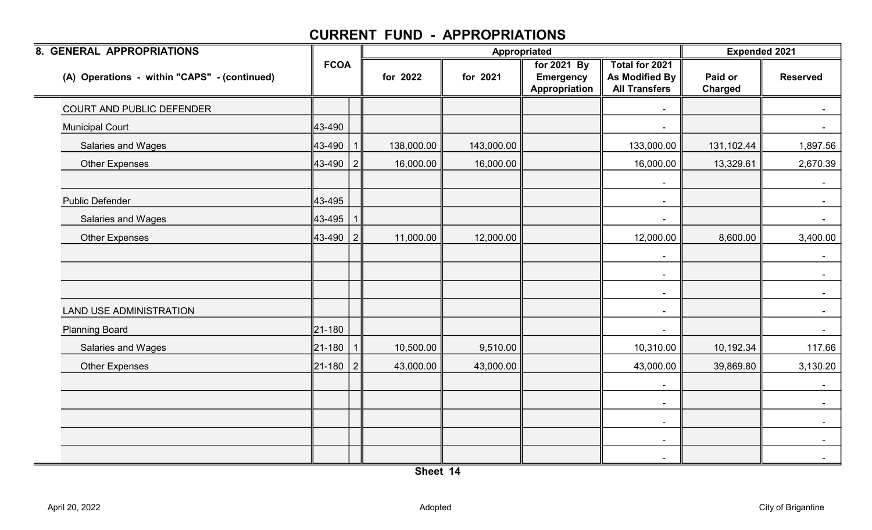| 8. GENERAL APPROPRIATIONS                    |             |                |            | Appropriated |                                                  |                                                          | <b>Expended 2021</b> |                          |  |
|----------------------------------------------|-------------|----------------|------------|--------------|--------------------------------------------------|----------------------------------------------------------|----------------------|--------------------------|--|
| (A) Operations - within "CAPS" - (continued) | <b>FCOA</b> |                | for 2022   | for 2021     | for 2021 By<br><b>Emergency</b><br>Appropriation | Total for 2021<br>As Modified By<br><b>All Transfers</b> | Paid or<br>Charged   | <b>Reserved</b>          |  |
| COURT AND PUBLIC DEFENDER                    |             |                |            |              |                                                  |                                                          |                      |                          |  |
| <b>Municipal Court</b>                       | 43-490      |                |            |              |                                                  |                                                          |                      | $\sim$                   |  |
| Salaries and Wages                           | 43-490      |                | 138,000.00 | 143,000.00   |                                                  | 133,000.00                                               | 131,102.44           | 1,897.56                 |  |
| <b>Other Expenses</b>                        | 43-490      | 2              | 16,000.00  | 16,000.00    |                                                  | 16,000.00                                                | 13,329.61            | 2,670.39                 |  |
| <b>Public Defender</b>                       | 43-495      |                |            |              |                                                  | $\sim$<br>$\blacksquare$                                 |                      | $\blacksquare$<br>$\sim$ |  |
| Salaries and Wages                           | 43-495      |                |            |              |                                                  | $\blacksquare$                                           |                      | $\sim$                   |  |
| <b>Other Expenses</b>                        | 43-490      | $\overline{2}$ | 11,000.00  | 12,000.00    |                                                  | 12,000.00                                                | 8,600.00             | 3,400.00                 |  |
|                                              |             |                |            |              |                                                  | $\blacksquare$<br>$\blacksquare$                         |                      | $\sim$<br>$\sim$ $-$     |  |
|                                              |             |                |            |              |                                                  | $\blacksquare$                                           |                      | $\sim$ $-$               |  |
| <b>LAND USE ADMINISTRATION</b>               |             |                |            |              |                                                  | $\blacksquare$                                           |                      | $\sim$                   |  |
| <b>Planning Board</b>                        | 21-180      |                |            |              |                                                  | $\blacksquare$                                           |                      | $\sim$                   |  |
| Salaries and Wages                           | 21-180      |                | 10,500.00  | 9,510.00     |                                                  | 10,310.00                                                | 10,192.34            | 117.66                   |  |
| <b>Other Expenses</b>                        | ∥21-180     | 2              | 43,000.00  | 43,000.00    |                                                  | 43,000.00                                                | 39,869.80            | 3,130.20                 |  |
|                                              |             |                |            |              |                                                  | $\blacksquare$                                           |                      |                          |  |
|                                              |             |                |            |              |                                                  | $\overline{\phantom{a}}$                                 |                      | $\sim$                   |  |
|                                              |             |                |            |              |                                                  | $\sim$                                                   |                      | $\sim$                   |  |
|                                              |             |                |            |              |                                                  | $\blacksquare$                                           |                      | $\sim$ $-$               |  |
|                                              |             |                |            |              |                                                  |                                                          |                      | $\sim$                   |  |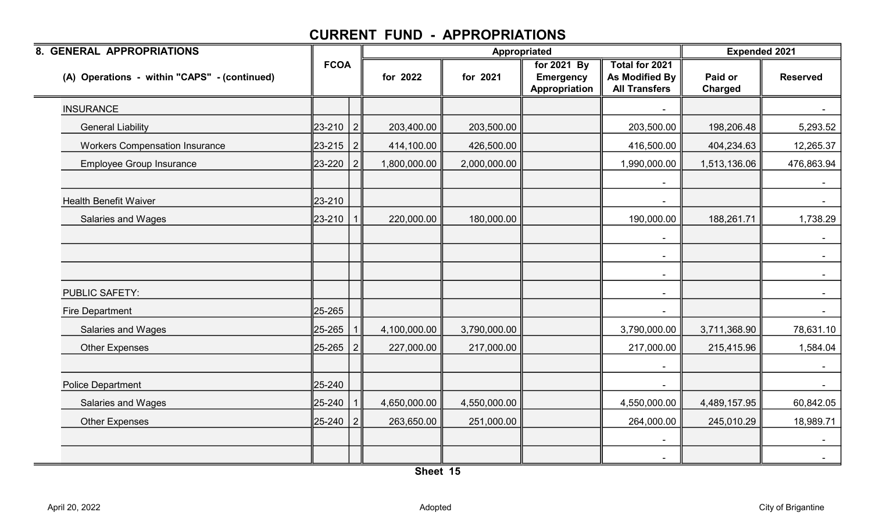| 8. GENERAL APPROPRIATIONS                    |             |                |              | Appropriated |                                                  |                                                          | <b>Expended 2021</b> |                      |
|----------------------------------------------|-------------|----------------|--------------|--------------|--------------------------------------------------|----------------------------------------------------------|----------------------|----------------------|
| (A) Operations - within "CAPS" - (continued) | <b>FCOA</b> |                | for 2022     | for 2021     | for 2021 By<br><b>Emergency</b><br>Appropriation | Total for 2021<br>As Modified By<br><b>All Transfers</b> | Paid or<br>Charged   | <b>Reserved</b>      |
| <b>INSURANCE</b>                             |             |                |              |              |                                                  |                                                          |                      |                      |
| <b>General Liability</b>                     | 23-210      | 2              | 203,400.00   | 203,500.00   |                                                  | 203,500.00                                               | 198,206.48           | 5,293.52             |
| <b>Workers Compensation Insurance</b>        | 23-215      | $\overline{2}$ | 414,100.00   | 426,500.00   |                                                  | 416,500.00                                               | 404,234.63           | 12,265.37            |
| <b>Employee Group Insurance</b>              | 23-220      | 2              | 1,800,000.00 | 2,000,000.00 |                                                  | 1,990,000.00                                             | 1,513,136.06         | 476,863.94           |
| <b>Health Benefit Waiver</b>                 | 23-210      |                |              |              |                                                  |                                                          |                      | $\sim$               |
| Salaries and Wages                           | 23-210      |                | 220,000.00   | 180,000.00   |                                                  | 190,000.00                                               | 188,261.71           | 1,738.29             |
|                                              |             |                |              |              |                                                  | $\blacksquare$<br>$\blacksquare$                         |                      | $\sim$               |
|                                              |             |                |              |              |                                                  | $\sim$                                                   |                      | $\sim$               |
| <b>PUBLIC SAFETY:</b>                        |             |                |              |              |                                                  | $\blacksquare$                                           |                      | $\sim$               |
| <b>Fire Department</b>                       | 25-265      |                |              |              |                                                  | $\blacksquare$                                           |                      | $\sim$ $-$           |
| Salaries and Wages                           | 25-265      |                | 4,100,000.00 | 3,790,000.00 |                                                  | 3,790,000.00                                             | 3,711,368.90         | 78,631.10            |
| <b>Other Expenses</b>                        | 25-265      |                | 227,000.00   | 217,000.00   |                                                  | 217,000.00                                               | 215,415.96           | 1,584.04             |
| <b>Police Department</b>                     | 25-240      |                |              |              |                                                  | $\blacksquare$                                           |                      | $\sim$<br>$\sim$ $-$ |
| Salaries and Wages                           | 25-240      |                | 4,650,000.00 | 4,550,000.00 |                                                  | 4,550,000.00                                             | 4,489,157.95         | 60,842.05            |
| <b>Other Expenses</b>                        | 25-240      | 2              | 263,650.00   | 251,000.00   |                                                  | 264,000.00                                               | 245,010.29           | 18,989.71            |
|                                              |             |                |              |              |                                                  | $\blacksquare$                                           |                      | $\sim$               |
|                                              |             |                |              |              |                                                  |                                                          |                      | $\sim$ $-$           |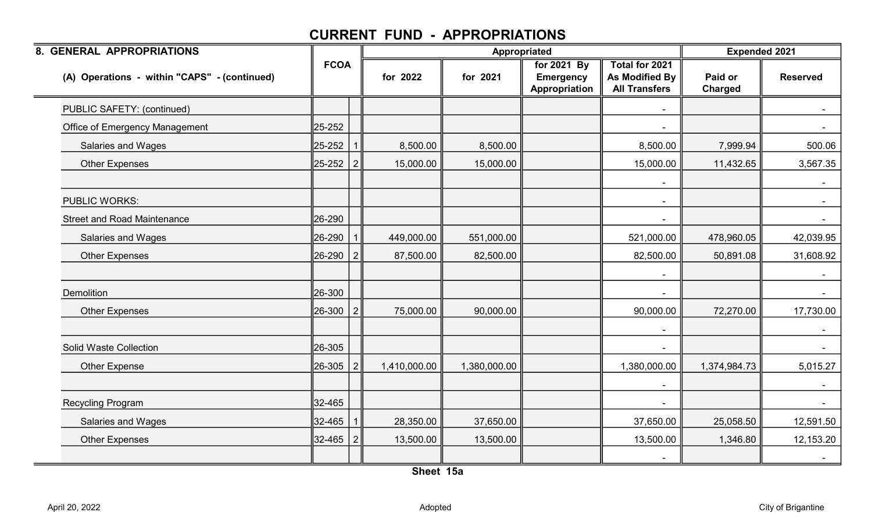| 8. GENERAL APPROPRIATIONS                    |             |   |              | Appropriated |                                                  |                                                          | <b>Expended 2021</b> |                 |  |
|----------------------------------------------|-------------|---|--------------|--------------|--------------------------------------------------|----------------------------------------------------------|----------------------|-----------------|--|
| (A) Operations - within "CAPS" - (continued) | <b>FCOA</b> |   | for 2022     | for 2021     | for 2021 By<br><b>Emergency</b><br>Appropriation | Total for 2021<br>As Modified By<br><b>All Transfers</b> | Paid or<br>Charged   | <b>Reserved</b> |  |
| PUBLIC SAFETY: (continued)                   |             |   |              |              |                                                  |                                                          |                      |                 |  |
| <b>Office of Emergency Management</b>        | 25-252      |   |              |              |                                                  |                                                          |                      |                 |  |
| Salaries and Wages                           | 25-252      |   | 8,500.00     | 8,500.00     |                                                  | 8,500.00                                                 | 7,999.94             | 500.06          |  |
| <b>Other Expenses</b>                        | 25-252      | 2 | 15,000.00    | 15,000.00    |                                                  | 15,000.00                                                | 11,432.65            | 3,567.35        |  |
| <b>PUBLIC WORKS:</b>                         |             |   |              |              |                                                  | $\sim$                                                   |                      |                 |  |
| <b>Street and Road Maintenance</b>           | 26-290      |   |              |              |                                                  |                                                          |                      | $\sim$          |  |
| Salaries and Wages                           | 26-290      |   | 449,000.00   | 551,000.00   |                                                  | 521,000.00                                               | 478,960.05           | 42,039.95       |  |
| <b>Other Expenses</b>                        | 26-290      | 2 | 87,500.00    | 82,500.00    |                                                  | 82,500.00                                                | 50,891.08            | 31,608.92       |  |
| Demolition                                   | 26-300      |   |              |              |                                                  |                                                          |                      | $\sim$          |  |
| <b>Other Expenses</b>                        | 26-300      | 2 | 75,000.00    | 90,000.00    |                                                  | 90,000.00                                                | 72,270.00            | 17,730.00       |  |
|                                              |             |   |              |              |                                                  |                                                          |                      |                 |  |
| Solid Waste Collection                       | 26-305      |   |              |              |                                                  |                                                          |                      |                 |  |
| <b>Other Expense</b>                         | 26-305      |   | 1,410,000.00 | 1,380,000.00 |                                                  | 1,380,000.00                                             | 1,374,984.73         | 5,015.27        |  |
|                                              |             |   |              |              |                                                  | $\blacksquare$                                           |                      | $\sim$ $-$      |  |
| <b>Recycling Program</b>                     | 32-465      |   |              |              |                                                  |                                                          |                      | $\sim$ 10 $\,$  |  |
| Salaries and Wages                           | 32-465      |   | 28,350.00    | 37,650.00    |                                                  | 37,650.00                                                | 25,058.50            | 12,591.50       |  |
| <b>Other Expenses</b>                        | 32-465      | 2 | 13,500.00    | 13,500.00    |                                                  | 13,500.00                                                | 1,346.80             | 12,153.20       |  |
|                                              |             |   |              |              |                                                  |                                                          |                      | $\sim$          |  |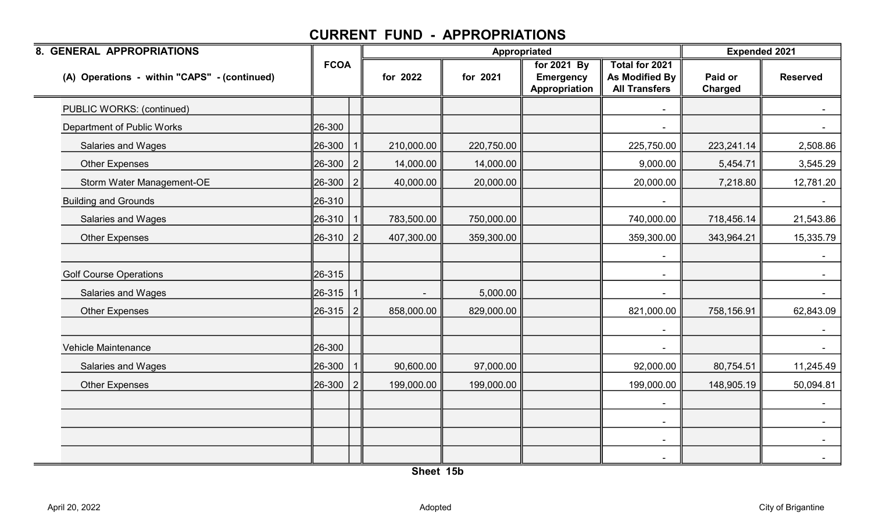| 8. GENERAL APPROPRIATIONS                    |             |               |            | Appropriated |                                                  |                                                          | <b>Expended 2021</b> |                 |
|----------------------------------------------|-------------|---------------|------------|--------------|--------------------------------------------------|----------------------------------------------------------|----------------------|-----------------|
| (A) Operations - within "CAPS" - (continued) | <b>FCOA</b> |               | for 2022   | for 2021     | for 2021 By<br><b>Emergency</b><br>Appropriation | Total for 2021<br>As Modified By<br><b>All Transfers</b> | Paid or<br>Charged   | <b>Reserved</b> |
| PUBLIC WORKS: (continued)                    |             |               |            |              |                                                  |                                                          |                      |                 |
| Department of Public Works                   | 26-300      |               |            |              |                                                  |                                                          |                      |                 |
| Salaries and Wages                           | 26-300      |               | 210,000.00 | 220,750.00   |                                                  | 225,750.00                                               | 223,241.14           | 2,508.86        |
| Other Expenses                               | 26-300      | $\mathcal{P}$ | 14,000.00  | 14,000.00    |                                                  | 9,000.00                                                 | 5,454.71             | 3,545.29        |
| Storm Water Management-OE                    | 26-300      |               | 40,000.00  | 20,000.00    |                                                  | 20,000.00                                                | 7,218.80             | 12,781.20       |
| <b>Building and Grounds</b>                  | 26-310      |               |            |              |                                                  |                                                          |                      |                 |
| <b>Salaries and Wages</b>                    | 26-310      |               | 783,500.00 | 750,000.00   |                                                  | 740,000.00                                               | 718,456.14           | 21,543.86       |
| <b>Other Expenses</b>                        | 26-310      | 2             | 407,300.00 | 359,300.00   |                                                  | 359,300.00                                               | 343,964.21           | 15,335.79       |
|                                              |             |               |            |              |                                                  |                                                          |                      |                 |
| <b>Golf Course Operations</b>                | 26-315      |               |            |              |                                                  | $\sim$                                                   |                      |                 |
| Salaries and Wages                           | 26-315      |               |            | 5,000.00     |                                                  |                                                          |                      | $\sim$          |
| <b>Other Expenses</b>                        | 26-315      | 2             | 858,000.00 | 829,000.00   |                                                  | 821,000.00                                               | 758,156.91           | 62,843.09       |
|                                              |             |               |            |              |                                                  |                                                          |                      |                 |
| Vehicle Maintenance                          | 26-300      |               |            |              |                                                  |                                                          |                      |                 |
| Salaries and Wages                           | 26-300      |               | 90,600.00  | 97,000.00    |                                                  | 92,000.00                                                | 80,754.51            | 11,245.49       |
| <b>Other Expenses</b>                        | 26-300      | 2             | 199,000.00 | 199,000.00   |                                                  | 199,000.00                                               | 148,905.19           | 50,094.81       |
|                                              |             |               |            |              |                                                  |                                                          |                      | $\sim$          |
|                                              |             |               |            |              |                                                  | $\blacksquare$                                           |                      |                 |
|                                              |             |               |            |              |                                                  |                                                          |                      |                 |
|                                              |             |               |            |              |                                                  |                                                          |                      |                 |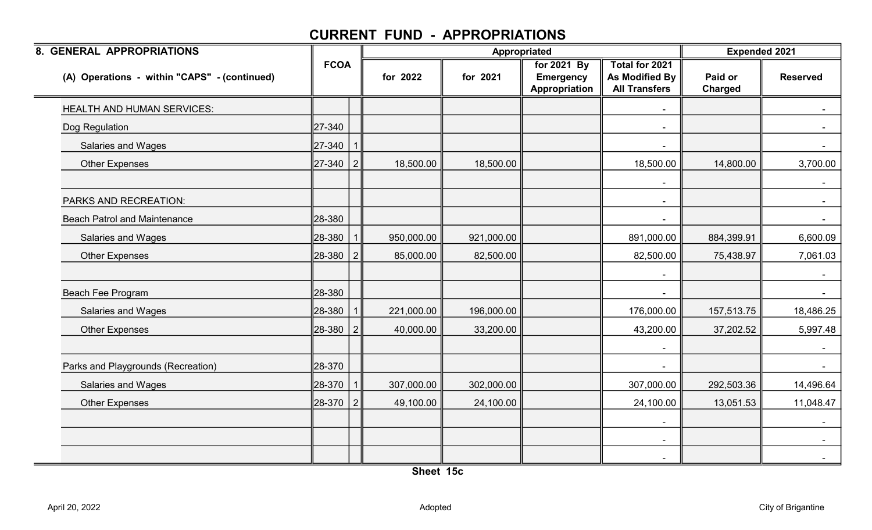| 8. GENERAL APPROPRIATIONS                    |             |                |            | Appropriated |                                                  |                                                          | <b>Expended 2021</b> |                 |  |
|----------------------------------------------|-------------|----------------|------------|--------------|--------------------------------------------------|----------------------------------------------------------|----------------------|-----------------|--|
| (A) Operations - within "CAPS" - (continued) | <b>FCOA</b> |                | for 2022   | for 2021     | for 2021 By<br><b>Emergency</b><br>Appropriation | Total for 2021<br>As Modified By<br><b>All Transfers</b> | Paid or<br>Charged   | <b>Reserved</b> |  |
| <b>HEALTH AND HUMAN SERVICES:</b>            |             |                |            |              |                                                  |                                                          |                      |                 |  |
| Dog Regulation                               | 27-340      |                |            |              |                                                  | $\blacksquare$                                           |                      | $\sim$          |  |
| Salaries and Wages                           | 27-340      |                |            |              |                                                  |                                                          |                      |                 |  |
| <b>Other Expenses</b>                        | 27-340      | 2              | 18,500.00  | 18,500.00    |                                                  | 18,500.00                                                | 14,800.00            | 3,700.00        |  |
|                                              |             |                |            |              |                                                  |                                                          |                      |                 |  |
| PARKS AND RECREATION:                        |             |                |            |              |                                                  | $\sim$                                                   |                      |                 |  |
| <b>Beach Patrol and Maintenance</b>          | 28-380      |                |            |              |                                                  |                                                          |                      | $\sim$          |  |
| Salaries and Wages                           | 28-380      |                | 950,000.00 | 921,000.00   |                                                  | 891,000.00                                               | 884,399.91           | 6,600.09        |  |
| <b>Other Expenses</b>                        | 28-380      | 2              | 85,000.00  | 82,500.00    |                                                  | 82,500.00                                                | 75,438.97            | 7,061.03        |  |
|                                              |             |                |            |              |                                                  | $\blacksquare$                                           |                      |                 |  |
| Beach Fee Program                            | 28-380      |                |            |              |                                                  |                                                          |                      | $\sim$          |  |
| Salaries and Wages                           | 28-380      |                | 221,000.00 | 196,000.00   |                                                  | 176,000.00                                               | 157,513.75           | 18,486.25       |  |
| <b>Other Expenses</b>                        | 28-380      | 2              | 40,000.00  | 33,200.00    |                                                  | 43,200.00                                                | 37,202.52            | 5,997.48        |  |
|                                              |             |                |            |              |                                                  |                                                          |                      |                 |  |
| Parks and Playgrounds (Recreation)           | 28-370      |                |            |              |                                                  |                                                          |                      | $\sim$          |  |
| Salaries and Wages                           | 28-370      |                | 307,000.00 | 302,000.00   |                                                  | 307,000.00                                               | 292,503.36           | 14,496.64       |  |
| <b>Other Expenses</b>                        | 28-370      | $\overline{2}$ | 49,100.00  | 24,100.00    |                                                  | 24,100.00                                                | 13,051.53            | 11,048.47       |  |
|                                              |             |                |            |              |                                                  |                                                          |                      |                 |  |
|                                              |             |                |            |              |                                                  | $\blacksquare$                                           |                      | $\sim$          |  |
|                                              |             |                |            |              |                                                  |                                                          |                      | $\sim$          |  |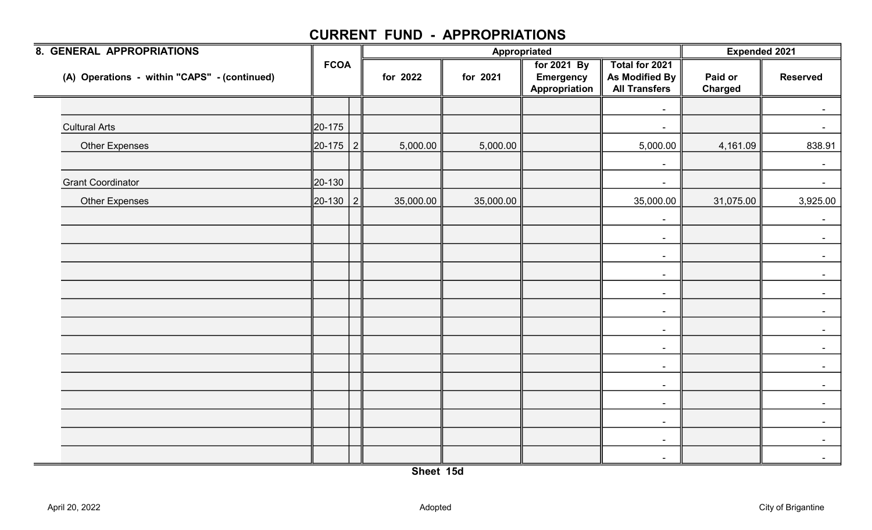| <b>8. GENERAL APPROPRIATIONS</b>             |             |   |           | Appropriated |                                                  |                                                          |                           | <b>Expended 2021</b> |
|----------------------------------------------|-------------|---|-----------|--------------|--------------------------------------------------|----------------------------------------------------------|---------------------------|----------------------|
| (A) Operations - within "CAPS" - (continued) | <b>FCOA</b> |   | for 2022  | for 2021     | for 2021 By<br><b>Emergency</b><br>Appropriation | Total for 2021<br>As Modified By<br><b>All Transfers</b> | Paid or<br><b>Charged</b> | <b>Reserved</b>      |
|                                              |             |   |           |              |                                                  | $\blacksquare$                                           |                           |                      |
| <b>Cultural Arts</b>                         | 20-175      |   |           |              |                                                  | $\blacksquare$                                           |                           |                      |
| <b>Other Expenses</b>                        | 20-175 2    |   | 5,000.00  | 5,000.00     |                                                  | 5,000.00                                                 | 4,161.09                  | 838.91               |
|                                              |             |   |           |              |                                                  | $\blacksquare$                                           |                           | $\sim$               |
| <b>Grant Coordinator</b>                     | 20-130      |   |           |              |                                                  | $\overline{\phantom{a}}$                                 |                           | $\sim$               |
| <b>Other Expenses</b>                        | 20-130      | 2 | 35,000.00 | 35,000.00    |                                                  | 35,000.00                                                | 31,075.00                 | 3,925.00             |
|                                              |             |   |           |              |                                                  | $\blacksquare$                                           |                           | $\sim$               |
|                                              |             |   |           |              |                                                  | $\sim$                                                   |                           | $\sim$               |
|                                              |             |   |           |              |                                                  | $\sim$                                                   |                           |                      |
|                                              |             |   |           |              |                                                  | $\sim$                                                   |                           |                      |
|                                              |             |   |           |              |                                                  | $\sim$                                                   |                           |                      |
|                                              |             |   |           |              |                                                  | $\sim$                                                   |                           |                      |
|                                              |             |   |           |              |                                                  | $\sim$                                                   |                           |                      |
|                                              |             |   |           |              |                                                  | $\sim$                                                   |                           |                      |
|                                              |             |   |           |              |                                                  | $\sim$                                                   |                           |                      |
|                                              |             |   |           |              |                                                  | $\sim$                                                   |                           | $\blacksquare$       |
|                                              |             |   |           |              |                                                  | $\sim$                                                   |                           |                      |
|                                              |             |   |           |              |                                                  | $\blacksquare$                                           |                           |                      |
|                                              |             |   |           |              |                                                  | $\overline{\phantom{a}}$                                 |                           |                      |
|                                              |             |   |           |              |                                                  | $\blacksquare$                                           |                           |                      |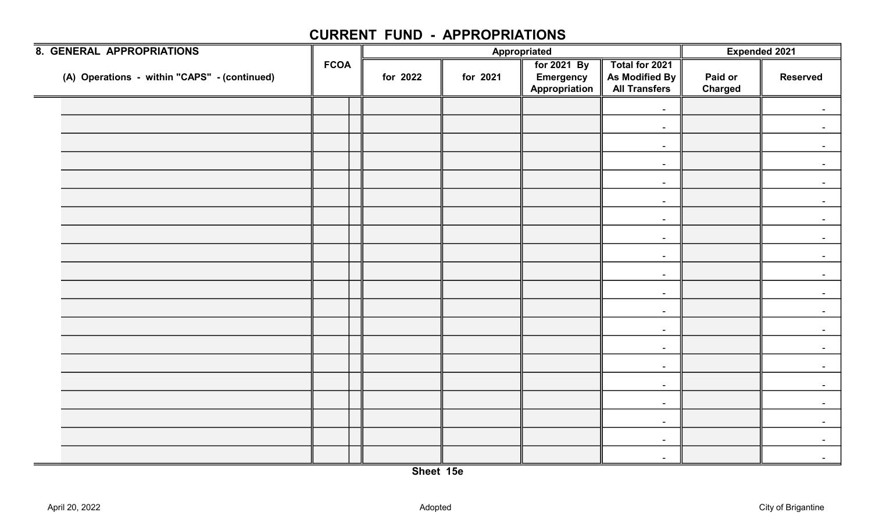| 8. GENERAL APPROPRIATIONS                    |             |  | Appropriated |          |                                                  |                                                          | Expended 2021             |                 |
|----------------------------------------------|-------------|--|--------------|----------|--------------------------------------------------|----------------------------------------------------------|---------------------------|-----------------|
| (A) Operations - within "CAPS" - (continued) | <b>FCOA</b> |  | for 2022     | for 2021 | for 2021 By<br><b>Emergency</b><br>Appropriation | Total for 2021<br>As Modified By<br><b>All Transfers</b> | Paid or<br><b>Charged</b> | <b>Reserved</b> |
|                                              |             |  |              |          |                                                  | $\blacksquare$                                           |                           |                 |
|                                              |             |  |              |          |                                                  | $\sim$                                                   |                           |                 |
|                                              |             |  |              |          |                                                  | $\blacksquare$                                           |                           |                 |
|                                              |             |  |              |          |                                                  | $\sim$                                                   |                           |                 |
|                                              |             |  |              |          |                                                  | $\blacksquare$                                           |                           |                 |
|                                              |             |  |              |          |                                                  | $\blacksquare$                                           |                           |                 |
|                                              |             |  |              |          |                                                  | $\sim$                                                   |                           |                 |
|                                              |             |  |              |          |                                                  | $\sim$                                                   |                           |                 |
|                                              |             |  |              |          |                                                  | $\sim$                                                   |                           |                 |
|                                              |             |  |              |          |                                                  | $\blacksquare$                                           |                           |                 |
|                                              |             |  |              |          |                                                  | $\sim$                                                   |                           |                 |
|                                              |             |  |              |          |                                                  | $\sim$                                                   |                           |                 |
|                                              |             |  |              |          |                                                  | $\sim$                                                   |                           |                 |
|                                              |             |  |              |          |                                                  | $\blacksquare$                                           |                           |                 |
|                                              |             |  |              |          |                                                  | $\sim$                                                   |                           |                 |
|                                              |             |  |              |          |                                                  | $\sim$                                                   |                           |                 |
|                                              |             |  |              |          |                                                  | $\sim$                                                   |                           |                 |
|                                              |             |  |              |          |                                                  | $\blacksquare$                                           |                           |                 |
|                                              |             |  |              |          |                                                  | $\blacksquare$                                           |                           | $\blacksquare$  |
|                                              |             |  |              |          |                                                  | $\sim$                                                   |                           | $\sim$          |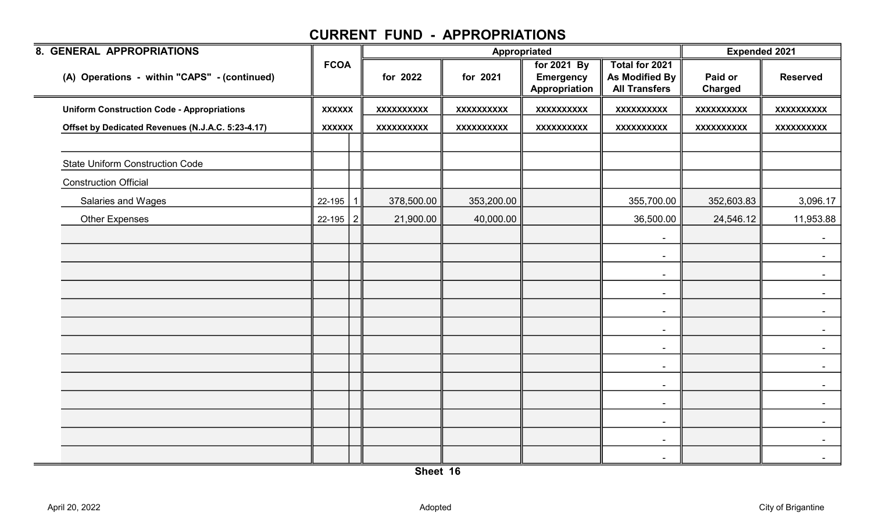| 8. GENERAL APPROPRIATIONS                         |               |                   | Appropriated      |                                                  |                                                          | <b>Expended 2021</b> |                   |
|---------------------------------------------------|---------------|-------------------|-------------------|--------------------------------------------------|----------------------------------------------------------|----------------------|-------------------|
| (A) Operations - within "CAPS" - (continued)      | <b>FCOA</b>   | for 2022          | for 2021          | for 2021 By<br><b>Emergency</b><br>Appropriation | Total for 2021<br>As Modified By<br><b>All Transfers</b> | Paid or<br>Charged   | <b>Reserved</b>   |
| <b>Uniform Construction Code - Appropriations</b> | <b>XXXXXX</b> | <b>XXXXXXXXXX</b> | <b>XXXXXXXXXX</b> | XXXXXXXXX                                        | <b>XXXXXXXXXX</b>                                        | <b>XXXXXXXXXX</b>    | <b>XXXXXXXXXX</b> |
| Offset by Dedicated Revenues (N.J.A.C. 5:23-4.17) | <b>XXXXXX</b> | <b>XXXXXXXXXX</b> | XXXXXXXXXX        | <b>XXXXXXXXXX</b>                                | <b>XXXXXXXXXX</b>                                        | <b>XXXXXXXXXX</b>    | XXXXXXXXXX        |
| <b>State Uniform Construction Code</b>            |               |                   |                   |                                                  |                                                          |                      |                   |
| <b>Construction Official</b>                      |               |                   |                   |                                                  |                                                          |                      |                   |
| Salaries and Wages                                | 22-195        | 378,500.00        | 353,200.00        |                                                  | 355,700.00                                               | 352,603.83           | 3,096.17          |
| <b>Other Expenses</b>                             | $22-195$   2  | 21,900.00         | 40,000.00         |                                                  | 36,500.00                                                | 24,546.12            | 11,953.88         |
|                                                   |               |                   |                   |                                                  | $\sim$                                                   |                      | $\sim$            |
|                                                   |               |                   |                   |                                                  | $\sim$                                                   |                      | $\sim$            |
|                                                   |               |                   |                   |                                                  | $\sim$                                                   |                      | $\sim$            |
|                                                   |               |                   |                   |                                                  | $\sim$                                                   |                      | $\sim$            |
|                                                   |               |                   |                   |                                                  | $\blacksquare$                                           |                      | $\sim$            |
|                                                   |               |                   |                   |                                                  | $\blacksquare$                                           |                      |                   |
|                                                   |               |                   |                   |                                                  | $\sim$                                                   |                      |                   |
|                                                   |               |                   |                   |                                                  | $\sim$                                                   |                      |                   |
|                                                   |               |                   |                   |                                                  | $\sim$                                                   |                      | $\sim$            |
|                                                   |               |                   |                   |                                                  | $\blacksquare$                                           |                      | $\sim$            |
|                                                   |               |                   |                   |                                                  | $\sim$                                                   |                      |                   |
|                                                   |               |                   |                   |                                                  | $\blacksquare$                                           |                      |                   |
|                                                   |               |                   |                   |                                                  | $\blacksquare$                                           |                      | $\blacksquare$    |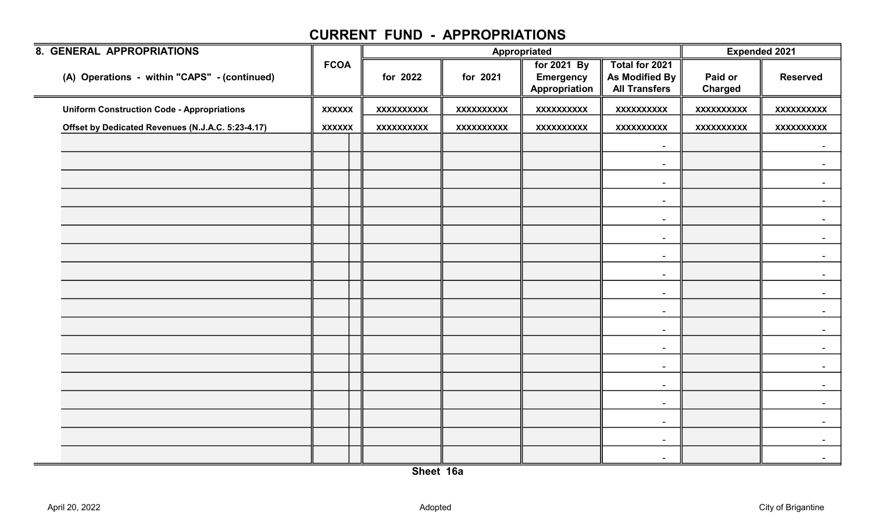| <b>8. GENERAL APPROPRIATIONS</b>                  |               |                   |                   | Appropriated                                     |                                                          | <b>Expended 2021</b>      |                   |
|---------------------------------------------------|---------------|-------------------|-------------------|--------------------------------------------------|----------------------------------------------------------|---------------------------|-------------------|
| (A) Operations - within "CAPS" - (continued)      | <b>FCOA</b>   | for 2022          | for 2021          | for 2021 By<br><b>Emergency</b><br>Appropriation | Total for 2021<br>As Modified By<br><b>All Transfers</b> | Paid or<br><b>Charged</b> | <b>Reserved</b>   |
| <b>Uniform Construction Code - Appropriations</b> | <b>XXXXXX</b> | <b>XXXXXXXXXX</b> | <b>XXXXXXXXXX</b> | <b>XXXXXXXXXX</b>                                | <b>XXXXXXXXXX</b>                                        | <b>XXXXXXXXXX</b>         | <b>XXXXXXXXXX</b> |
| Offset by Dedicated Revenues (N.J.A.C. 5:23-4.17) | <b>XXXXXX</b> | <b>XXXXXXXXXX</b> | <b>XXXXXXXXXX</b> | <b>XXXXXXXXXX</b>                                | <b>XXXXXXXXXX</b>                                        | <b>XXXXXXXXXX</b>         | <b>XXXXXXXXXX</b> |
|                                                   |               |                   |                   |                                                  | $\blacksquare$                                           |                           | $\sim$            |
|                                                   |               |                   |                   |                                                  | $\blacksquare$                                           |                           |                   |
|                                                   |               |                   |                   |                                                  | $\sim$                                                   |                           |                   |
|                                                   |               |                   |                   |                                                  | $\blacksquare$                                           |                           |                   |
|                                                   |               |                   |                   |                                                  | $\sim$                                                   |                           |                   |
|                                                   |               |                   |                   |                                                  | $\sim$                                                   |                           |                   |
|                                                   |               |                   |                   |                                                  | $\sim$                                                   |                           |                   |
|                                                   |               |                   |                   |                                                  | $\blacksquare$                                           |                           |                   |
|                                                   |               |                   |                   |                                                  | $\sim$                                                   |                           |                   |
|                                                   |               |                   |                   |                                                  | $\blacksquare$                                           |                           |                   |
|                                                   |               |                   |                   |                                                  |                                                          |                           |                   |
|                                                   |               |                   |                   |                                                  | $\sim$                                                   |                           |                   |
|                                                   |               |                   |                   |                                                  | $\blacksquare$                                           |                           |                   |
|                                                   |               |                   |                   |                                                  | $\sim$                                                   |                           |                   |
|                                                   |               |                   |                   |                                                  | $\sim$                                                   |                           |                   |
|                                                   |               |                   |                   |                                                  | $\blacksquare$                                           |                           |                   |
|                                                   |               |                   |                   |                                                  | $\overline{\phantom{a}}$                                 |                           |                   |
|                                                   |               |                   |                   |                                                  | $\blacksquare$                                           |                           | $\blacksquare$    |
|                                                   |               |                   |                   |                                                  | $\sim$                                                   |                           | $\blacksquare$    |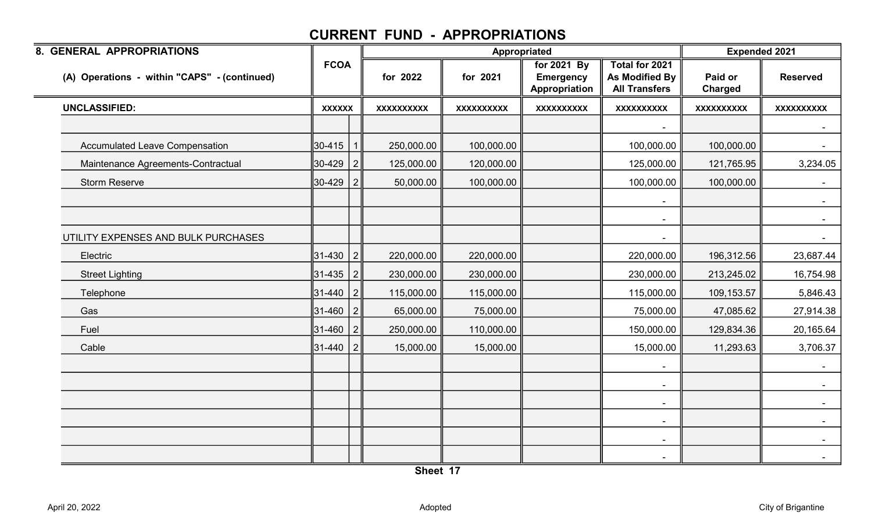| 8. GENERAL APPROPRIATIONS                    |               |                |                   | Appropriated      |                                                  |                                                                 | <b>Expended 2021</b>      |                   |
|----------------------------------------------|---------------|----------------|-------------------|-------------------|--------------------------------------------------|-----------------------------------------------------------------|---------------------------|-------------------|
| (A) Operations - within "CAPS" - (continued) | <b>FCOA</b>   |                | for 2022          | for 2021          | for 2021 By<br><b>Emergency</b><br>Appropriation | <b>Total for 2021</b><br>As Modified By<br><b>All Transfers</b> | Paid or<br><b>Charged</b> | <b>Reserved</b>   |
| <b>UNCLASSIFIED:</b>                         | <b>XXXXXX</b> |                | <b>XXXXXXXXXX</b> | <b>XXXXXXXXXX</b> | <b>XXXXXXXXXX</b>                                | <b>XXXXXXXXXX</b>                                               | <b>XXXXXXXXXX</b>         | <b>XXXXXXXXXX</b> |
|                                              |               |                |                   |                   |                                                  |                                                                 |                           |                   |
| <b>Accumulated Leave Compensation</b>        | 30-415        |                | 250,000.00        | 100,000.00        |                                                  | 100,000.00                                                      | 100,000.00                | $\sim$            |
| Maintenance Agreements-Contractual           | 30-429        | $\vert$ 2      | 125,000.00        | 120,000.00        |                                                  | 125,000.00                                                      | 121,765.95                | 3,234.05          |
| <b>Storm Reserve</b>                         | 30-429        | 2 <sup>1</sup> | 50,000.00         | 100,000.00        |                                                  | 100,000.00                                                      | 100,000.00                |                   |
|                                              |               |                |                   |                   |                                                  |                                                                 |                           |                   |
|                                              |               |                |                   |                   |                                                  | $\sim$                                                          |                           | $\sim$ $-$        |
| UTILITY EXPENSES AND BULK PURCHASES          |               |                |                   |                   |                                                  |                                                                 |                           | $\sim$ .          |
| Electric                                     | 31-430        | $\vert$ 2      | 220,000.00        | 220,000.00        |                                                  | 220,000.00                                                      | 196,312.56                | 23,687.44         |
| <b>Street Lighting</b>                       | 31-435        | 2 <sup>1</sup> | 230,000.00        | 230,000.00        |                                                  | 230,000.00                                                      | 213,245.02                | 16,754.98         |
| Telephone                                    | 31-440        | 2 <sup>1</sup> | 115,000.00        | 115,000.00        |                                                  | 115,000.00                                                      | 109,153.57                | 5,846.43          |
| Gas                                          | 31-460        | 2 <sup>1</sup> | 65,000.00         | 75,000.00         |                                                  | 75,000.00                                                       | 47,085.62                 | 27,914.38         |
| Fuel                                         | 31-460        | $\vert$ 2      | 250,000.00        | 110,000.00        |                                                  | 150,000.00                                                      | 129,834.36                | 20,165.64         |
| Cable                                        | 31-440        | 2 <sup>1</sup> | 15,000.00         | 15,000.00         |                                                  | 15,000.00                                                       | 11,293.63                 | 3,706.37          |
|                                              |               |                |                   |                   |                                                  | $\blacksquare$                                                  |                           | $\sim$ $-$        |
|                                              |               |                |                   |                   |                                                  | $\blacksquare$                                                  |                           | $\sim$            |
|                                              |               |                |                   |                   |                                                  | $\blacksquare$                                                  |                           |                   |
|                                              |               |                |                   |                   |                                                  | $\overline{\phantom{a}}$                                        |                           |                   |
|                                              |               |                |                   |                   |                                                  | $\sim$                                                          |                           | $\sim$            |
|                                              |               |                |                   |                   |                                                  | $\blacksquare$                                                  |                           | $\sim$            |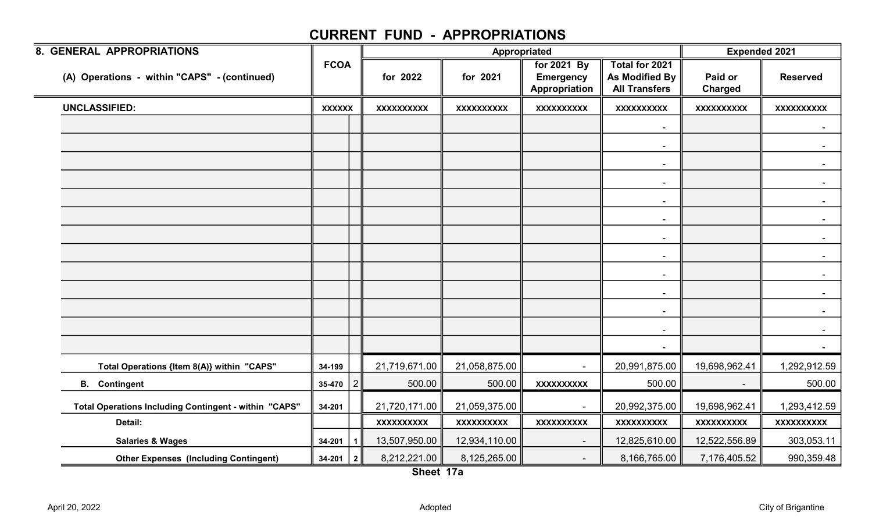| 8. GENERAL APPROPRIATIONS                             |               |   |                   |                   | Appropriated                                     |                                                                 | <b>Expended 2021</b> |                   |
|-------------------------------------------------------|---------------|---|-------------------|-------------------|--------------------------------------------------|-----------------------------------------------------------------|----------------------|-------------------|
| (A) Operations - within "CAPS" - (continued)          | <b>FCOA</b>   |   | for 2022          | for 2021          | for 2021 By<br><b>Emergency</b><br>Appropriation | Total for 2021<br><b>As Modified By</b><br><b>All Transfers</b> | Paid or<br>Charged   | <b>Reserved</b>   |
| <b>UNCLASSIFIED:</b>                                  | <b>XXXXXX</b> |   | <b>XXXXXXXXXX</b> | <b>XXXXXXXXXX</b> | <b>XXXXXXXXXX</b>                                | <b>XXXXXXXXXX</b>                                               | <b>XXXXXXXXXX</b>    | <b>XXXXXXXXXX</b> |
|                                                       |               |   |                   |                   |                                                  | $\sim$                                                          |                      |                   |
|                                                       |               |   |                   |                   |                                                  | $\overline{\phantom{a}}$                                        |                      |                   |
|                                                       |               |   |                   |                   |                                                  | $\overline{\phantom{a}}$                                        |                      | $\sim$ $-$        |
|                                                       |               |   |                   |                   |                                                  | $\blacksquare$                                                  |                      |                   |
|                                                       |               |   |                   |                   |                                                  | $\blacksquare$                                                  |                      |                   |
|                                                       |               |   |                   |                   |                                                  | $\overline{\phantom{a}}$                                        |                      |                   |
|                                                       |               |   |                   |                   |                                                  | $\blacksquare$                                                  |                      |                   |
|                                                       |               |   |                   |                   |                                                  | $\blacksquare$                                                  |                      |                   |
|                                                       |               |   |                   |                   |                                                  |                                                                 |                      |                   |
|                                                       |               |   |                   |                   |                                                  | $\blacksquare$                                                  |                      |                   |
|                                                       |               |   |                   |                   |                                                  | $\overline{\phantom{a}}$                                        |                      |                   |
|                                                       |               |   |                   |                   |                                                  | $\overline{\phantom{a}}$                                        |                      |                   |
|                                                       |               |   |                   |                   |                                                  | $\overline{\phantom{a}}$                                        |                      | $\sim$            |
|                                                       |               |   |                   |                   |                                                  |                                                                 |                      |                   |
| Total Operations {Item 8(A)} within "CAPS"            | 34-199        |   | 21,719,671.00     | 21,058,875.00     | $\mathbf{r}$                                     | 20,991,875.00                                                   | 19,698,962.41        | 1,292,912.59      |
| <b>B.</b> Contingent                                  | $35-470$      | 2 | 500.00            | 500.00            | <b>XXXXXXXXXX</b>                                | 500.00                                                          |                      | 500.00            |
| Total Operations Including Contingent - within "CAPS" | 34-201        |   | 21,720,171.00     | 21,059,375.00     | $\blacksquare$                                   | 20,992,375.00                                                   | 19,698,962.41        | 1,293,412.59      |
| Detail:                                               |               |   | <b>XXXXXXXXXX</b> | XXXXXXXXXX        | <b>XXXXXXXXXX</b>                                | <b>XXXXXXXXXX</b>                                               | <b>XXXXXXXXXX</b>    | <b>XXXXXXXXXX</b> |
| <b>Salaries &amp; Wages</b>                           | 34-201        | 1 | 13,507,950.00     | 12,934,110.00     | $\blacksquare$                                   | 12,825,610.00                                                   | 12,522,556.89        | 303,053.11        |
| <b>Other Expenses (Including Contingent)</b>          | $34-201$   2  |   | 8,212,221.00      | 8,125,265.00      |                                                  | 8,166,765.00                                                    | 7,176,405.52         | 990,359.48        |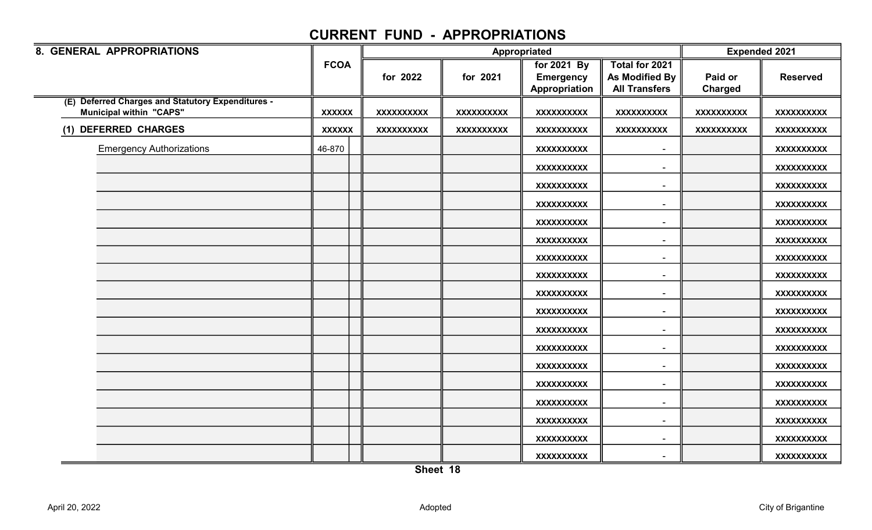| 8. GENERAL APPROPRIATIONS                         |               |                   |                   | Appropriated      |                              | <b>Expended 2021</b> |                   |
|---------------------------------------------------|---------------|-------------------|-------------------|-------------------|------------------------------|----------------------|-------------------|
|                                                   | <b>FCOA</b>   |                   |                   | for 2021 By       | Total for 2021               |                      |                   |
|                                                   |               | for 2022          | for 2021          | <b>Emergency</b>  | As Modified By               | Paid or              | <b>Reserved</b>   |
|                                                   |               |                   |                   | Appropriation     | <b>All Transfers</b>         | <b>Charged</b>       |                   |
| (E) Deferred Charges and Statutory Expenditures - |               |                   |                   |                   |                              |                      |                   |
| <b>Municipal within "CAPS"</b>                    | <b>XXXXXX</b> | <b>XXXXXXXXXX</b> | <b>XXXXXXXXXX</b> | <b>XXXXXXXXXX</b> | <b>XXXXXXXXXX</b>            | <b>XXXXXXXXXX</b>    | <b>XXXXXXXXXX</b> |
| (1) DEFERRED CHARGES                              | <b>XXXXXX</b> | <b>XXXXXXXXXX</b> | <b>XXXXXXXXXX</b> | <b>XXXXXXXXXX</b> | <b>XXXXXXXXXX</b>            | <b>XXXXXXXXXX</b>    | <b>XXXXXXXXXX</b> |
| <b>Emergency Authorizations</b>                   | 46-870        |                   |                   | <b>XXXXXXXXXX</b> | $\qquad \qquad \blacksquare$ |                      | <b>XXXXXXXXXX</b> |
|                                                   |               |                   |                   | <b>XXXXXXXXXX</b> |                              |                      | XXXXXXXXXX        |
|                                                   |               |                   |                   | <b>XXXXXXXXXX</b> | $\overline{\phantom{a}}$     |                      | XXXXXXXXXX        |
|                                                   |               |                   |                   | <b>XXXXXXXXXX</b> | $\overline{\phantom{a}}$     |                      | <b>XXXXXXXXXX</b> |
|                                                   |               |                   |                   | <b>XXXXXXXXXX</b> | $\blacksquare$               |                      | <b>XXXXXXXXXX</b> |
|                                                   |               |                   |                   | <b>XXXXXXXXXX</b> | $\overline{\phantom{a}}$     |                      | <b>XXXXXXXXXX</b> |
|                                                   |               |                   |                   | <b>XXXXXXXXXX</b> | $\blacksquare$               |                      | <b>XXXXXXXXXX</b> |
|                                                   |               |                   |                   | <b>XXXXXXXXXX</b> | $\blacksquare$               |                      | XXXXXXXXXX        |
|                                                   |               |                   |                   | <b>XXXXXXXXXX</b> | $\blacksquare$               |                      | <b>XXXXXXXXXX</b> |
|                                                   |               |                   |                   | <b>XXXXXXXXXX</b> | $\blacksquare$               |                      | <b>XXXXXXXXXX</b> |
|                                                   |               |                   |                   | <b>XXXXXXXXXX</b> |                              |                      | <b>XXXXXXXXXX</b> |
|                                                   |               |                   |                   | <b>XXXXXXXXXX</b> |                              |                      | <b>XXXXXXXXXX</b> |
|                                                   |               |                   |                   | <b>XXXXXXXXXX</b> | $\overline{\phantom{a}}$     |                      | <b>XXXXXXXXXX</b> |
|                                                   |               |                   |                   | <b>XXXXXXXXXX</b> | $\overline{\phantom{a}}$     |                      | XXXXXXXXXX        |
|                                                   |               |                   |                   | <b>XXXXXXXXXX</b> | $\overline{\phantom{a}}$     |                      | <b>XXXXXXXXXX</b> |
|                                                   |               |                   |                   | <b>XXXXXXXXXX</b> | $\overline{\phantom{a}}$     |                      | <b>XXXXXXXXXX</b> |
|                                                   |               |                   |                   | <b>XXXXXXXXXX</b> | $\blacksquare$               |                      | <b>XXXXXXXXXX</b> |
|                                                   |               |                   |                   | <b>XXXXXXXXXX</b> |                              |                      | <b>XXXXXXXXXX</b> |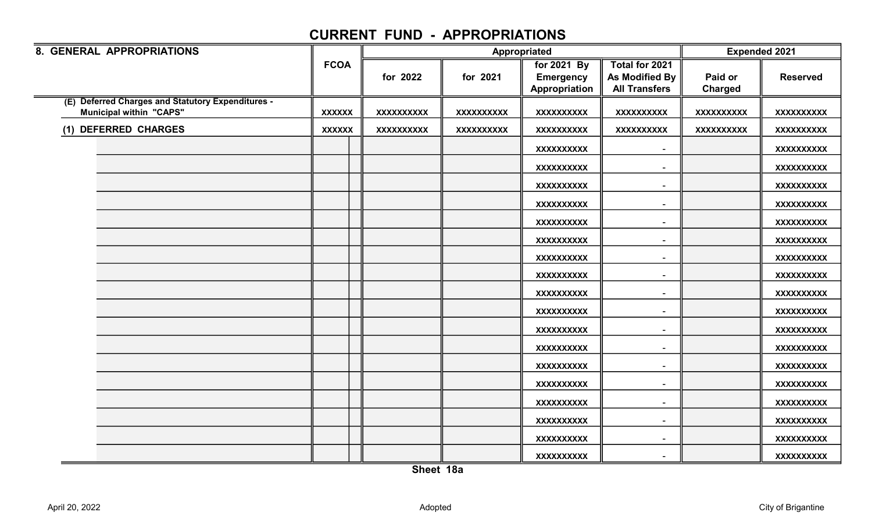| 8. GENERAL APPROPRIATIONS                                                           |               |                   | Appropriated      |                                                  | <b>Expended 2021</b>                                     |                           |                   |
|-------------------------------------------------------------------------------------|---------------|-------------------|-------------------|--------------------------------------------------|----------------------------------------------------------|---------------------------|-------------------|
|                                                                                     | <b>FCOA</b>   | for 2022          | for 2021          | for 2021 By<br><b>Emergency</b><br>Appropriation | Total for 2021<br>As Modified By<br><b>All Transfers</b> | Paid or<br><b>Charged</b> | <b>Reserved</b>   |
| (E) Deferred Charges and Statutory Expenditures -<br><b>Municipal within "CAPS"</b> | <b>XXXXXX</b> | <b>XXXXXXXXXX</b> | <b>XXXXXXXXXX</b> | <b>XXXXXXXXXX</b>                                | <b>XXXXXXXXXX</b>                                        | <b>XXXXXXXXXX</b>         | <b>XXXXXXXXXX</b> |
| (1) DEFERRED CHARGES                                                                | <b>XXXXXX</b> | <b>XXXXXXXXXX</b> | <b>XXXXXXXXXX</b> | <b>XXXXXXXXXX</b>                                | <b>XXXXXXXXXX</b>                                        | <b>XXXXXXXXXX</b>         | <b>XXXXXXXXXX</b> |
|                                                                                     |               |                   |                   | <b>XXXXXXXXXX</b>                                | $\overline{\phantom{a}}$                                 |                           | XXXXXXXXX         |
|                                                                                     |               |                   |                   | <b>XXXXXXXXXX</b>                                |                                                          |                           | <b>XXXXXXXXXX</b> |
|                                                                                     |               |                   |                   | <b>XXXXXXXXXX</b>                                | $\sim$                                                   |                           | XXXXXXXXXX        |
|                                                                                     |               |                   |                   | <b>XXXXXXXXXX</b>                                | $\overline{\phantom{a}}$                                 |                           | <b>XXXXXXXXXX</b> |
|                                                                                     |               |                   |                   | <b>XXXXXXXXXX</b>                                | $\overline{\phantom{a}}$                                 |                           | XXXXXXXXXX        |
|                                                                                     |               |                   |                   | <b>XXXXXXXXXX</b>                                | $\overline{\phantom{a}}$                                 |                           | XXXXXXXXXX        |
|                                                                                     |               |                   |                   | <b>XXXXXXXXXX</b>                                | $\overline{\phantom{a}}$                                 |                           | XXXXXXXXXX        |
|                                                                                     |               |                   |                   | <b>XXXXXXXXXX</b>                                |                                                          |                           | XXXXXXXXXX        |
|                                                                                     |               |                   |                   | <b>XXXXXXXXXX</b>                                | $\sim$                                                   |                           | <b>XXXXXXXXXX</b> |
|                                                                                     |               |                   |                   | <b>XXXXXXXXXX</b>                                | $\overline{\phantom{a}}$                                 |                           | <b>XXXXXXXXXX</b> |
|                                                                                     |               |                   |                   | <b>XXXXXXXXXX</b>                                |                                                          |                           | <b>XXXXXXXXXX</b> |
|                                                                                     |               |                   |                   | <b>XXXXXXXXXX</b>                                |                                                          |                           | <b>XXXXXXXXXX</b> |
|                                                                                     |               |                   |                   | <b>XXXXXXXXXX</b>                                |                                                          |                           | XXXXXXXXXX        |
|                                                                                     |               |                   |                   | <b>XXXXXXXXXX</b>                                | $\overline{\phantom{a}}$                                 |                           | <b>XXXXXXXXXX</b> |
|                                                                                     |               |                   |                   | <b>XXXXXXXXXX</b>                                | $\overline{\phantom{a}}$                                 |                           | XXXXXXXXX         |
|                                                                                     |               |                   |                   | <b>XXXXXXXXXX</b>                                | $\sim$                                                   |                           | <b>XXXXXXXXXX</b> |
|                                                                                     |               |                   |                   | <b>XXXXXXXXXX</b>                                | $\sim$                                                   |                           | <b>XXXXXXXXXX</b> |
|                                                                                     |               |                   |                   | <b>XXXXXXXXXX</b>                                |                                                          |                           | <b>XXXXXXXXXX</b> |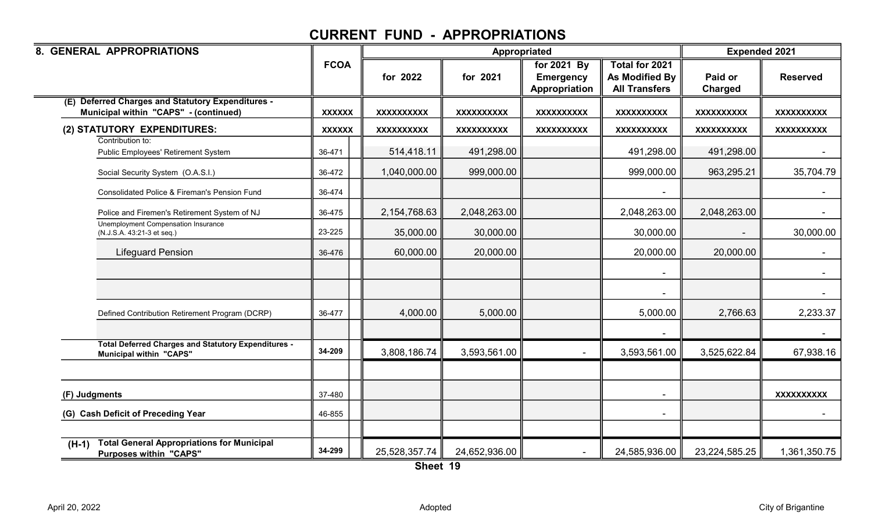| 8. GENERAL APPROPRIATIONS                                                                     |               |                   | Appropriated      |                                                  |                                                                 | <b>Expended 2021</b> |                   |
|-----------------------------------------------------------------------------------------------|---------------|-------------------|-------------------|--------------------------------------------------|-----------------------------------------------------------------|----------------------|-------------------|
|                                                                                               | <b>FCOA</b>   | for 2022          | for 2021          | for 2021 By<br><b>Emergency</b><br>Appropriation | Total for 2021<br><b>As Modified By</b><br><b>All Transfers</b> | Paid or<br>Charged   | <b>Reserved</b>   |
| <b>Deferred Charges and Statutory Expenditures -</b><br>Municipal within "CAPS" - (continued) | <b>XXXXXX</b> | <b>XXXXXXXXXX</b> | <b>XXXXXXXXXX</b> | <b>XXXXXXXXXX</b>                                | <b>XXXXXXXXXX</b>                                               | <b>XXXXXXXXXX</b>    | <b>XXXXXXXXXX</b> |
| (2) STATUTORY EXPENDITURES:                                                                   | <b>XXXXXX</b> | <b>XXXXXXXXXX</b> | <b>XXXXXXXXXX</b> | <b>XXXXXXXXXX</b>                                | <b>XXXXXXXXXX</b>                                               | <b>XXXXXXXXXX</b>    | <b>XXXXXXXXXX</b> |
| Contribution to:<br>Public Employees' Retirement System                                       | 36-471        | 514,418.11        | 491,298.00        |                                                  | 491,298.00                                                      | 491,298.00           |                   |
| Social Security System (O.A.S.I.)                                                             | 36-472        | 1,040,000.00      | 999,000.00        |                                                  | 999,000.00                                                      | 963,295.21           | 35,704.79         |
| Consolidated Police & Fireman's Pension Fund                                                  | 36-474        |                   |                   |                                                  |                                                                 |                      |                   |
| Police and Firemen's Retirement System of NJ                                                  | 36-475        | 2, 154, 768. 63   | 2,048,263.00      |                                                  | 2,048,263.00                                                    | 2,048,263.00         | $\blacksquare$    |
| Unemployment Compensation Insurance<br>(N.J.S.A. 43:21-3 et seq.)                             | 23-225        | 35,000.00         | 30,000.00         |                                                  | 30,000.00                                                       |                      | 30,000.00         |
| <b>Lifeguard Pension</b>                                                                      | 36-476        | 60,000.00         | 20,000.00         |                                                  | 20,000.00                                                       | 20,000.00            |                   |
|                                                                                               |               |                   |                   |                                                  |                                                                 |                      |                   |
|                                                                                               |               |                   |                   |                                                  |                                                                 |                      |                   |
| Defined Contribution Retirement Program (DCRP)                                                | 36-477        | 4,000.00          | 5,000.00          |                                                  | 5,000.00                                                        | 2,766.63             | 2,233.37          |
|                                                                                               |               |                   |                   |                                                  |                                                                 |                      |                   |
| <b>Total Deferred Charges and Statutory Expenditures -</b><br><b>Municipal within "CAPS"</b>  | 34-209        | 3,808,186.74      | 3,593,561.00      |                                                  | 3,593,561.00                                                    | 3,525,622.84         | 67,938.16         |
|                                                                                               |               |                   |                   |                                                  |                                                                 |                      |                   |
| (F) Judgments                                                                                 | 37-480        |                   |                   |                                                  |                                                                 |                      | <b>XXXXXXXXXX</b> |
| (G) Cash Deficit of Preceding Year                                                            | 46-855        |                   |                   |                                                  |                                                                 |                      |                   |
|                                                                                               |               |                   |                   |                                                  |                                                                 |                      |                   |
| <b>Total General Appropriations for Municipal</b><br>$(H-1)$<br><b>Purposes within "CAPS"</b> | 34-299        | 25,528,357.74     | 24,652,936.00     |                                                  | 24,585,936.00                                                   | 23,224,585.25        | 1,361,350.75      |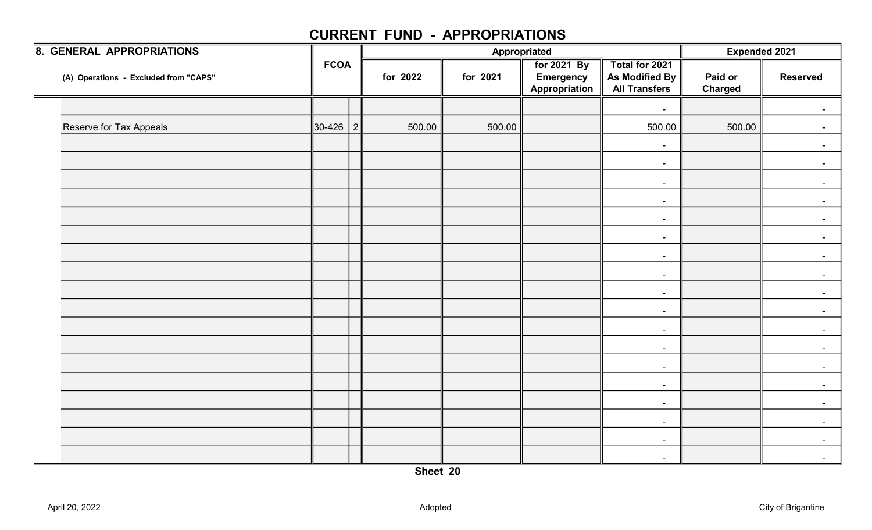| <b>8. GENERAL APPROPRIATIONS</b>      |              |          | Appropriated |                                                         |                                                          | Expended 2021             |                 |
|---------------------------------------|--------------|----------|--------------|---------------------------------------------------------|----------------------------------------------------------|---------------------------|-----------------|
| (A) Operations - Excluded from "CAPS" | <b>FCOA</b>  | for 2022 | for 2021     | <b>For 2021 By</b><br><b>Emergency</b><br>Appropriation | Total for 2021<br>As Modified By<br><b>All Transfers</b> | Paid or<br><b>Charged</b> | <b>Reserved</b> |
|                                       |              |          |              |                                                         | $\sim$                                                   |                           |                 |
| <b>Reserve for Tax Appeals</b>        | $30-426$   2 | 500.00   | 500.00       |                                                         | 500.00                                                   | 500.00                    |                 |
|                                       |              |          |              |                                                         | $\blacksquare$                                           |                           |                 |
|                                       |              |          |              |                                                         | $\blacksquare$                                           |                           | $\sim$          |
|                                       |              |          |              |                                                         | $\sim$                                                   |                           |                 |
|                                       |              |          |              |                                                         | $\blacksquare$                                           |                           |                 |
|                                       |              |          |              |                                                         | $\blacksquare$                                           |                           |                 |
|                                       |              |          |              |                                                         | $\sim$                                                   |                           | $\sim$          |
|                                       |              |          |              |                                                         | $\sim$                                                   |                           |                 |
|                                       |              |          |              |                                                         | $\sim$                                                   |                           |                 |
|                                       |              |          |              |                                                         | $\sim$                                                   |                           |                 |
|                                       |              |          |              |                                                         | $\blacksquare$                                           |                           | $\sim$          |
|                                       |              |          |              |                                                         | $\blacksquare$                                           |                           |                 |
|                                       |              |          |              |                                                         | $\sim$                                                   |                           |                 |
|                                       |              |          |              |                                                         | $\sim$                                                   |                           |                 |
|                                       |              |          |              |                                                         | $\sim$                                                   |                           | $\sim$          |
|                                       |              |          |              |                                                         | $\sim$                                                   |                           |                 |
|                                       |              |          |              |                                                         | $\sim$                                                   |                           |                 |
|                                       |              |          |              |                                                         | $\sim$                                                   |                           |                 |
|                                       |              |          |              |                                                         | $\sim$                                                   |                           |                 |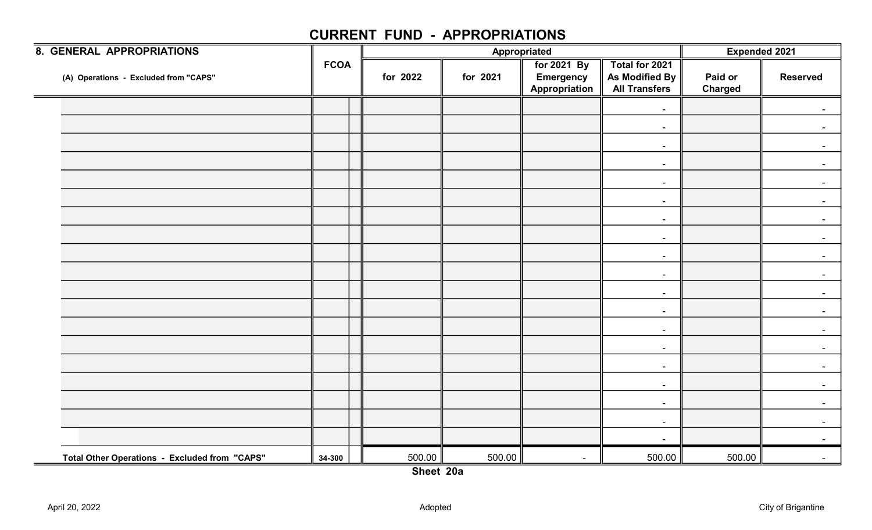| <b>8. GENERAL APPROPRIATIONS</b>                          |             |          |          | Appropriated                                     |                                                          | <b>Expended 2021</b>      |                 |
|-----------------------------------------------------------|-------------|----------|----------|--------------------------------------------------|----------------------------------------------------------|---------------------------|-----------------|
| (A) Operations - Excluded from "CAPS"                     | <b>FCOA</b> | for 2022 | for 2021 | for 2021 By<br><b>Emergency</b><br>Appropriation | Total for 2021<br>As Modified By<br><b>All Transfers</b> | Paid or<br><b>Charged</b> | <b>Reserved</b> |
|                                                           |             |          |          |                                                  | $\blacksquare$                                           |                           |                 |
|                                                           |             |          |          |                                                  | $\sim$                                                   |                           |                 |
|                                                           |             |          |          |                                                  | $\blacksquare$                                           |                           |                 |
|                                                           |             |          |          |                                                  | $\sim$                                                   |                           | $\sim$          |
|                                                           |             |          |          |                                                  | $\sim$                                                   |                           |                 |
|                                                           |             |          |          |                                                  | $\sim$                                                   |                           |                 |
|                                                           |             |          |          |                                                  | $\blacksquare$                                           |                           |                 |
|                                                           |             |          |          |                                                  | $\blacksquare$                                           |                           | $\sim$          |
|                                                           |             |          |          |                                                  | $\sim$                                                   |                           |                 |
|                                                           |             |          |          |                                                  | $\sim$                                                   |                           |                 |
|                                                           |             |          |          |                                                  | $\sim$                                                   |                           |                 |
|                                                           |             |          |          |                                                  | $\blacksquare$                                           |                           | $\sim$          |
|                                                           |             |          |          |                                                  | $\blacksquare$                                           |                           |                 |
|                                                           |             |          |          |                                                  | $\sim$                                                   |                           |                 |
|                                                           |             |          |          |                                                  | $\sim$                                                   |                           |                 |
|                                                           |             |          |          |                                                  | $\sim$                                                   |                           | $\sim$          |
|                                                           |             |          |          |                                                  | $\sim$                                                   |                           |                 |
|                                                           |             |          |          |                                                  | $\sim$                                                   |                           |                 |
|                                                           |             |          |          |                                                  | $\blacksquare$                                           |                           |                 |
| Total Other Operations - Excluded from "CAPS"<br>$\equiv$ | 34-300      | 500.00   | 500.00   | $\sim$                                           | 500.00                                                   | 500.00                    |                 |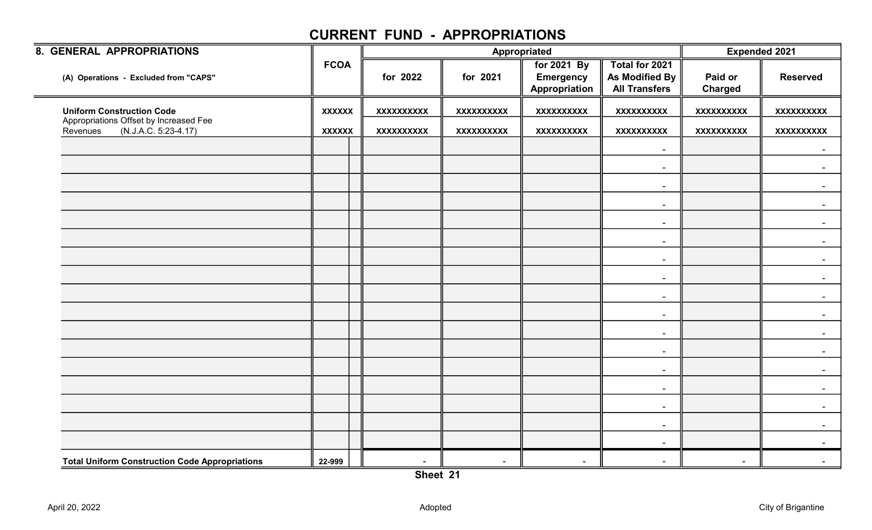| 8. GENERAL APPROPRIATIONS                                                  |               |                   |                   | Appropriated                                     |                                                          | <b>Expended 2021</b>      |                   |
|----------------------------------------------------------------------------|---------------|-------------------|-------------------|--------------------------------------------------|----------------------------------------------------------|---------------------------|-------------------|
| (A) Operations - Excluded from "CAPS"                                      | <b>FCOA</b>   | for 2022          | for 2021          | for 2021 By<br><b>Emergency</b><br>Appropriation | Total for 2021<br>As Modified By<br><b>All Transfers</b> | Paid or<br><b>Charged</b> | <b>Reserved</b>   |
| <b>Uniform Construction Code</b>                                           | <b>XXXXXX</b> | <b>XXXXXXXXXX</b> | XXXXXXXXXX        | <b>XXXXXXXXXX</b>                                | <b>XXXXXXXXXX</b>                                        | <b>XXXXXXXXXX</b>         | <b>XXXXXXXXXX</b> |
| Appropriations Offset by Increased Fee<br>(N.J.A.C. 5:23-4.17)<br>Revenues | <b>XXXXXX</b> | <b>XXXXXXXXXX</b> | <b>XXXXXXXXXX</b> | <b>XXXXXXXXXX</b>                                | <b>XXXXXXXXXX</b>                                        | <b>XXXXXXXXXX</b>         | <b>XXXXXXXXXX</b> |
|                                                                            |               |                   |                   |                                                  | $\sim$                                                   |                           | $\sim$            |
|                                                                            |               |                   |                   |                                                  | $\blacksquare$                                           |                           |                   |
|                                                                            |               |                   |                   |                                                  | $\sim$                                                   |                           |                   |
|                                                                            |               |                   |                   |                                                  | $\sim$                                                   |                           | $\blacksquare$    |
|                                                                            |               |                   |                   |                                                  | $\sim$                                                   |                           |                   |
|                                                                            |               |                   |                   |                                                  | $\sim$                                                   |                           |                   |
|                                                                            |               |                   |                   |                                                  | $\blacksquare$                                           |                           |                   |
|                                                                            |               |                   |                   |                                                  | $\sim$                                                   |                           |                   |
|                                                                            |               |                   |                   |                                                  | $\sim$                                                   |                           |                   |
|                                                                            |               |                   |                   |                                                  | $\sim$                                                   |                           |                   |
|                                                                            |               |                   |                   |                                                  | $\sim$                                                   |                           |                   |
|                                                                            |               |                   |                   |                                                  | $\sim$                                                   |                           |                   |
|                                                                            |               |                   |                   |                                                  | $\sim$                                                   |                           | $\sim$            |
|                                                                            |               |                   |                   |                                                  | $\sim$                                                   |                           |                   |
|                                                                            |               |                   |                   |                                                  | $\sim$                                                   |                           |                   |
|                                                                            |               |                   |                   |                                                  | $\sim$                                                   |                           |                   |
|                                                                            |               |                   |                   |                                                  | $\sim$                                                   |                           |                   |
| <b>Total Uniform Construction Code Appropriations</b>                      | 22-999        | $\sim$            | $\blacksquare$    | $\sim$                                           | $\sim$                                                   | $\blacksquare$            |                   |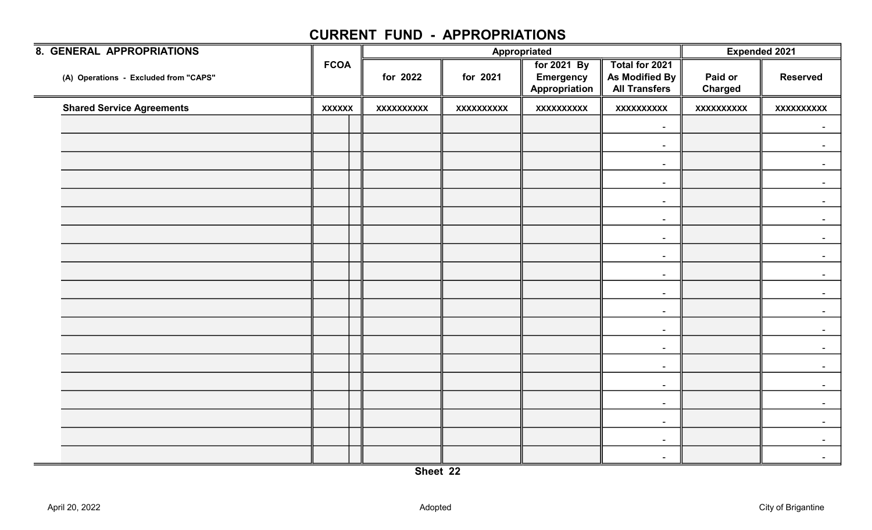|               |                   |                   |                                   |                                                          |                           | <b>Expended 2021</b> |
|---------------|-------------------|-------------------|-----------------------------------|----------------------------------------------------------|---------------------------|----------------------|
| <b>FCOA</b>   | for 2022          | for 2021          | <b>Emergency</b><br>Appropriation | Total for 2021<br>As Modified By<br><b>All Transfers</b> | Paid or<br><b>Charged</b> | <b>Reserved</b>      |
| <b>XXXXXX</b> | <b>XXXXXXXXXX</b> | <b>XXXXXXXXXX</b> | <b>XXXXXXXXXX</b>                 | <b>XXXXXXXXXX</b>                                        | <b>XXXXXXXXXX</b>         | <b>XXXXXXXXXX</b>    |
|               |                   |                   |                                   | $\sim$                                                   |                           | $\blacksquare$       |
|               |                   |                   |                                   | $\overline{\phantom{a}}$                                 |                           |                      |
|               |                   |                   |                                   | $\sim$                                                   |                           | $\sim$               |
|               |                   |                   |                                   | $\blacksquare$                                           |                           |                      |
|               |                   |                   |                                   | $\blacksquare$                                           |                           |                      |
|               |                   |                   |                                   | $\blacksquare$                                           |                           |                      |
|               |                   |                   |                                   | $\blacksquare$                                           |                           | $\sim$               |
|               |                   |                   |                                   | $\blacksquare$                                           |                           |                      |
|               |                   |                   |                                   | $\blacksquare$                                           |                           |                      |
|               |                   |                   |                                   | $\sim$                                                   |                           |                      |
|               |                   |                   |                                   | $\sim$                                                   |                           |                      |
|               |                   |                   |                                   | $\blacksquare$                                           |                           |                      |
|               |                   |                   |                                   | $\blacksquare$                                           |                           |                      |
|               |                   |                   |                                   | $\sim$                                                   |                           |                      |
|               |                   |                   |                                   | $\blacksquare$                                           |                           |                      |
|               |                   |                   |                                   | $\blacksquare$                                           |                           |                      |
|               |                   |                   |                                   | $\blacksquare$                                           |                           |                      |
|               |                   |                   |                                   | $\overline{\phantom{a}}$                                 |                           |                      |
|               |                   |                   |                                   | $\blacksquare$                                           |                           |                      |
|               |                   |                   |                                   | Appropriated<br>for 2021 By                              |                           |                      |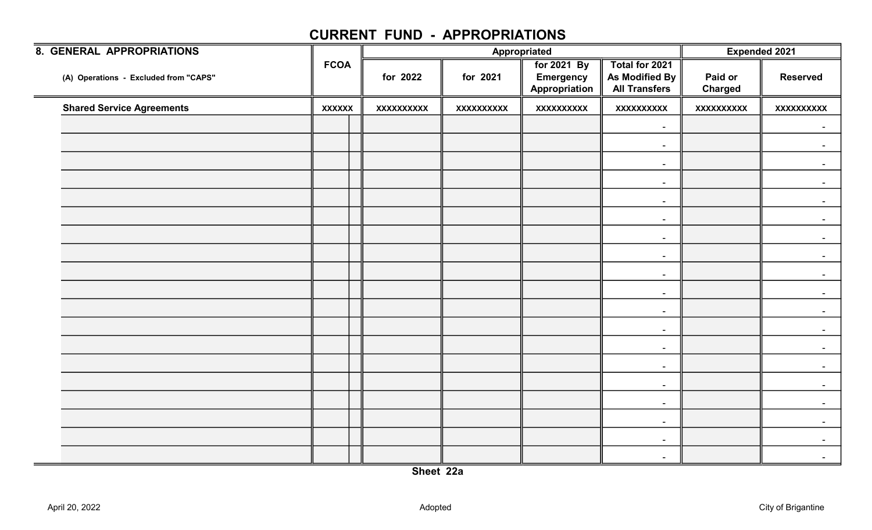| 8. GENERAL APPROPRIATIONS             |               |                   |                   | Appropriated                                     |                                                          |                           | <b>Expended 2021</b> |
|---------------------------------------|---------------|-------------------|-------------------|--------------------------------------------------|----------------------------------------------------------|---------------------------|----------------------|
| (A) Operations - Excluded from "CAPS" | <b>FCOA</b>   | for 2022          | for 2021          | for 2021 By<br><b>Emergency</b><br>Appropriation | Total for 2021<br>As Modified By<br><b>All Transfers</b> | Paid or<br><b>Charged</b> | <b>Reserved</b>      |
| <b>Shared Service Agreements</b>      | <b>XXXXXX</b> | <b>XXXXXXXXXX</b> | <b>XXXXXXXXXX</b> | <b>XXXXXXXXXX</b>                                | <b>XXXXXXXXXX</b>                                        | <b>XXXXXXXXXX</b>         | <b>XXXXXXXXXX</b>    |
|                                       |               |                   |                   |                                                  | $\sim$                                                   |                           | $\sim$               |
|                                       |               |                   |                   |                                                  | $\sim$                                                   |                           |                      |
|                                       |               |                   |                   |                                                  | $\sim$                                                   |                           | $\sim$               |
|                                       |               |                   |                   |                                                  | $\sim$                                                   |                           |                      |
|                                       |               |                   |                   |                                                  | $\sim$                                                   |                           |                      |
|                                       |               |                   |                   |                                                  | $\sim$                                                   |                           |                      |
|                                       |               |                   |                   |                                                  | $\sim$                                                   |                           | $\sim$               |
|                                       |               |                   |                   |                                                  | $\sim$                                                   |                           |                      |
|                                       |               |                   |                   |                                                  | $\sim$                                                   |                           |                      |
|                                       |               |                   |                   |                                                  | $\sim$                                                   |                           |                      |
|                                       |               |                   |                   |                                                  | $\sim$                                                   |                           | $\sim$               |
|                                       |               |                   |                   |                                                  | $\sim$                                                   |                           |                      |
|                                       |               |                   |                   |                                                  | $\sim$                                                   |                           |                      |
|                                       |               |                   |                   |                                                  | $\sim$                                                   |                           |                      |
|                                       |               |                   |                   |                                                  | $\sim$                                                   |                           | $\sim$               |
|                                       |               |                   |                   |                                                  | $\sim$                                                   |                           |                      |
|                                       |               |                   |                   |                                                  | $\sim$                                                   |                           |                      |
|                                       |               |                   |                   |                                                  | $\sim$                                                   |                           |                      |
|                                       |               |                   |                   |                                                  | $\overline{\phantom{a}}$                                 |                           |                      |
|                                       |               |                   |                   |                                                  |                                                          |                           |                      |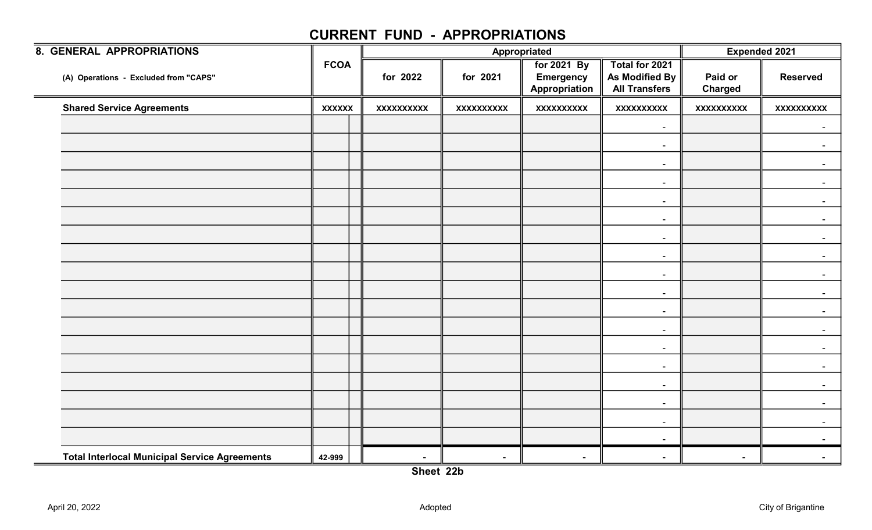| <b>8. GENERAL APPROPRIATIONS</b>                            |               |                   |                          | Appropriated                                     |                                                          |                           | <b>Expended 2021</b> |
|-------------------------------------------------------------|---------------|-------------------|--------------------------|--------------------------------------------------|----------------------------------------------------------|---------------------------|----------------------|
| (A) Operations - Excluded from "CAPS"                       | <b>FCOA</b>   | for 2022          | for 2021                 | for 2021 By<br><b>Emergency</b><br>Appropriation | Total for 2021<br>As Modified By<br><b>All Transfers</b> | Paid or<br><b>Charged</b> | <b>Reserved</b>      |
| <b>Shared Service Agreements</b>                            | <b>XXXXXX</b> | <b>XXXXXXXXXX</b> | <b>XXXXXXXXXX</b>        | <b>XXXXXXXXXX</b>                                | <b>XXXXXXXXXX</b>                                        | <b>XXXXXXXXXX</b>         | <b>XXXXXXXXXX</b>    |
|                                                             |               |                   |                          |                                                  | $\sim$                                                   |                           |                      |
|                                                             |               |                   |                          |                                                  | $\blacksquare$                                           |                           |                      |
|                                                             |               |                   |                          |                                                  | $\sim$                                                   |                           | $\sim$               |
|                                                             |               |                   |                          |                                                  | $\sim$                                                   |                           |                      |
|                                                             |               |                   |                          |                                                  | $\sim$                                                   |                           |                      |
|                                                             |               |                   |                          |                                                  | $\sim$                                                   |                           |                      |
|                                                             |               |                   |                          |                                                  | $\sim$                                                   |                           | $\sim$               |
|                                                             |               |                   |                          |                                                  | $\sim$                                                   |                           |                      |
|                                                             |               |                   |                          |                                                  | $\sim$                                                   |                           |                      |
|                                                             |               |                   |                          |                                                  | $\blacksquare$                                           |                           |                      |
|                                                             |               |                   |                          |                                                  | $\sim$                                                   |                           | $\sim$               |
|                                                             |               |                   |                          |                                                  | $\sim$                                                   |                           |                      |
|                                                             |               |                   |                          |                                                  | $\sim$                                                   |                           |                      |
|                                                             |               |                   |                          |                                                  | $\sim$                                                   |                           |                      |
|                                                             |               |                   |                          |                                                  | $\sim$                                                   |                           | $\sim$               |
|                                                             |               |                   |                          |                                                  | $\sim$                                                   |                           |                      |
|                                                             |               |                   |                          |                                                  | $\sim$                                                   |                           |                      |
|                                                             |               |                   |                          |                                                  | $\sim$                                                   |                           |                      |
| <b>Total Interlocal Municipal Service Agreements</b><br>$=$ | 42-999        | $\blacksquare$    | $\overline{\phantom{a}}$ | $\overline{\phantom{a}}$                         | $\overline{\phantom{a}}$                                 | $\blacksquare$            |                      |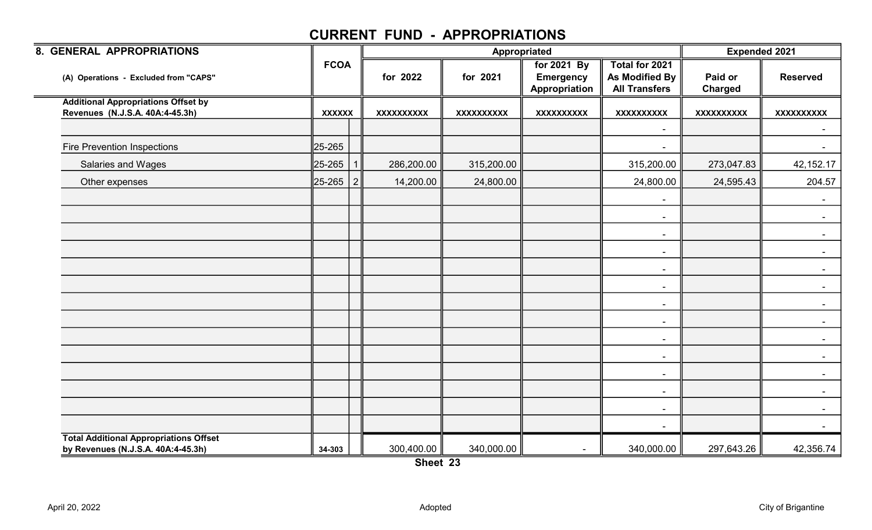| 8. GENERAL APPROPRIATIONS                                                     |               |                   | Appropriated      |                                                  |                                                          | <b>Expended 2021</b>      |                   |
|-------------------------------------------------------------------------------|---------------|-------------------|-------------------|--------------------------------------------------|----------------------------------------------------------|---------------------------|-------------------|
| (A) Operations - Excluded from "CAPS"                                         | <b>FCOA</b>   | for 2022          | for 2021          | for 2021 By<br><b>Emergency</b><br>Appropriation | Total for 2021<br>As Modified By<br><b>All Transfers</b> | Paid or<br><b>Charged</b> | <b>Reserved</b>   |
| <b>Additional Appropriations Offset by</b><br>Revenues (N.J.S.A. 40A:4-45.3h) | <b>XXXXXX</b> | <b>XXXXXXXXXX</b> | <b>XXXXXXXXXX</b> | <b>XXXXXXXXXX</b>                                | <b>XXXXXXXXXX</b>                                        | <b>XXXXXXXXXX</b>         | <b>XXXXXXXXXX</b> |
|                                                                               |               |                   |                   |                                                  | $\blacksquare$                                           |                           |                   |
| <b>Fire Prevention Inspections</b>                                            | 25-265        |                   |                   |                                                  |                                                          |                           |                   |
| Salaries and Wages                                                            | 25-265        | 286,200.00        | 315,200.00        |                                                  | 315,200.00                                               | 273,047.83                | 42,152.17         |
| Other expenses                                                                | 25-265   2    | 14,200.00         | 24,800.00         |                                                  | 24,800.00                                                | 24,595.43                 | 204.57            |
|                                                                               |               |                   |                   |                                                  | $\blacksquare$                                           |                           |                   |
|                                                                               |               |                   |                   |                                                  | $\blacksquare$                                           |                           | $\blacksquare$    |
|                                                                               |               |                   |                   |                                                  | $\sim$                                                   |                           | $\sim$            |
|                                                                               |               |                   |                   |                                                  | $\sim$                                                   |                           | $\sim$            |
|                                                                               |               |                   |                   |                                                  | $\overline{\phantom{a}}$                                 |                           |                   |
|                                                                               |               |                   |                   |                                                  | $\blacksquare$                                           |                           |                   |
|                                                                               |               |                   |                   |                                                  | $\sim$                                                   |                           |                   |
|                                                                               |               |                   |                   |                                                  | $\blacksquare$                                           |                           | $\sim$            |
|                                                                               |               |                   |                   |                                                  | $\sim$                                                   |                           |                   |
|                                                                               |               |                   |                   |                                                  | $\blacksquare$                                           |                           |                   |
|                                                                               |               |                   |                   |                                                  | $\blacksquare$                                           |                           | $\sim$            |
|                                                                               |               |                   |                   |                                                  | $\blacksquare$                                           |                           | $\sim$            |
|                                                                               |               |                   |                   |                                                  | $\blacksquare$                                           |                           |                   |
|                                                                               |               |                   |                   |                                                  | $\sim$                                                   |                           |                   |
| <b>Total Additional Appropriations Offset</b>                                 |               |                   |                   |                                                  |                                                          |                           |                   |
| by Revenues (N.J.S.A. 40A:4-45.3h)                                            | 34-303        | 300,400.00        | 340,000.00        |                                                  | 340,000.00                                               | 297,643.26                | 42,356.74         |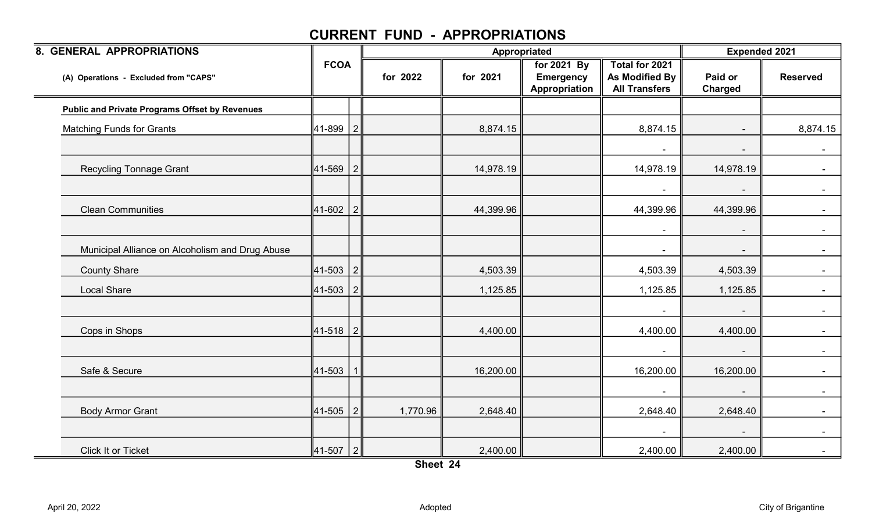| 8. GENERAL APPROPRIATIONS                             |               |          |           | Appropriated                                     |                                                          | <b>Expended 2021</b>     |                 |
|-------------------------------------------------------|---------------|----------|-----------|--------------------------------------------------|----------------------------------------------------------|--------------------------|-----------------|
| (A) Operations - Excluded from "CAPS"                 | <b>FCOA</b>   | for 2022 | for 2021  | for 2021 By<br><b>Emergency</b><br>Appropriation | Total for 2021<br>As Modified By<br><b>All Transfers</b> | Paid or<br>Charged       | <b>Reserved</b> |
| <b>Public and Private Programs Offset by Revenues</b> |               |          |           |                                                  |                                                          |                          |                 |
| <b>Matching Funds for Grants</b>                      | $ 41-899 2$   |          | 8,874.15  |                                                  | 8,874.15                                                 | $\sim$                   | 8,874.15        |
|                                                       |               |          |           |                                                  |                                                          |                          | $\sim$          |
| <b>Recycling Tonnage Grant</b>                        | $ 41 - 569 2$ |          | 14,978.19 |                                                  | 14,978.19                                                | 14,978.19                | $\sim$          |
|                                                       |               |          |           |                                                  | $\blacksquare$                                           | $\overline{\phantom{a}}$ | $\sim$          |
| <b>Clean Communities</b>                              | $ 41-602 2 $  |          | 44,399.96 |                                                  | 44,399.96                                                | 44,399.96                |                 |
|                                                       |               |          |           |                                                  | $\blacksquare$                                           |                          | $\sim$          |
| Municipal Alliance on Alcoholism and Drug Abuse       |               |          |           |                                                  | $\blacksquare$                                           | $\sim$                   | $\sim$          |
| <b>County Share</b>                                   | $ 41-503 2 $  |          | 4,503.39  |                                                  | 4,503.39                                                 | 4,503.39                 |                 |
| <b>Local Share</b>                                    | $ 41-503 2 $  |          | 1,125.85  |                                                  | 1,125.85                                                 | 1,125.85                 | $\sim$          |
|                                                       |               |          |           |                                                  |                                                          |                          | $\sim$          |
| Cops in Shops                                         | $ 41-518 2$   |          | 4,400.00  |                                                  | 4,400.00                                                 | 4,400.00                 |                 |
|                                                       |               |          |           |                                                  | $\blacksquare$                                           |                          | $\sim 100$      |
| Safe & Secure                                         | $ 41 - 503 $  |          | 16,200.00 |                                                  | 16,200.00                                                | 16,200.00                | $\sim$          |
|                                                       |               |          |           |                                                  | $\blacksquare$                                           | $\sim$                   | $\sim$ $-$      |
| <b>Body Armor Grant</b>                               | $ 41-505 2$   | 1,770.96 | 2,648.40  |                                                  | 2,648.40                                                 | 2,648.40                 | $\sim$          |
|                                                       |               |          |           |                                                  |                                                          |                          |                 |
| Click It or Ticket                                    | $ 41-507 2 $  |          | 2,400.00  |                                                  | 2,400.00                                                 | 2,400.00                 |                 |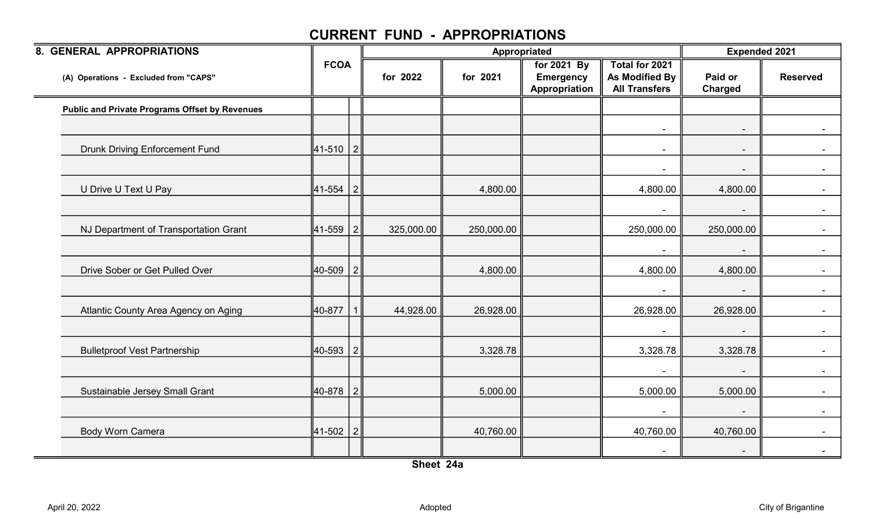| 8. GENERAL APPROPRIATIONS                             |              |            | Appropriated |                                                  |                                                          |                           | <b>Expended 2021</b> |  |
|-------------------------------------------------------|--------------|------------|--------------|--------------------------------------------------|----------------------------------------------------------|---------------------------|----------------------|--|
| (A) Operations - Excluded from "CAPS"                 | <b>FCOA</b>  | for 2022   | for 2021     | for 2021 By<br><b>Emergency</b><br>Appropriation | Total for 2021<br>As Modified By<br><b>All Transfers</b> | Paid or<br><b>Charged</b> | <b>Reserved</b>      |  |
| <b>Public and Private Programs Offset by Revenues</b> |              |            |              |                                                  |                                                          |                           |                      |  |
|                                                       |              |            |              |                                                  | $\blacksquare$                                           | $\sim$                    | $\sim$               |  |
| <b>Drunk Driving Enforcement Fund</b>                 | 41-510 2     |            |              |                                                  | $\overline{\phantom{a}}$                                 |                           |                      |  |
|                                                       |              |            |              |                                                  |                                                          |                           |                      |  |
| U Drive U Text U Pay                                  | 41-554 2     |            | 4,800.00     |                                                  | 4,800.00                                                 | 4,800.00                  | $\sim$ $-$           |  |
|                                                       |              |            |              |                                                  |                                                          |                           |                      |  |
| NJ Department of Transportation Grant                 | 41-559 2     | 325,000.00 | 250,000.00   |                                                  | 250,000.00                                               | 250,000.00                |                      |  |
|                                                       |              |            |              |                                                  |                                                          |                           |                      |  |
| Drive Sober or Get Pulled Over                        | 40-509 2     |            | 4,800.00     |                                                  | 4,800.00                                                 | 4,800.00                  |                      |  |
|                                                       |              |            |              |                                                  | $\blacksquare$                                           |                           | $\sim$               |  |
| Atlantic County Area Agency on Aging                  | 40-877       | 44,928.00  | 26,928.00    |                                                  | 26,928.00                                                | 26,928.00                 |                      |  |
|                                                       |              |            |              |                                                  |                                                          |                           |                      |  |
| <b>Bulletproof Vest Partnership</b>                   | 40-593 2     |            | 3,328.78     |                                                  | 3,328.78                                                 | 3,328.78                  | $\sim$ $-$           |  |
|                                                       |              |            |              |                                                  |                                                          |                           | $\sim$               |  |
| Sustainable Jersey Small Grant                        | ∥40-878   2∣ |            | 5,000.00     |                                                  | 5,000.00                                                 | 5,000.00                  | $\sim$ 10 $\pm$      |  |
|                                                       |              |            |              |                                                  |                                                          |                           |                      |  |
| <b>Body Worn Camera</b>                               | $ 41-502 2$  |            | 40,760.00    |                                                  | 40,760.00                                                | 40,760.00                 |                      |  |
|                                                       |              |            |              |                                                  |                                                          |                           |                      |  |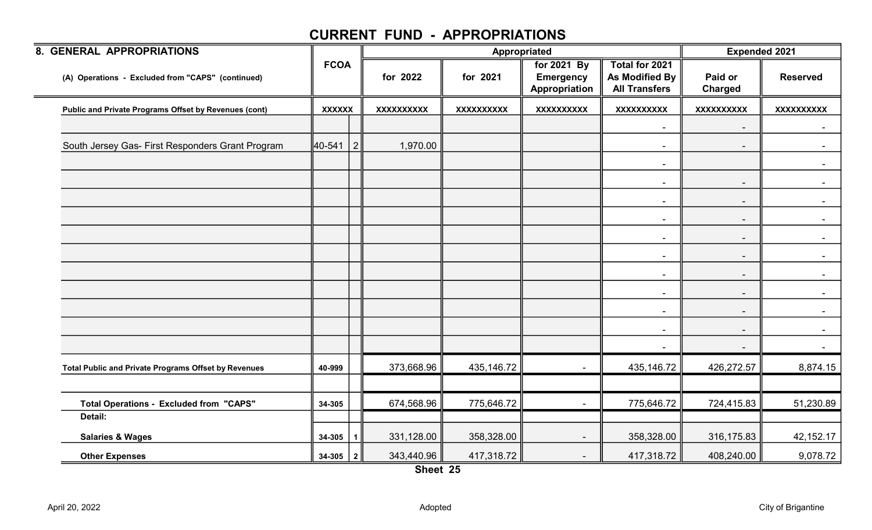| 8. GENERAL APPROPRIATIONS                             |               |           |                   |                   | Appropriated                                     |                                                                 | <b>Expended 2021</b>     |                   |
|-------------------------------------------------------|---------------|-----------|-------------------|-------------------|--------------------------------------------------|-----------------------------------------------------------------|--------------------------|-------------------|
| (A) Operations - Excluded from "CAPS" (continued)     | <b>FCOA</b>   |           | for 2022          | for 2021          | for 2021 By<br><b>Emergency</b><br>Appropriation | Total for 2021<br><b>As Modified By</b><br><b>All Transfers</b> | Paid or<br>Charged       | <b>Reserved</b>   |
| Public and Private Programs Offset by Revenues (cont) | <b>XXXXXX</b> |           | <b>XXXXXXXXXX</b> | <b>XXXXXXXXXX</b> | <b>XXXXXXXXXX</b>                                | <b>XXXXXXXXXX</b>                                               | XXXXXXXXX                | <b>XXXXXXXXXX</b> |
|                                                       |               |           |                   |                   |                                                  | $\blacksquare$                                                  | $\overline{\phantom{a}}$ |                   |
| South Jersey Gas- First Responders Grant Program      | 40-541        | 2         | 1,970.00          |                   |                                                  | $\blacksquare$                                                  | $\sim$                   | $\sim$ 10 $\pm$   |
|                                                       |               |           |                   |                   |                                                  | $\blacksquare$                                                  |                          |                   |
|                                                       |               |           |                   |                   |                                                  | $\overline{\phantom{a}}$                                        | $\sim$                   |                   |
|                                                       |               |           |                   |                   |                                                  | $\blacksquare$                                                  | $\blacksquare$           |                   |
|                                                       |               |           |                   |                   |                                                  | $\blacksquare$                                                  | $\sim$                   | $\sim$ 100 $\mu$  |
|                                                       |               |           |                   |                   |                                                  | $\blacksquare$                                                  | $\sim$                   |                   |
|                                                       |               |           |                   |                   |                                                  | $\overline{\phantom{a}}$                                        | $\sim$                   |                   |
|                                                       |               |           |                   |                   |                                                  | $\overline{\phantom{a}}$                                        | $\blacksquare$           |                   |
|                                                       |               |           |                   |                   |                                                  | $\blacksquare$                                                  | $\sim$                   | $\sim$ $\sim$     |
|                                                       |               |           |                   |                   |                                                  | $\blacksquare$                                                  | $\sim$                   |                   |
|                                                       |               |           |                   |                   |                                                  | $\blacksquare$                                                  | $\blacksquare$           | $\sim$            |
|                                                       |               |           |                   |                   |                                                  |                                                                 | $\sim$                   |                   |
| Total Public and Private Programs Offset by Revenues  | 40-999        |           | 373,668.96        | 435,146.72        | $\sim$                                           | 435,146.72                                                      | 426,272.57               | 8,874.15          |
|                                                       |               |           |                   |                   |                                                  |                                                                 |                          |                   |
| <b>Total Operations - Excluded from "CAPS"</b>        | 34-305        |           | 674,568.96        | 775,646.72        | $\blacksquare$                                   | 775,646.72                                                      | 724,415.83               | 51,230.89         |
| Detail:                                               |               |           |                   |                   |                                                  |                                                                 |                          |                   |
| <b>Salaries &amp; Wages</b>                           | $34 - 305$    | $\vert$ 1 | 331,128.00        | 358,328.00        |                                                  | 358,328.00                                                      | 316,175.83               | 42,152.17         |
| <b>Other Expenses</b>                                 | $34-305$   2  |           | 343,440.96        | 417,318.72        | $\overline{\phantom{a}}$                         | 417,318.72                                                      | 408,240.00               | 9,078.72          |

Sheet 25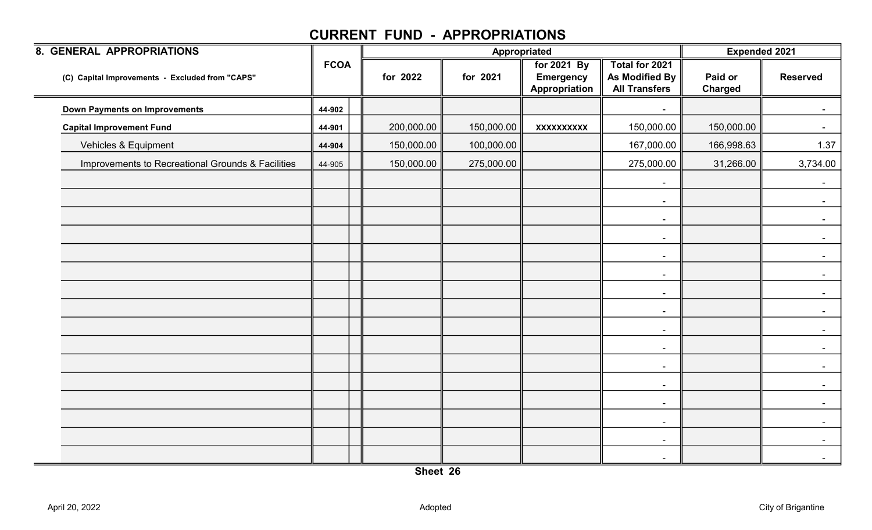| <b>8. GENERAL APPROPRIATIONS</b>                  |             |            |            | Appropriated                                     |                                                                 | <b>Expended 2021</b>      |                 |
|---------------------------------------------------|-------------|------------|------------|--------------------------------------------------|-----------------------------------------------------------------|---------------------------|-----------------|
| (C) Capital Improvements - Excluded from "CAPS"   | <b>FCOA</b> | for 2022   | for 2021   | for 2021 By<br><b>Emergency</b><br>Appropriation | Total for 2021<br><b>As Modified By</b><br><b>All Transfers</b> | Paid or<br><b>Charged</b> | <b>Reserved</b> |
| <b>Down Payments on Improvements</b>              | 44-902      |            |            |                                                  |                                                                 |                           |                 |
| <b>Capital Improvement Fund</b>                   | 44-901      | 200,000.00 | 150,000.00 | <b>XXXXXXXXXX</b>                                | 150,000.00                                                      | 150,000.00                |                 |
| Vehicles & Equipment                              | 44-904      | 150,000.00 | 100,000.00 |                                                  | 167,000.00                                                      | 166,998.63                | 1.37            |
| Improvements to Recreational Grounds & Facilities | 44-905      | 150,000.00 | 275,000.00 |                                                  | 275,000.00                                                      | 31,266.00                 | 3,734.00        |
|                                                   |             |            |            |                                                  | $\overline{\phantom{a}}$                                        |                           |                 |
|                                                   |             |            |            |                                                  | $\blacksquare$                                                  |                           |                 |
|                                                   |             |            |            |                                                  | $\sim$                                                          |                           |                 |
|                                                   |             |            |            |                                                  | $\sim$                                                          |                           | $\blacksquare$  |
|                                                   |             |            |            |                                                  | $\sim$                                                          |                           |                 |
|                                                   |             |            |            |                                                  | $\sim$                                                          |                           |                 |
|                                                   |             |            |            |                                                  | $\blacksquare$                                                  |                           |                 |
|                                                   |             |            |            |                                                  | $\sim$                                                          |                           | $\sim$          |
|                                                   |             |            |            |                                                  | $\sim$                                                          |                           |                 |
|                                                   |             |            |            |                                                  | $\sim$                                                          |                           |                 |
|                                                   |             |            |            |                                                  | $\sim$                                                          |                           |                 |
|                                                   |             |            |            |                                                  | $\blacksquare$                                                  |                           |                 |
|                                                   |             |            |            |                                                  | $\blacksquare$                                                  |                           |                 |
|                                                   |             |            |            |                                                  | $\sim$                                                          |                           |                 |
|                                                   |             |            |            |                                                  | $\blacksquare$                                                  |                           |                 |
|                                                   |             |            |            |                                                  | $\blacksquare$                                                  |                           |                 |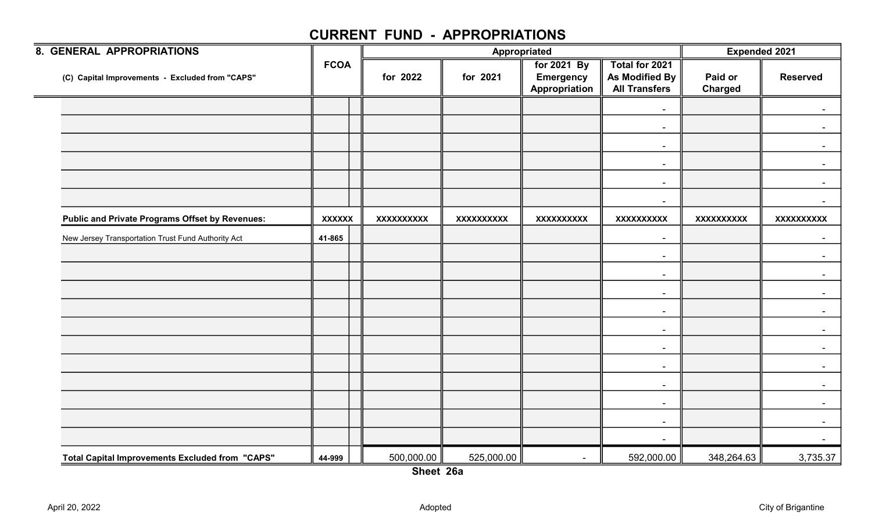| 8. GENERAL APPROPRIATIONS                              |               |                   |                   | Appropriated                                     |                                                          | <b>Expended 2021</b> |                   |
|--------------------------------------------------------|---------------|-------------------|-------------------|--------------------------------------------------|----------------------------------------------------------|----------------------|-------------------|
| (C) Capital Improvements - Excluded from "CAPS"        | <b>FCOA</b>   | for 2022          | for 2021          | for 2021 By<br><b>Emergency</b><br>Appropriation | Total for 2021<br>As Modified By<br><b>All Transfers</b> | Paid or<br>Charged   | <b>Reserved</b>   |
|                                                        |               |                   |                   |                                                  | $\overline{\phantom{a}}$                                 |                      |                   |
|                                                        |               |                   |                   |                                                  | $\blacksquare$                                           |                      |                   |
|                                                        |               |                   |                   |                                                  | $\overline{\phantom{a}}$                                 |                      |                   |
|                                                        |               |                   |                   |                                                  | $\sim$                                                   |                      | $\sim$            |
|                                                        |               |                   |                   |                                                  | $\blacksquare$                                           |                      |                   |
|                                                        |               |                   |                   |                                                  | $\overline{\phantom{a}}$                                 |                      |                   |
| <b>Public and Private Programs Offset by Revenues:</b> | <b>XXXXXX</b> | <b>XXXXXXXXXX</b> | <b>XXXXXXXXXX</b> | <b>XXXXXXXXXX</b>                                | <b>XXXXXXXXXX</b>                                        | <b>XXXXXXXXXX</b>    | <b>XXXXXXXXXX</b> |
| New Jersey Transportation Trust Fund Authority Act     | 41-865        |                   |                   |                                                  | $\blacksquare$                                           |                      | $\sim$            |
|                                                        |               |                   |                   |                                                  | $\overline{\phantom{a}}$                                 |                      |                   |
|                                                        |               |                   |                   |                                                  | $\overline{\phantom{a}}$                                 |                      |                   |
|                                                        |               |                   |                   |                                                  | $\overline{\phantom{a}}$                                 |                      |                   |
|                                                        |               |                   |                   |                                                  | $\overline{\phantom{a}}$                                 |                      |                   |
|                                                        |               |                   |                   |                                                  | $\blacksquare$                                           |                      |                   |
|                                                        |               |                   |                   |                                                  | $\overline{\phantom{a}}$                                 |                      |                   |
|                                                        |               |                   |                   |                                                  | $\overline{\phantom{a}}$                                 |                      |                   |
|                                                        |               |                   |                   |                                                  | $\overline{\phantom{a}}$                                 |                      |                   |
|                                                        |               |                   |                   |                                                  | $\blacksquare$                                           |                      |                   |
|                                                        |               |                   |                   |                                                  | $\blacksquare$                                           |                      |                   |
|                                                        |               |                   |                   |                                                  | $\blacksquare$                                           |                      |                   |
| <b>Total Capital Improvements Excluded from "CAPS"</b> | 44-999        | 500,000.00        | 525,000.00        | $\sim$                                           | 592,000.00                                               | 348,264.63           | 3,735.37          |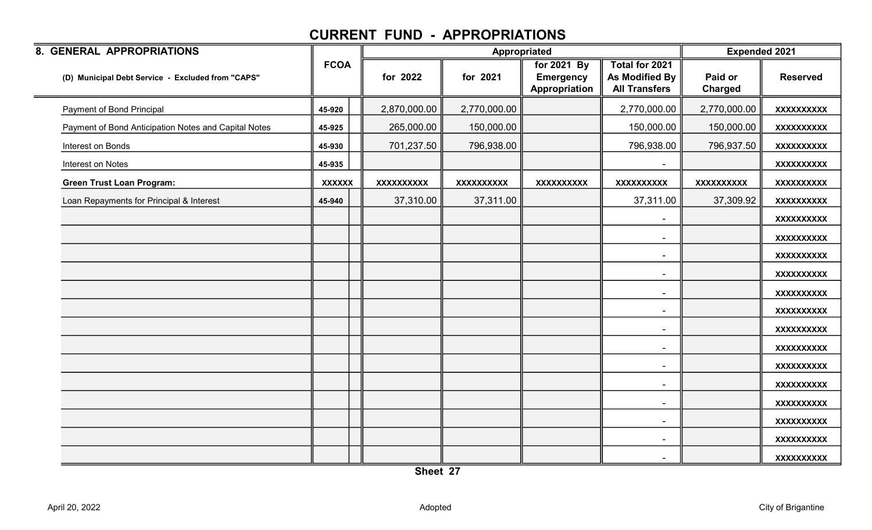| 8. GENERAL APPROPRIATIONS                            |               |                   |              | Appropriated                                     |                                                          | <b>Expended 2021</b>      |                   |
|------------------------------------------------------|---------------|-------------------|--------------|--------------------------------------------------|----------------------------------------------------------|---------------------------|-------------------|
| (D) Municipal Debt Service - Excluded from "CAPS"    | <b>FCOA</b>   | for 2022          | for 2021     | for 2021 By<br><b>Emergency</b><br>Appropriation | Total for 2021<br>As Modified By<br><b>All Transfers</b> | Paid or<br><b>Charged</b> | <b>Reserved</b>   |
| Payment of Bond Principal                            | 45-920        | 2,870,000.00      | 2,770,000.00 |                                                  | 2,770,000.00                                             | 2,770,000.00              | <b>XXXXXXXXXX</b> |
| Payment of Bond Anticipation Notes and Capital Notes | 45-925        | 265,000.00        | 150,000.00   |                                                  | 150,000.00                                               | 150,000.00                | <b>XXXXXXXXXX</b> |
| Interest on Bonds                                    | 45-930        | 701,237.50        | 796,938.00   |                                                  | 796,938.00                                               | 796,937.50                | <b>XXXXXXXXXX</b> |
| Interest on Notes                                    | 45-935        |                   |              |                                                  |                                                          |                           | <b>XXXXXXXXXX</b> |
| <b>Green Trust Loan Program:</b>                     | <b>XXXXXX</b> | <b>XXXXXXXXXX</b> | XXXXXXXXXX   | <b>XXXXXXXXXX</b>                                | <b>XXXXXXXXXX</b>                                        | <b>XXXXXXXXXX</b>         | <b>XXXXXXXXXX</b> |
| Loan Repayments for Principal & Interest             | 45-940        | 37,310.00         | 37,311.00    |                                                  | 37,311.00                                                | 37,309.92                 | <b>XXXXXXXXXX</b> |
|                                                      |               |                   |              |                                                  |                                                          |                           | <b>XXXXXXXXXX</b> |
|                                                      |               |                   |              |                                                  | $\overline{\phantom{a}}$                                 |                           | <b>XXXXXXXXXX</b> |
|                                                      |               |                   |              |                                                  | $\blacksquare$                                           |                           | <b>XXXXXXXXXX</b> |
|                                                      |               |                   |              |                                                  | $\blacksquare$                                           |                           | <b>XXXXXXXXXX</b> |
|                                                      |               |                   |              |                                                  | $\overline{\phantom{a}}$                                 |                           | <b>XXXXXXXXXX</b> |
|                                                      |               |                   |              |                                                  | $\blacksquare$                                           |                           | <b>XXXXXXXXXX</b> |
|                                                      |               |                   |              |                                                  | $\blacksquare$                                           |                           | <b>XXXXXXXXXX</b> |
|                                                      |               |                   |              |                                                  | $\blacksquare$                                           |                           | <b>XXXXXXXXXX</b> |
|                                                      |               |                   |              |                                                  | $\blacksquare$                                           |                           | <b>XXXXXXXXXX</b> |
|                                                      |               |                   |              |                                                  | $\blacksquare$                                           |                           | <b>XXXXXXXXXX</b> |
|                                                      |               |                   |              |                                                  | $\blacksquare$                                           |                           | <b>XXXXXXXXXX</b> |
|                                                      |               |                   |              |                                                  | $\blacksquare$                                           |                           | <b>XXXXXXXXXX</b> |
|                                                      |               |                   |              |                                                  | $\overline{\phantom{a}}$                                 |                           | <b>XXXXXXXXXX</b> |
|                                                      |               |                   |              |                                                  | $\overline{\phantom{a}}$                                 |                           | <b>XXXXXXXXXX</b> |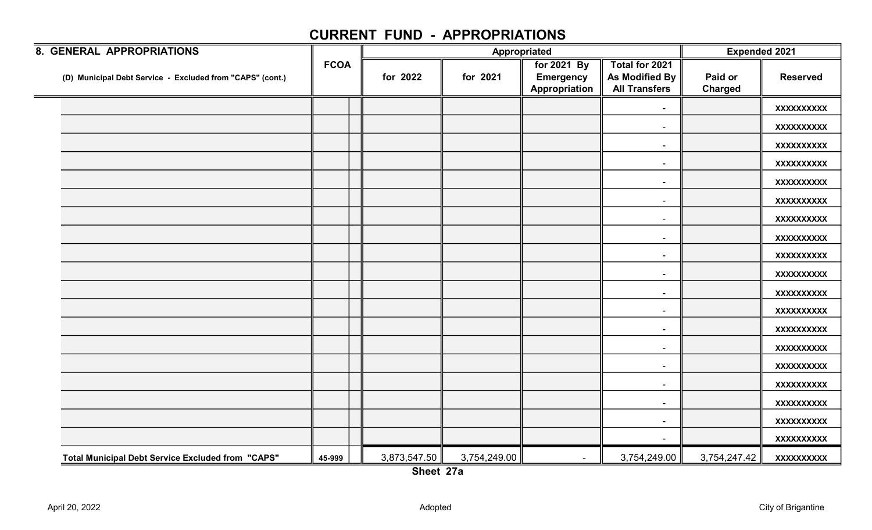| 8. GENERAL APPROPRIATIONS                                 |             |              | Appropriated | <b>Expended 2021</b>                             |                                                                 |                           |                   |
|-----------------------------------------------------------|-------------|--------------|--------------|--------------------------------------------------|-----------------------------------------------------------------|---------------------------|-------------------|
| (D) Municipal Debt Service - Excluded from "CAPS" (cont.) | <b>FCOA</b> | for 2022     | for 2021     | for 2021 By<br><b>Emergency</b><br>Appropriation | Total for 2021<br><b>As Modified By</b><br><b>All Transfers</b> | Paid or<br><b>Charged</b> | <b>Reserved</b>   |
|                                                           |             |              |              |                                                  | $\blacksquare$                                                  |                           | <b>XXXXXXXXXX</b> |
|                                                           |             |              |              |                                                  | $\sim$                                                          |                           | <b>XXXXXXXXXX</b> |
|                                                           |             |              |              |                                                  |                                                                 |                           | <b>XXXXXXXXXX</b> |
|                                                           |             |              |              |                                                  | $\sim$                                                          |                           | <b>XXXXXXXXXX</b> |
|                                                           |             |              |              |                                                  | $\overline{\phantom{a}}$                                        |                           | <b>XXXXXXXXXX</b> |
|                                                           |             |              |              |                                                  | $\overline{\phantom{a}}$                                        |                           | <b>XXXXXXXXXX</b> |
|                                                           |             |              |              |                                                  |                                                                 |                           | <b>XXXXXXXXXX</b> |
|                                                           |             |              |              |                                                  | $\sim$                                                          |                           | <b>XXXXXXXXXX</b> |
|                                                           |             |              |              |                                                  | $\sim$                                                          |                           | <b>XXXXXXXXXX</b> |
|                                                           |             |              |              |                                                  | $\sim$                                                          |                           | <b>XXXXXXXXXX</b> |
|                                                           |             |              |              |                                                  | $\overline{\phantom{a}}$                                        |                           | <b>XXXXXXXXXX</b> |
|                                                           |             |              |              |                                                  | $\sim$                                                          |                           | <b>XXXXXXXXXX</b> |
|                                                           |             |              |              |                                                  | $\overline{\phantom{a}}$                                        |                           | <b>XXXXXXXXXX</b> |
|                                                           |             |              |              |                                                  | $\sim$                                                          |                           | <b>XXXXXXXXXX</b> |
|                                                           |             |              |              |                                                  |                                                                 |                           | <b>XXXXXXXXXX</b> |
|                                                           |             |              |              |                                                  | $\sim$                                                          |                           | <b>XXXXXXXXXX</b> |
|                                                           |             |              |              |                                                  | $\sim$                                                          |                           | <b>XXXXXXXXXX</b> |
|                                                           |             |              |              |                                                  | $\sim$                                                          |                           | <b>XXXXXXXXXX</b> |
|                                                           |             |              |              |                                                  | $\sim$                                                          |                           | <b>XXXXXXXXXX</b> |
| <b>Total Municipal Debt Service Excluded from "CAPS"</b>  | 45-999      | 3,873,547.50 | 3,754,249.00 | $\sim$                                           | 3,754,249.00                                                    | 3,754,247.42              | <b>XXXXXXXXXX</b> |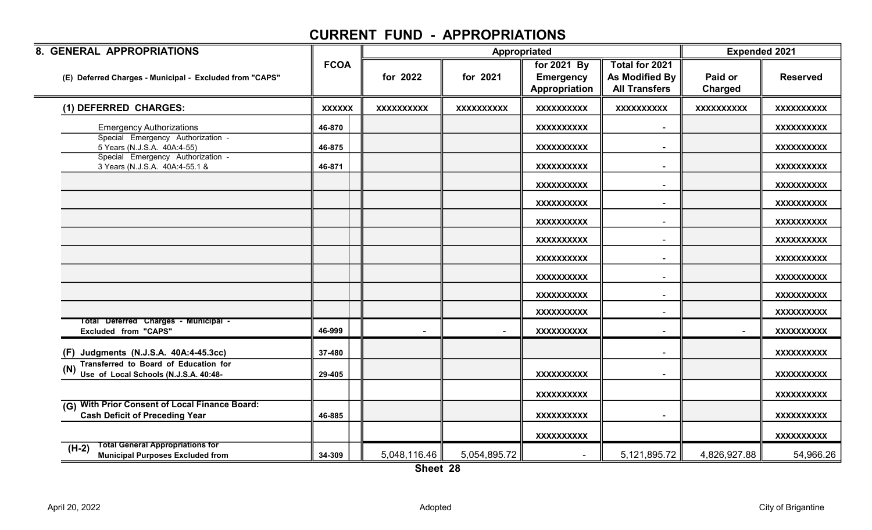| 8. GENERAL APPROPRIATIONS                                                                         |               |                   |                   | Appropriated                                     |                                                          | <b>Expended 2021</b> |                   |
|---------------------------------------------------------------------------------------------------|---------------|-------------------|-------------------|--------------------------------------------------|----------------------------------------------------------|----------------------|-------------------|
| (E) Deferred Charges - Municipal - Excluded from "CAPS"                                           | <b>FCOA</b>   | for 2022          | for 2021          | for 2021 By<br><b>Emergency</b><br>Appropriation | Total for 2021<br>As Modified By<br><b>All Transfers</b> | Paid or<br>Charged   | <b>Reserved</b>   |
| (1) DEFERRED CHARGES:                                                                             | <b>XXXXXX</b> | <b>XXXXXXXXXX</b> | <b>XXXXXXXXXX</b> | <b>XXXXXXXXXX</b>                                | <b>XXXXXXXXXX</b>                                        | <b>XXXXXXXXXX</b>    | <b>XXXXXXXXXX</b> |
| <b>Emergency Authorizations</b>                                                                   | 46-870        |                   |                   | <b>XXXXXXXXXX</b>                                | $\blacksquare$                                           |                      | <b>XXXXXXXXXX</b> |
| Special Emergency Authorization -<br>5 Years (N.J.S.A. 40A:4-55)                                  | 46-875        |                   |                   | <b>XXXXXXXXXX</b>                                | $\blacksquare$                                           |                      | <b>XXXXXXXXXX</b> |
| Special Emergency Authorization -<br>3 Years (N.J.S.A. 40A:4-55.1 &                               | 46-871        |                   |                   | <b>XXXXXXXXXX</b>                                | $\blacksquare$                                           |                      | <b>XXXXXXXXXX</b> |
|                                                                                                   |               |                   |                   | <b>XXXXXXXXXX</b>                                | $\blacksquare$                                           |                      | <b>XXXXXXXXXX</b> |
|                                                                                                   |               |                   |                   | <b>XXXXXXXXXX</b>                                | $\blacksquare$                                           |                      | <b>XXXXXXXXXX</b> |
|                                                                                                   |               |                   |                   | <b>XXXXXXXXXX</b>                                | $\blacksquare$                                           |                      | <b>XXXXXXXXXX</b> |
|                                                                                                   |               |                   |                   | XXXXXXXXXX                                       | $\blacksquare$                                           |                      | XXXXXXXXXX        |
|                                                                                                   |               |                   |                   | <b>XXXXXXXXXX</b>                                | $\blacksquare$                                           |                      | <b>XXXXXXXXXX</b> |
|                                                                                                   |               |                   |                   | <b>XXXXXXXXXX</b>                                | $\overline{\phantom{a}}$                                 |                      | <b>XXXXXXXXXX</b> |
|                                                                                                   |               |                   |                   | <b>XXXXXXXXXX</b>                                | $\blacksquare$                                           |                      | <b>XXXXXXXXXX</b> |
|                                                                                                   |               |                   |                   | <b>XXXXXXXXXX</b>                                |                                                          |                      | <b>XXXXXXXXXX</b> |
| Total Deferred Charges - Municipal -<br><b>Excluded from "CAPS"</b>                               | 46-999        |                   |                   | <b>XXXXXXXXXX</b>                                |                                                          |                      | <b>XXXXXXXXXX</b> |
| (F) Judgments (N.J.S.A. 40A:4-45.3cc)                                                             | 37-480        |                   |                   |                                                  | $\overline{\phantom{0}}$                                 |                      | <b>XXXXXXXXXX</b> |
| Transferred to Board of Education for<br>Use of Local Schools (N.J.S.A. 40:48-                    | 29-405        |                   |                   | <b>XXXXXXXXXX</b>                                |                                                          |                      | <b>XXXXXXXXXX</b> |
|                                                                                                   |               |                   |                   | <b>XXXXXXXXXX</b>                                |                                                          |                      | <b>XXXXXXXXXX</b> |
| <b>With Prior Consent of Local Finance Board:</b><br>(G)<br><b>Cash Deficit of Preceding Year</b> | 46-885        |                   |                   | <b>XXXXXXXXXX</b>                                |                                                          |                      | <b>XXXXXXXXXX</b> |
|                                                                                                   |               |                   |                   | <b>XXXXXXXXXX</b>                                |                                                          |                      | XXXXXXXXXX        |
| <b>Total General Appropriations for</b><br>$(H-2)$<br><b>Municipal Purposes Excluded from</b>     | 34-309        | 5,048,116.46      | 5,054,895.72      |                                                  | 5,121,895.72                                             | 4,826,927.88         | 54,966.26         |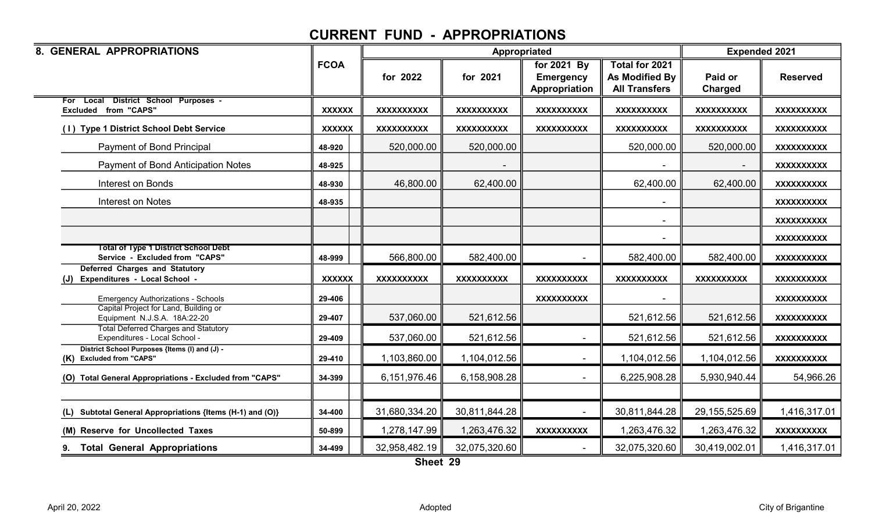| 8. GENERAL APPROPRIATIONS                                                           |               |                   | Appropriated      |                                                  |                                                          | <b>Expended 2021</b> |                   |
|-------------------------------------------------------------------------------------|---------------|-------------------|-------------------|--------------------------------------------------|----------------------------------------------------------|----------------------|-------------------|
|                                                                                     | <b>FCOA</b>   | for 2022          | for 2021          | for 2021 By<br><b>Emergency</b><br>Appropriation | Total for 2021<br>As Modified By<br><b>All Transfers</b> | Paid or<br>Charged   | <b>Reserved</b>   |
| For Local District School Purposes -<br><b>Excluded from "CAPS"</b>                 | <b>XXXXXX</b> | <b>XXXXXXXXXX</b> | <b>XXXXXXXXXX</b> | <b>XXXXXXXXXX</b>                                | <b>XXXXXXXXXX</b>                                        | <b>XXXXXXXXXX</b>    | <b>XXXXXXXXXX</b> |
| (1) Type 1 District School Debt Service                                             | <b>XXXXXX</b> | <b>XXXXXXXXXX</b> | <b>XXXXXXXXXX</b> | <b>XXXXXXXXXX</b>                                | <b>XXXXXXXXXX</b>                                        | <b>XXXXXXXXXX</b>    | <b>XXXXXXXXXX</b> |
| Payment of Bond Principal                                                           | 48-920        | 520,000.00        | 520,000.00        |                                                  | 520,000.00                                               | 520,000.00           | XXXXXXXXXX        |
| Payment of Bond Anticipation Notes                                                  | 48-925        |                   |                   |                                                  |                                                          |                      | <b>XXXXXXXXXX</b> |
| <b>Interest on Bonds</b>                                                            | 48-930        | 46,800.00         | 62,400.00         |                                                  | 62,400.00                                                | 62,400.00            | <b>XXXXXXXXXX</b> |
| Interest on Notes                                                                   | 48-935        |                   |                   |                                                  |                                                          |                      | XXXXXXXXXX        |
|                                                                                     |               |                   |                   |                                                  |                                                          |                      | <b>XXXXXXXXXX</b> |
|                                                                                     |               |                   |                   |                                                  |                                                          |                      | XXXXXXXXXX        |
| <b>Total of Type 1 District School Debt</b><br>Service - Excluded from "CAPS"       | 48-999        | 566,800.00        | 582,400.00        |                                                  | 582,400.00                                               | 582,400.00           | <b>XXXXXXXXXX</b> |
| <b>Deferred Charges and Statutory</b><br>Expenditures - Local School -<br>(J)       | <b>XXXXXX</b> | <b>XXXXXXXXXX</b> | <b>XXXXXXXXXX</b> | <b>XXXXXXXXXX</b>                                | <b>XXXXXXXXXX</b>                                        | <b>XXXXXXXXXX</b>    | <b>XXXXXXXXXX</b> |
| <b>Emergency Authorizations - Schools</b>                                           | 29-406        |                   |                   | <b>XXXXXXXXXX</b>                                |                                                          |                      | <b>XXXXXXXXXX</b> |
| Capital Project for Land, Building or<br>Equipment N.J.S.A. 18A:22-20               | 29-407        | 537,060.00        | 521,612.56        |                                                  | 521,612.56                                               | 521,612.56           | <b>XXXXXXXXXX</b> |
| <b>Total Deferred Charges and Statutory</b><br>Expenditures - Local School -        | 29-409        | 537,060.00        | 521,612.56        |                                                  | 521,612.56                                               | 521,612.56           | <b>XXXXXXXXXX</b> |
| District School Purposes {Items (I) and (J) -<br><b>Excluded from "CAPS"</b><br>(K) | 29-410        | 1,103,860.00      | 1,104,012.56      |                                                  | 1,104,012.56                                             | 1,104,012.56         | XXXXXXXXXX        |
| (O) Total General Appropriations - Excluded from "CAPS"                             | 34-399        | 6,151,976.46      | 6,158,908.28      |                                                  | 6,225,908.28                                             | 5,930,940.44         | 54,966.26         |
|                                                                                     |               |                   |                   |                                                  |                                                          |                      |                   |
| Subtotal General Appropriations {Items (H-1) and (O)}<br>(L)                        | 34-400        | 31,680,334.20     | 30,811,844.28     |                                                  | 30,811,844.28                                            | 29, 155, 525.69      | 1,416,317.01      |
| (M) Reserve for Uncollected Taxes                                                   | 50-899        | 1,278,147.99      | 1,263,476.32      | <b>XXXXXXXXXX</b>                                | 1,263,476.32                                             | 1,263,476.32         | <b>XXXXXXXXXX</b> |
| <b>Total General Appropriations</b><br>9.                                           | 34-499        | 32,958,482.19     | 32,075,320.60     |                                                  | 32,075,320.60                                            | 30,419,002.01        | 1,416,317.01      |

Sheet 29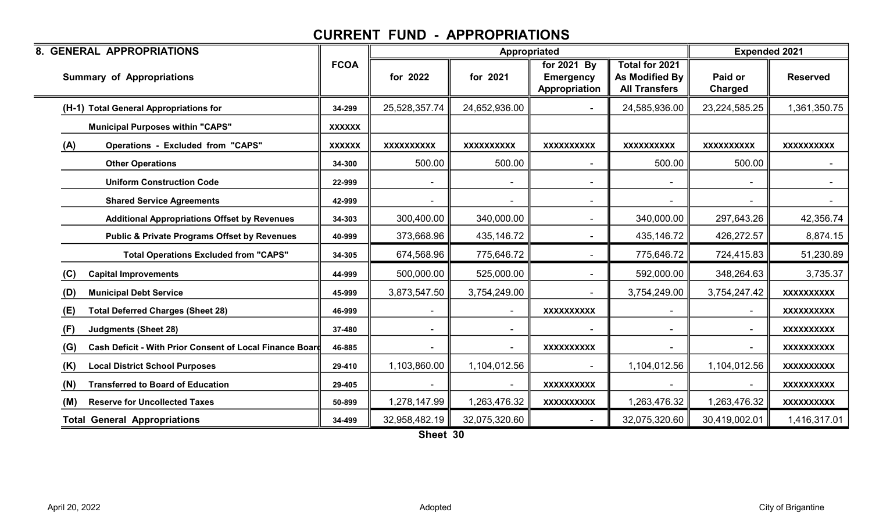| <b>8. GENERAL APPROPRIATIONS</b>                                |               |                   | Appropriated      |                                                  |                                                          | <b>Expended 2021</b>      |                   |
|-----------------------------------------------------------------|---------------|-------------------|-------------------|--------------------------------------------------|----------------------------------------------------------|---------------------------|-------------------|
| <b>Summary of Appropriations</b>                                | <b>FCOA</b>   | for 2022          | for 2021          | for 2021 By<br><b>Emergency</b><br>Appropriation | Total for 2021<br>As Modified By<br><b>All Transfers</b> | Paid or<br><b>Charged</b> | <b>Reserved</b>   |
| (H-1) Total General Appropriations for                          | 34-299        | 25,528,357.74     | 24,652,936.00     |                                                  | 24,585,936.00                                            | 23,224,585.25             | 1,361,350.75      |
| <b>Municipal Purposes within "CAPS"</b>                         | <b>XXXXXX</b> |                   |                   |                                                  |                                                          |                           |                   |
| (A)<br><b>Operations - Excluded from "CAPS"</b>                 | <b>XXXXXX</b> | <b>XXXXXXXXXX</b> | <b>XXXXXXXXXX</b> | <b>XXXXXXXXXX</b>                                | <b>XXXXXXXXXX</b>                                        | <b>XXXXXXXXXX</b>         | <b>XXXXXXXXXX</b> |
| <b>Other Operations</b>                                         | 34-300        | 500.00            | 500.00            |                                                  | 500.00                                                   | 500.00                    | $\sim$            |
| <b>Uniform Construction Code</b>                                | 22-999        |                   |                   |                                                  |                                                          |                           | $\sim$ $-$        |
| <b>Shared Service Agreements</b>                                | 42-999        |                   |                   |                                                  |                                                          |                           | $\sim$            |
| <b>Additional Appropriations Offset by Revenues</b>             | 34-303        | 300,400.00        | 340,000.00        |                                                  | 340,000.00                                               | 297,643.26                | 42,356.74         |
| <b>Public &amp; Private Programs Offset by Revenues</b>         | 40-999        | 373,668.96        | 435,146.72        | $\blacksquare$                                   | 435,146.72                                               | 426,272.57                | 8,874.15          |
| <b>Total Operations Excluded from "CAPS"</b>                    | 34-305        | 674,568.96        | 775,646.72        |                                                  | 775,646.72                                               | 724,415.83                | 51,230.89         |
| (C)<br><b>Capital Improvements</b>                              | 44-999        | 500,000.00        | 525,000.00        |                                                  | 592,000.00                                               | 348,264.63                | 3,735.37          |
| <b>Municipal Debt Service</b><br>(D)                            | 45-999        | 3,873,547.50      | 3,754,249.00      |                                                  | 3,754,249.00                                             | 3,754,247.42              | <b>XXXXXXXXXX</b> |
| <b>Total Deferred Charges (Sheet 28)</b><br>(E)                 | 46-999        |                   |                   | <b>XXXXXXXXXX</b>                                |                                                          |                           | <b>XXXXXXXXXX</b> |
| (F)<br><b>Judgments (Sheet 28)</b>                              | 37-480        |                   | $\sim$            |                                                  |                                                          |                           | <b>XXXXXXXXXX</b> |
| (G)<br>Cash Deficit - With Prior Consent of Local Finance Board | 46-885        |                   |                   | <b>XXXXXXXXXX</b>                                |                                                          |                           | <b>XXXXXXXXXX</b> |
| (K)<br><b>Local District School Purposes</b>                    | 29-410        | 1,103,860.00      | 1,104,012.56      |                                                  | 1,104,012.56                                             | 1,104,012.56              | <b>XXXXXXXXXX</b> |
| (N)<br><b>Transferred to Board of Education</b>                 | 29-405        |                   |                   | <b>XXXXXXXXXX</b>                                |                                                          |                           | <b>XXXXXXXXXX</b> |
| <b>Reserve for Uncollected Taxes</b><br>(M)                     | 50-899        | 1,278,147.99      | 1,263,476.32      | <b>XXXXXXXXXX</b>                                | 1,263,476.32                                             | 1,263,476.32              | <b>XXXXXXXXXX</b> |
| <b>Total General Appropriations</b>                             | 34-499        | 32,958,482.19     | 32,075,320.60     |                                                  | 32,075,320.60                                            | 30,419,002.01             | 1,416,317.01      |

Sheet 30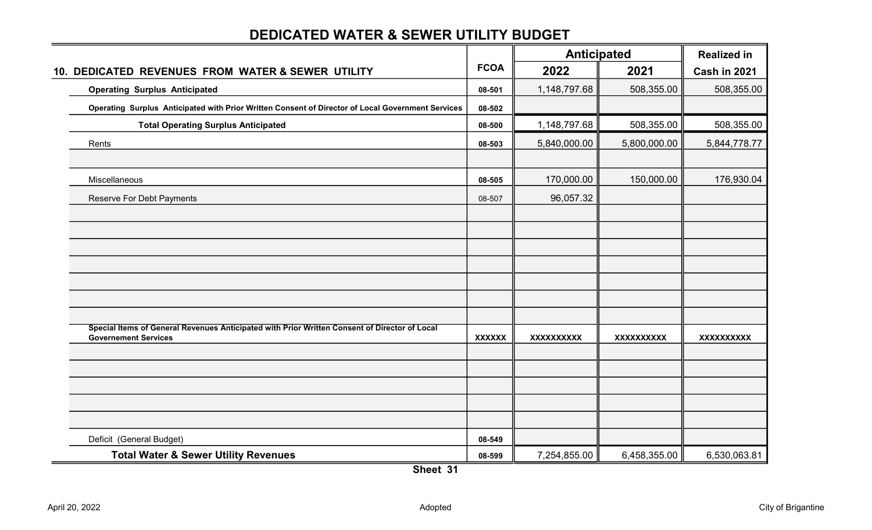# Realized in FCOA 2022 2021 Cash in 2021 Operating Surplus Anticipated 1,148,797.68 508,355.00 508,355.00 508,355.00 508,355.00 508,355.00 508,355.00 508,355.00 508,355.00 508,355.00 508,355.00 508,355.00 508,355.00 508,355.00 508,355.00 508,355.00 508,355.00 50 08-502 Total Operating Surplus Anticipated 08-500 508,355.00 1,148,797.68 508,355.00 Rents 08-503 5,800,000.00 5,840,000.00 5,844,778.77 Miscellaneous 08-505 150,000.00 170,000.00 176,930.04 Reserve For Debt Payments **28-507** 96,057.32 XXXXXX XXXXXXXXXX XXXXXXXXXX XXXXXXXXXX Deficit (General Budget) **08-549** Anticipated 10. DEDICATED REVENUES FROM WATER & SEWER UTILITY Operating Surplus Anticipated with Prior Written Consent of Director of Local Government Services Special Items of General Revenues Anticipated with Prior Written Consent of Director of Local Governement Services

#### DEDICATED WATER & SEWER UTILITY BUDGET

Total Water & Sewer Utility Revenues **18-59 contract to the COV** or the contract of the contract of the contract of the contract of the contract of the contract of the contract of the contract of the contract of the contra Sheet 31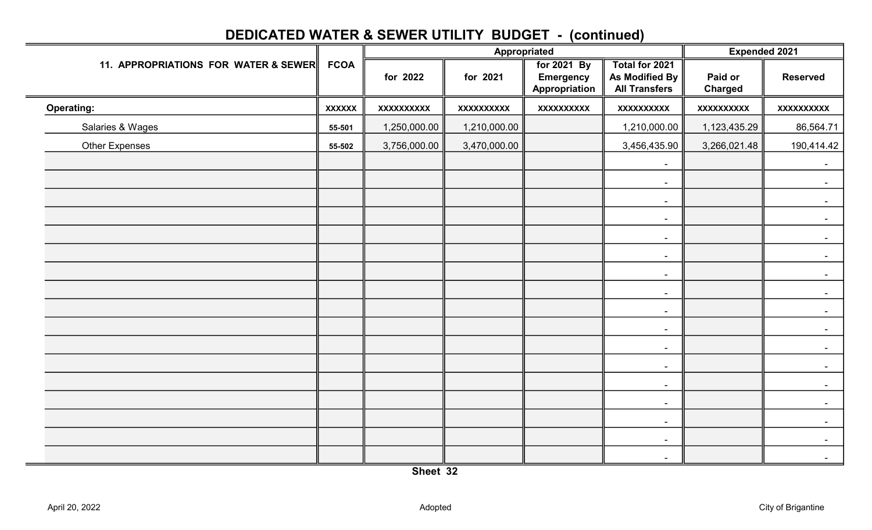|                                      |               | Appropriated |                   |                                                  | <b>Expended 2021</b>                                            |                           |                   |
|--------------------------------------|---------------|--------------|-------------------|--------------------------------------------------|-----------------------------------------------------------------|---------------------------|-------------------|
| 11. APPROPRIATIONS FOR WATER & SEWER |               | for 2022     | for 2021          | for 2021 By<br><b>Emergency</b><br>Appropriation | Total for 2021<br><b>As Modified By</b><br><b>All Transfers</b> | Paid or<br><b>Charged</b> | <b>Reserved</b>   |
| <b>Operating:</b>                    | <b>XXXXXX</b> | XXXXXXXXXX   | <b>XXXXXXXXXX</b> | <b>XXXXXXXXXX</b>                                | <b>XXXXXXXXXX</b>                                               | <b>XXXXXXXXXX</b>         | <b>XXXXXXXXXX</b> |
| Salaries & Wages                     | 55-501        | 1,250,000.00 | 1,210,000.00      |                                                  | 1,210,000.00                                                    | 1,123,435.29              | 86,564.71         |
| <b>Other Expenses</b>                | 55-502        | 3,756,000.00 | 3,470,000.00      |                                                  | 3,456,435.90                                                    | 3,266,021.48              | 190,414.42        |
|                                      |               |              |                   |                                                  | $\sim$                                                          |                           | $\sim$            |
|                                      |               |              |                   |                                                  | $\sim$                                                          |                           | $\sim$            |
|                                      |               |              |                   |                                                  | $\blacksquare$                                                  |                           | $\sim$            |
|                                      |               |              |                   |                                                  | $\sim$                                                          |                           | $\sim$            |
|                                      |               |              |                   |                                                  | $\blacksquare$                                                  |                           | $\sim$            |
|                                      |               |              |                   |                                                  | $\sim$                                                          |                           |                   |
|                                      |               |              |                   |                                                  | $\sim$                                                          |                           | $\blacksquare$    |
|                                      |               |              |                   |                                                  | $\blacksquare$                                                  |                           | $\sim$            |
|                                      |               |              |                   |                                                  | $\blacksquare$                                                  |                           | $\sim$            |
|                                      |               |              |                   |                                                  | $\sim$                                                          |                           |                   |
|                                      |               |              |                   |                                                  | $\sim$                                                          |                           | $\blacksquare$    |
|                                      |               |              |                   |                                                  | $\sim$                                                          |                           | $\sim$            |
|                                      |               |              |                   |                                                  | $\sim$                                                          |                           | $\sim$            |
|                                      |               |              |                   |                                                  | $\sim$                                                          |                           | $\sim$            |
|                                      |               |              |                   |                                                  | $\sim$                                                          |                           | $\sim$            |
|                                      |               |              |                   |                                                  | $\blacksquare$                                                  |                           | $\blacksquare$    |
|                                      |               |              |                   |                                                  | $\sim$                                                          |                           | $\sim$            |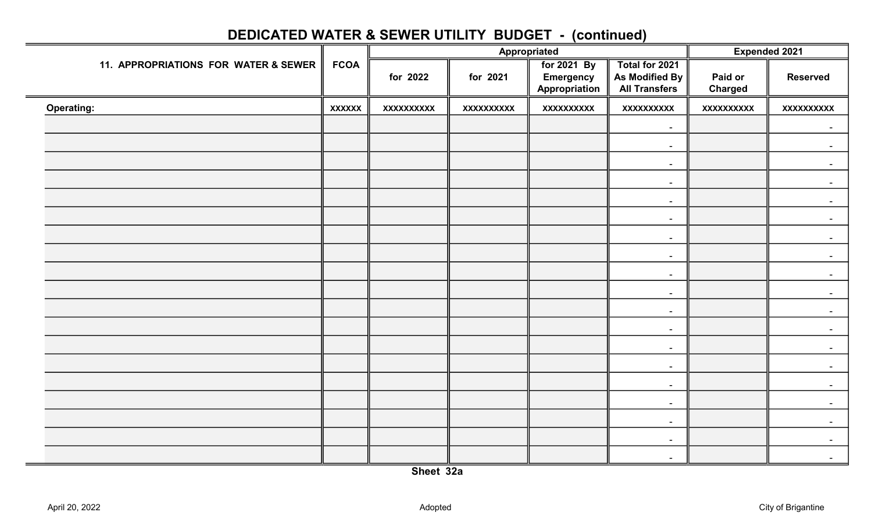|               | Appropriated      |                   |                                                  | Expended 2021                                            |                            |                   |
|---------------|-------------------|-------------------|--------------------------------------------------|----------------------------------------------------------|----------------------------|-------------------|
| <b>FCOA</b>   | for 2022          | for 2021          | for 2021 By<br><b>Emergency</b><br>Appropriation | Total for 2021<br>As Modified By<br><b>All Transfers</b> | Paid or<br><b>Charged</b>  | <b>Reserved</b>   |
| <b>XXXXXX</b> | <b>XXXXXXXXXX</b> | <b>XXXXXXXXXX</b> | <b>XXXXXXXXXX</b>                                | <b>XXXXXXXXXX</b>                                        | <b>XXXXXXXXXX</b>          | <b>XXXXXXXXXX</b> |
|               |                   |                   |                                                  | $\sim$                                                   |                            | $\blacksquare$    |
|               |                   |                   |                                                  | $\sim$                                                   |                            | $\sim$            |
|               |                   |                   |                                                  | $\sim$                                                   |                            |                   |
|               |                   |                   |                                                  | $\sim$                                                   |                            |                   |
|               |                   |                   |                                                  | $\sim$                                                   |                            |                   |
|               |                   |                   |                                                  | $\sim$                                                   |                            |                   |
|               |                   |                   |                                                  | $\sim$                                                   |                            |                   |
|               |                   |                   |                                                  | $\sim$                                                   |                            |                   |
|               |                   |                   |                                                  | $\sim$                                                   |                            |                   |
|               |                   |                   |                                                  | $\sim$                                                   |                            |                   |
|               |                   |                   |                                                  | $\sim$                                                   |                            | $\sim$            |
|               |                   |                   |                                                  | $\sim$                                                   |                            |                   |
|               |                   |                   |                                                  | $\sim$                                                   |                            |                   |
|               |                   |                   |                                                  |                                                          |                            |                   |
|               |                   |                   |                                                  | $\sim$                                                   |                            | $\sim$            |
|               |                   |                   |                                                  | $\sim$                                                   |                            |                   |
|               |                   |                   |                                                  |                                                          |                            | $\sim$            |
|               |                   |                   |                                                  |                                                          |                            | $\sim$            |
|               |                   |                   |                                                  | $\sim$                                                   |                            | $\sim$            |
|               |                   |                   |                                                  |                                                          | $\sim$<br>$\sim$<br>$\sim$ |                   |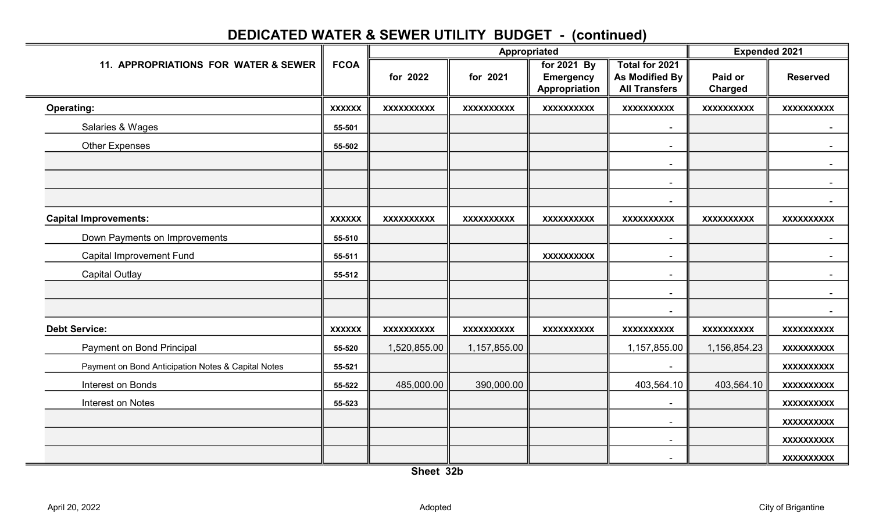|                                                    |               |                   |                   | Appropriated                                     |                                                                 | <b>Expended 2021</b>      |                   |
|----------------------------------------------------|---------------|-------------------|-------------------|--------------------------------------------------|-----------------------------------------------------------------|---------------------------|-------------------|
| 11. APPROPRIATIONS FOR WATER & SEWER               | <b>FCOA</b>   | for 2022          | for 2021          | for 2021 By<br><b>Emergency</b><br>Appropriation | <b>Total for 2021</b><br>As Modified By<br><b>All Transfers</b> | Paid or<br><b>Charged</b> | <b>Reserved</b>   |
| <b>Operating:</b>                                  | <b>XXXXXX</b> | <b>XXXXXXXXXX</b> | <b>XXXXXXXXXX</b> | <b>XXXXXXXXXX</b>                                | <b>XXXXXXXXXX</b>                                               | <b>XXXXXXXXXX</b>         | <b>XXXXXXXXXX</b> |
| Salaries & Wages                                   | 55-501        |                   |                   |                                                  | $\overline{\phantom{a}}$                                        |                           |                   |
| Other Expenses                                     | 55-502        |                   |                   |                                                  |                                                                 |                           |                   |
|                                                    |               |                   |                   |                                                  |                                                                 |                           |                   |
|                                                    |               |                   |                   |                                                  |                                                                 |                           |                   |
|                                                    |               |                   |                   |                                                  | $\overline{\phantom{a}}$                                        |                           |                   |
| <b>Capital Improvements:</b>                       | <b>XXXXXX</b> | <b>XXXXXXXXXX</b> | <b>XXXXXXXXXX</b> | <b>XXXXXXXXXX</b>                                | <b>XXXXXXXXXX</b>                                               | <b>XXXXXXXXXX</b>         | <b>XXXXXXXXXX</b> |
| Down Payments on Improvements                      | 55-510        |                   |                   |                                                  |                                                                 |                           |                   |
| <b>Capital Improvement Fund</b>                    | 55-511        |                   |                   | <b>XXXXXXXXXX</b>                                |                                                                 |                           |                   |
| <b>Capital Outlay</b>                              | 55-512        |                   |                   |                                                  | $\overline{\phantom{a}}$                                        |                           |                   |
|                                                    |               |                   |                   |                                                  |                                                                 |                           |                   |
|                                                    |               |                   |                   |                                                  |                                                                 |                           |                   |
| <b>Debt Service:</b>                               | <b>XXXXXX</b> | <b>XXXXXXXXXX</b> | <b>XXXXXXXXXX</b> | <b>XXXXXXXXXX</b>                                | <b>XXXXXXXXXX</b>                                               | <b>XXXXXXXXXX</b>         | <b>XXXXXXXXXX</b> |
| Payment on Bond Principal                          | 55-520        | 1,520,855.00      | 1,157,855.00      |                                                  | 1,157,855.00                                                    | 1,156,854.23              | <b>XXXXXXXXXX</b> |
| Payment on Bond Anticipation Notes & Capital Notes | 55-521        |                   |                   |                                                  |                                                                 |                           | <b>XXXXXXXXXX</b> |
| Interest on Bonds                                  | 55-522        | 485,000.00        | 390,000.00        |                                                  | 403,564.10                                                      | 403,564.10                | <b>XXXXXXXXXX</b> |
| <b>Interest on Notes</b>                           | 55-523        |                   |                   |                                                  |                                                                 |                           | <b>XXXXXXXXXX</b> |
|                                                    |               |                   |                   |                                                  | $\blacksquare$                                                  |                           | <b>XXXXXXXXXX</b> |
|                                                    |               |                   |                   |                                                  | $\blacksquare$                                                  |                           | <b>XXXXXXXXXX</b> |
|                                                    |               |                   |                   |                                                  |                                                                 |                           | <b>XXXXXXXXXX</b> |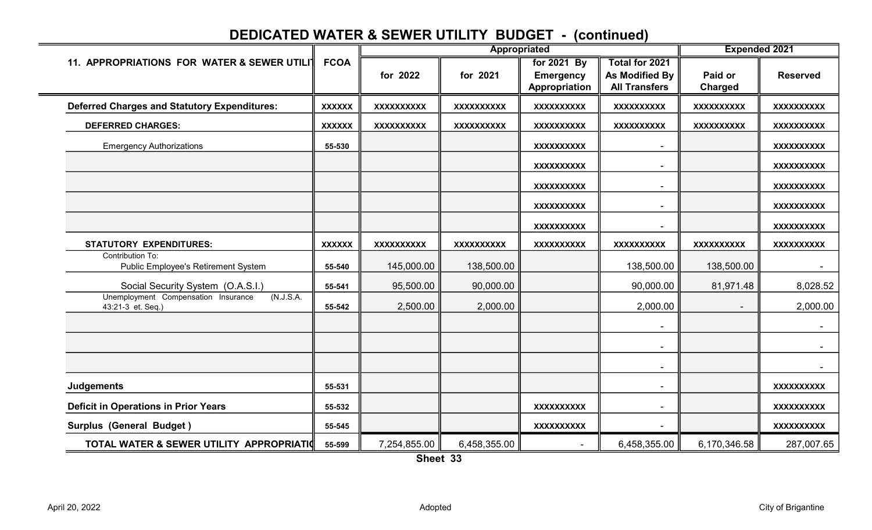#### 11. APPROPRIATIONS FOR WATER & SEWER UTILIT FCOA **for any set of the 1991 By Total for 2021** By Total for 2021 for 2022  $\parallel$  for 2021  $\parallel$  Emergency  $\parallel$  As Modified By Paid or  $\parallel$  Reserved Appropriation  $\parallel$  All Transfers  $\parallel$  Charged Deferred Charges and Statutory Expenditures: XXXXXX XXXXXXXXXX XXXXXXXXXX XXXXXXXXXX XXXXXXXXXX XXXXXXXXXX XXXXXXXXXX DEFERRED CHARGES: XXXXXX XXXXXXXXXX XXXXXXXXXX XXXXXXXXXX XXXXXXXXXX XXXXXXXXXX XXXXXXXXXX Emergency Authorizations 55-530 XXXXXXXXXX - XXXXXXXXXX XXXXXXXXXX - XXXXXXXXXX XXXXXXXXXX - XXXXXXXXXX XXXXXXXXXX - XXXXXXXXXX XXXXXXXXXX - XXXXXXXXXX STATUTORY EXPENDITURES: XXXXXX XXXXXXXXXX XXXXXXXXXX XXXXXXXXXX XXXXXXXXXX XXXXXXXXXX XXXXXXXXXX Contribution To: Public Employee's Retirement System **55-540** Social Security System (O.A.S.I.)  $\|\$  55-541  $\|$  95,500.00  $\|$  90,000.00  $\|$  90,000.00  $\|$  81,971.48  $\|$  8,028.52 55-542 || 2,500.00 || 2,000.00 || 2,000.00 || 2,000.00 || 2,000.00 - - - - - - Judgements 55-531 - XXXXXXXXXX Deficit in Operations in Prior Years 55-532 XXXXXXXXXX - XXXXXXXXXX Surplus (General Budget ) 55-545 XXXXXXXXXX - XXXXXXXXXX TOTAL WATER & SEWER UTILITY APPROPRIATIC 55-599  $\parallel$  7,254,855.00  $\parallel$  6,458,355.00  $\parallel$  6.458,355.00  $\parallel$  6,458,355.00  $\parallel$  6,170,346.58  $\parallel$  287,007.65 Appropriated Expended 2021 Unemployment Compensation Insurance (N.J.S.A. 43:21-3 et. Seq.) 145,000.00 || 138,500.00 || || 138,500.00 || 138,500.00 || || ||

Sheet 33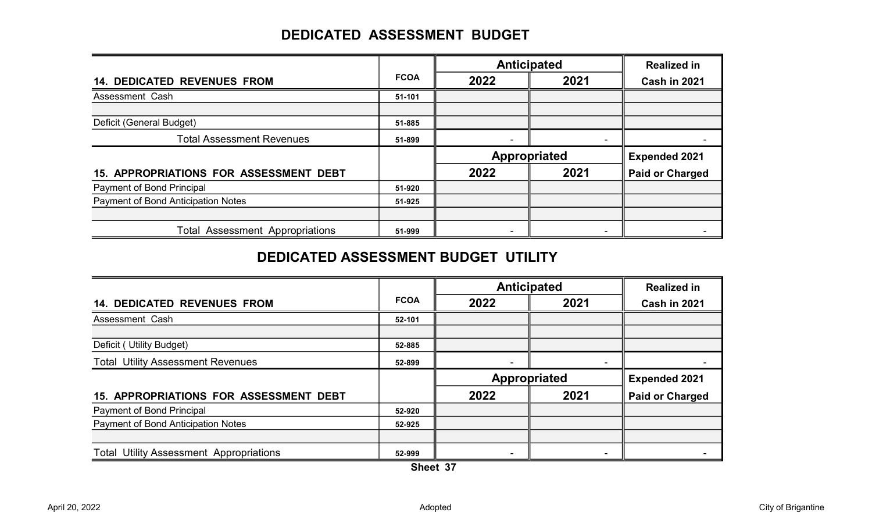#### DEDICATED ASSESSMENT BUDGET

|                                        |             | <b>Anticipated</b>  | <b>Realized in</b> |                        |
|----------------------------------------|-------------|---------------------|--------------------|------------------------|
| <b>14. DEDICATED REVENUES FROM</b>     | <b>FCOA</b> | 2022                | 2021               | Cash in 2021           |
| Assessment Cash                        | 51-101      |                     |                    |                        |
|                                        |             |                     |                    |                        |
| Deficit (General Budget)               | 51-885      |                     |                    |                        |
| <b>Total Assessment Revenues</b>       | 51-899      |                     |                    |                        |
|                                        |             | <b>Appropriated</b> |                    | <b>Expended 2021</b>   |
|                                        |             |                     |                    |                        |
| 15. APPROPRIATIONS FOR ASSESSMENT DEBT |             | 2022                | 2021               | <b>Paid or Charged</b> |
| Payment of Bond Principal              | 51-920      |                     |                    |                        |
| Payment of Bond Anticipation Notes     | 51-925      |                     |                    |                        |
|                                        |             |                     |                    |                        |

#### DEDICATED ASSESSMENT BUDGET UTILITY

|                                                |             | <b>Anticipated</b>  | <b>Realized in</b> |                        |
|------------------------------------------------|-------------|---------------------|--------------------|------------------------|
| <b>14. DEDICATED REVENUES FROM</b>             | <b>FCOA</b> | 2022                | 2021               | Cash in 2021           |
| Assessment Cash                                | 52-101      |                     |                    |                        |
|                                                |             |                     |                    |                        |
| Deficit (Utility Budget)                       | 52-885      |                     |                    |                        |
| <b>Total Utility Assessment Revenues</b>       | 52-899      |                     |                    |                        |
|                                                |             | <b>Appropriated</b> |                    | <b>Expended 2021</b>   |
| <b>15. APPROPRIATIONS FOR ASSESSMENT DEBT</b>  |             | 2022                | 2021               | <b>Paid or Charged</b> |
| Payment of Bond Principal                      | 52-920      |                     |                    |                        |
| Payment of Bond Anticipation Notes             | 52-925      |                     |                    |                        |
|                                                |             |                     |                    |                        |
| <b>Total Utility Assessment Appropriations</b> | 52-999      |                     |                    |                        |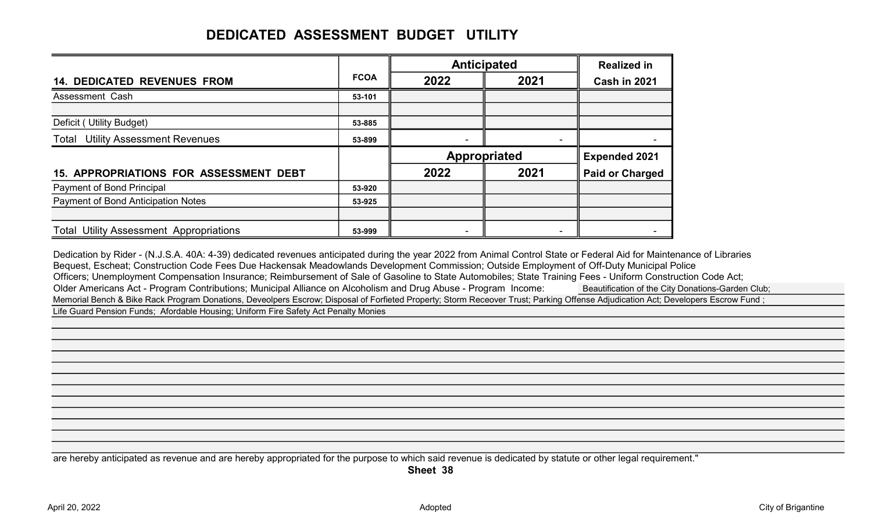#### DEDICATED ASSESSMENT BUDGET UTILITY

|                                                |             | <b>Anticipated</b> |                          | <b>Realized in</b>     |
|------------------------------------------------|-------------|--------------------|--------------------------|------------------------|
| <b>14. DEDICATED REVENUES FROM</b>             | <b>FCOA</b> | 2022               | 2021                     | <b>Cash in 2021</b>    |
| Assessment Cash                                | 53-101      |                    |                          |                        |
|                                                |             |                    |                          |                        |
| Deficit (Utility Budget)                       | 53-885      |                    |                          |                        |
| <b>Total Utility Assessment Revenues</b>       | 53-899      |                    | $\overline{\phantom{0}}$ |                        |
|                                                |             | Appropriated       |                          | <b>Expended 2021</b>   |
| 15. APPROPRIATIONS FOR ASSESSMENT DEBT         |             | 2022               | 2021                     | <b>Paid or Charged</b> |
| Payment of Bond Principal                      | 53-920      |                    |                          |                        |
| Payment of Bond Anticipation Notes             | 53-925      |                    |                          |                        |
|                                                |             |                    |                          |                        |
| <b>Total Utility Assessment Appropriations</b> | 53-999      |                    |                          |                        |

Dedication by Rider - (N.J.S.A. 40A: 4-39) dedicated revenues anticipated during the year 2022 from Animal Control State or Federal Aid for Maintenance of Libraries Bequest, Escheat; Construction Code Fees Due Hackensak Meadowlands Development Commission; Outside Employment of Off-Duty Municipal Police Officers; Unemployment Compensation Insurance; Reimbursement of Sale of Gasoline to State Automobiles; State Training Fees - Uniform Construction Code Act; Older Americans Act - Program Contributions; Municipal Alliance on Alcoholism and Drug Abuse - Program Income:<br>
Deautification of the City Donations-Garden Club; Memorial Bench & Bike Rack Program Donations, Deveolpers Escrow; Disposal of Forfieted Property; Storm Receover Trust; Parking Offense Adjudication Act; Developers Escrow Fund ; Life Guard Pension Funds; Afordable Housing; Uniform Fire Safety Act Penalty Monies

are hereby anticipated as revenue and are hereby appropriated for the purpose to which said revenue is dedicated by statute or other legal requirement."

Sheet 38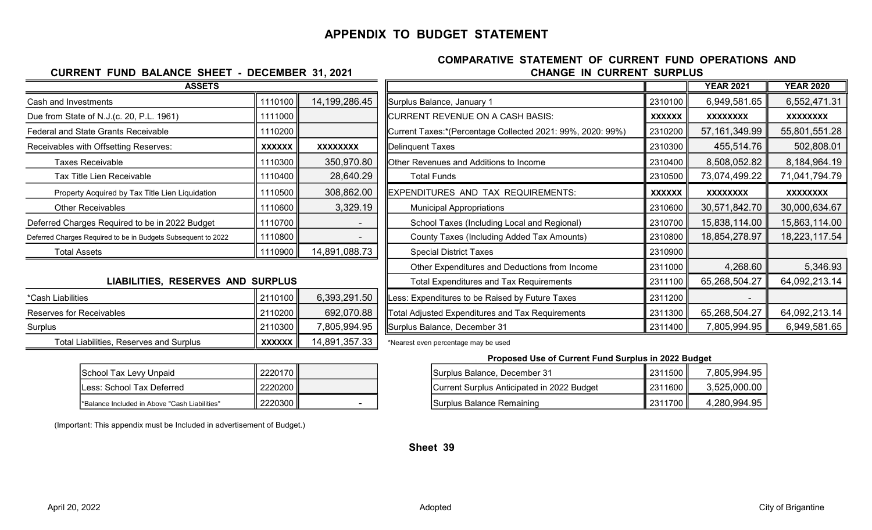#### APPENDIX TO BUDGET STATEMENT

#### CHANGE IN CURRENT SURPLUS COMPARATIVE STATEMENT OF CURRENT FUND OPERATIONS AND

## Due from State of N.J.(c. 20, P.L. 1961)  $\parallel$  1111000 Federal and State Grants Receivable **Fermulation** Taxes: 1110200 Receivables with Offsetting Reserves:  $\|\mathbf{x}\mathbf{x}\mathbf{x}\mathbf{x}\mathbf{x}$  $\|\mathbf{x}\mathbf{x}\mathbf{x}\mathbf{x}\mathbf{x}\mathbf{x}$ Property Acquired by Tax Title Lien Liquidation  $\parallel$  1110500  $\parallel$  308,862.00 Deferred Charges Required to be in 2022 Budget  $\|\cdot\|$  1110700  $\|\cdot\|$ Deferred Charges Required to be in Budgets Subsequent to 2022  $\parallel$  1110800  $\parallel$ Total Assets 1110900 14,891,088.73 Special District Taxes 2310900 ASSETS

CURRENT FUND BALANCE SHEET - DECEMBER 31, 2021

## LIABILITIES, RESERVES AND SURPLUS

| ≏Cash Liabilities                       | <u>IL 2110100 IL</u> | 0.393.291.50  |
|-----------------------------------------|----------------------|---------------|
| Reserves for Receivables                | ll 2110200           | 692,070.88    |
| Surplus                                 | 2110300              | 7,805,994.95  |
| Total Liabilities, Reserves and Surplus | xxxxxx               | 14,891,357.33 |

| <b>ASSETS</b>                                                 |               |                  |                                                            |               | <b>YEAR 2021</b> | <b>YEAR 2020</b> |
|---------------------------------------------------------------|---------------|------------------|------------------------------------------------------------|---------------|------------------|------------------|
| Cash and Investments                                          | 1110100       | 14, 199, 286. 45 | Surplus Balance, January 1                                 | 2310100       | 6,949,581.65     | 6,552,471.31     |
| Due from State of N.J.(c. 20, P.L. 1961)                      | 1111000       |                  | CURRENT REVENUE ON A CASH BASIS:                           | <b>XXXXXX</b> | <b>XXXXXXXX</b>  | <b>XXXXXXXX</b>  |
| Federal and State Grants Receivable                           | 1110200       |                  | Current Taxes:*(Percentage Collected 2021: 99%, 2020: 99%) | 2310200       | 57, 161, 349.99  | 55,801,551.28    |
| Receivables with Offsetting Reserves:                         | <b>XXXXXX</b> | <b>XXXXXXXX</b>  | Delinquent Taxes                                           | 2310300       | 455,514.76       | 502,808.01       |
| Taxes Receivable                                              | 1110300       | 350,970.80       | Other Revenues and Additions to Income                     | 2310400       | 8,508,052.82     | 8,184,964.19     |
| Tax Title Lien Receivable                                     | 1110400       | 28,640.29        | <b>Total Funds</b>                                         | 2310500       | 73,074,499.22    | 71,041,794.79    |
| Property Acquired by Tax Title Lien Liquidation               | 1110500       | 308,862.00       | EXPENDITURES AND TAX REQUIREMENTS:                         | <b>XXXXXX</b> | <b>XXXXXXXX</b>  | <b>XXXXXXXX</b>  |
| <b>Other Receivables</b>                                      | 1110600       | 3,329.19         | <b>Municipal Appropriations</b>                            | 2310600       | 30,571,842.70    | 30,000,634.67    |
| Deferred Charges Required to be in 2022 Budget                | 1110700       |                  | School Taxes (Including Local and Regional)                | 2310700       | 15,838,114.00    | 15,863,114.00    |
| Deferred Charges Required to be in Budgets Subsequent to 2022 | 1110800       |                  | County Taxes (Including Added Tax Amounts)                 | 2310800       | 18,854,278.97    | 18,223,117.54    |
| <b>Total Assets</b>                                           | 1110900       | 14,891,088.73    | <b>Special District Taxes</b>                              | 2310900       |                  |                  |
|                                                               |               |                  | Other Expenditures and Deductions from Income              | 2311000       | 4,268.60         | 5,346.93         |
| LIABILITIES, RESERVES AND SURPLUS                             |               |                  | <b>Total Expenditures and Tax Requirements</b>             |               | 65,268,504.27    | 64,092,213.14    |
| *Cash Liabilities                                             | 2110100       | 6,393,291.50     | Less: Expenditures to be Raised by Future Taxes            | 2311200       |                  |                  |
| <b>Reserves for Receivables</b>                               | 2110200       | 692,070.88       | Total Adjusted Expenditures and Tax Requirements           | 2311300       | 65,268,504.27    | 64,092,213.14    |
| Surplus                                                       | 2110300       | 7,805,994.95     | Surplus Balance, December 31                               | 2311400       | 7,805,994.95     | 6,949,581.65     |

\*Nearest even percentage may be used

| Surplus Balance, December 31               | 2311500    | 7,805,994.95 |
|--------------------------------------------|------------|--------------|
| Current Surplus Anticipated in 2022 Budget | ∥ 2311600  | 3,525,000.00 |
| Surplus Balance Remaining                  | ll 2311700 | 4,280,994.95 |

|  |  | (Important: This appendix must be Included in advertisement of Budget.) |  |
|--|--|-------------------------------------------------------------------------|--|
|  |  |                                                                         |  |

School Tax Levy Unpaid | 2220170 Less: School Tax Deferred 2220200 Current Surplus Anticipated in 2022 Budget 2311600 3,525,000.00 \*Balance Included in Above "Cash Liabilities"  $\parallel$  2220300

#### Sheet 39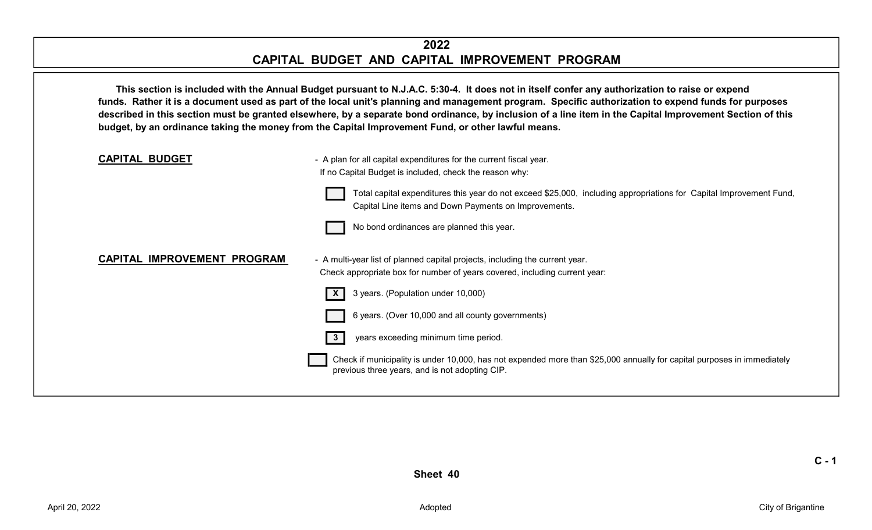#### 2022 CAPITAL BUDGET AND CAPITAL IMPROVEMENT PROGRAM

This section is included with the Annual Budget pursuant to N.J.A.C. 5:30-4. It does not in itself confer any authorization to raise or expend funds. Rather it is a document used as part of the local unit's planning and management program. Specific authorization to expend funds for purposes described in this section must be granted elsewhere, by a separate bond ordinance, by inclusion of a line item in the Capital Improvement Section of this budget, by an ordinance taking the money from the Capital Improvement Fund, or other lawful means.



 $C - 1$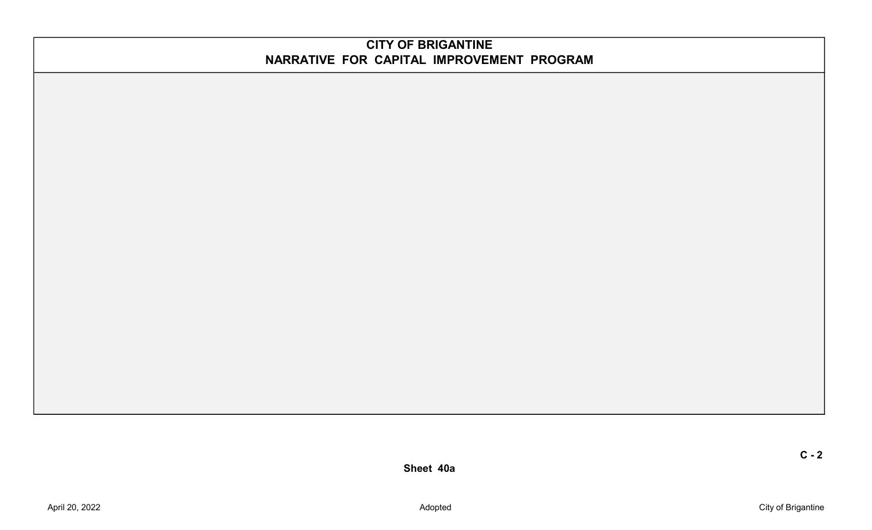#### CITY OF BRIGANTINE NARRATIVE FOR CAPITAL IMPROVEMENT PROGRAM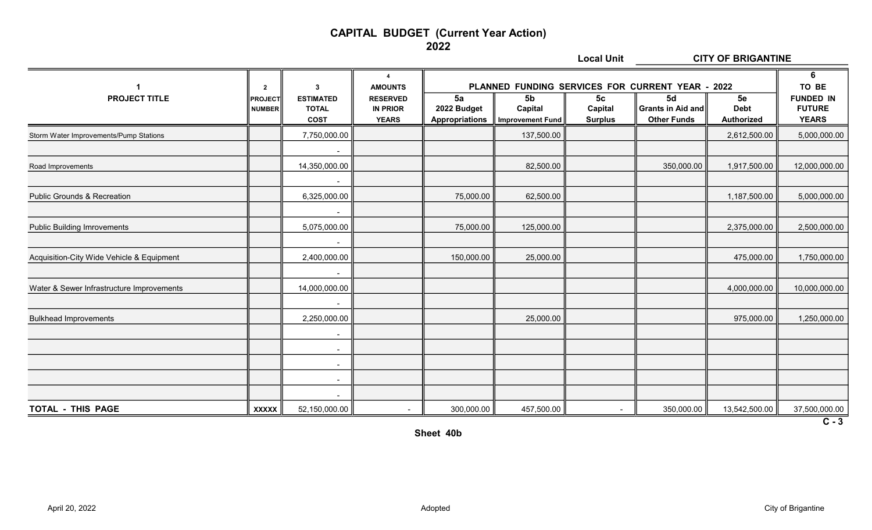#### CAPITAL BUDGET (Current Year Action)

2022

|                                           |                                                 |                                                                 |                                                                                                 |                                            | <b>Local Unit</b>                                    |                                             |                                                                                                          | <b>CITY OF BRIGANTINE</b>              |                                                                 |
|-------------------------------------------|-------------------------------------------------|-----------------------------------------------------------------|-------------------------------------------------------------------------------------------------|--------------------------------------------|------------------------------------------------------|---------------------------------------------|----------------------------------------------------------------------------------------------------------|----------------------------------------|-----------------------------------------------------------------|
| $\mathbf 1$<br><b>PROJECT TITLE</b>       | $\mathbf{2}$<br><b>PROJECT</b><br><b>NUMBER</b> | $\mathbf{3}$<br><b>ESTIMATED</b><br><b>TOTAL</b><br><b>COST</b> | $\overline{\mathbf{A}}$<br><b>AMOUNTS</b><br><b>RESERVED</b><br><b>IN PRIOR</b><br><b>YEARS</b> | 5a<br>2022 Budget<br><b>Appropriations</b> | 5 <sub>b</sub><br>Capital<br><b>Improvement Fund</b> | 5 <sub>c</sub><br>Capital<br><b>Surplus</b> | PLANNED FUNDING SERVICES FOR CURRENT YEAR - 2022<br>5d<br><b>Grants in Aid and</b><br><b>Other Funds</b> | 5e<br><b>Debt</b><br><b>Authorized</b> | 6<br>TO BE<br><b>FUNDED IN</b><br><b>FUTURE</b><br><b>YEARS</b> |
| Storm Water Improvements/Pump Stations    |                                                 | 7,750,000.00                                                    |                                                                                                 |                                            | 137,500.00                                           |                                             |                                                                                                          | 2,612,500.00                           | 5,000,000.00                                                    |
|                                           |                                                 |                                                                 |                                                                                                 |                                            |                                                      |                                             |                                                                                                          |                                        |                                                                 |
| Road Improvements                         |                                                 | 14,350,000.00                                                   |                                                                                                 |                                            | 82,500.00                                            |                                             | 350,000.00                                                                                               | 1,917,500.00                           | 12,000,000.00                                                   |
| <b>Public Grounds &amp; Recreation</b>    |                                                 | $\blacksquare$<br>6,325,000.00                                  |                                                                                                 | 75,000.00                                  | 62,500.00                                            |                                             |                                                                                                          | 1,187,500.00                           | 5,000,000.00                                                    |
| <b>Public Building Imrovements</b>        |                                                 | $\blacksquare$<br>5,075,000.00                                  |                                                                                                 | 75,000.00                                  | 125,000.00                                           |                                             |                                                                                                          | 2,375,000.00                           | 2,500,000.00                                                    |
| Acquisition-City Wide Vehicle & Equipment |                                                 | $\blacksquare$<br>2,400,000.00                                  |                                                                                                 | 150,000.00                                 | 25,000.00                                            |                                             |                                                                                                          | 475,000.00                             | 1,750,000.00                                                    |
| Water & Sewer Infrastructure Improvements |                                                 | $\sim$<br>14,000,000.00                                         |                                                                                                 |                                            |                                                      |                                             |                                                                                                          | 4,000,000.00                           | 10,000,000.00                                                   |
| <b>Bulkhead Improvements</b>              |                                                 | $\blacksquare$<br>2,250,000.00                                  |                                                                                                 |                                            | 25,000.00                                            |                                             |                                                                                                          | 975,000.00                             | 1,250,000.00                                                    |
|                                           |                                                 | $\blacksquare$<br>$\blacksquare$                                |                                                                                                 |                                            |                                                      |                                             |                                                                                                          |                                        |                                                                 |
|                                           |                                                 | $\overline{\phantom{a}}$                                        |                                                                                                 |                                            |                                                      |                                             |                                                                                                          |                                        |                                                                 |
|                                           |                                                 | $\overline{\phantom{a}}$<br>$\blacksquare$                      |                                                                                                 |                                            |                                                      |                                             |                                                                                                          |                                        |                                                                 |
| TOTAL - THIS PAGE                         | <b>XXXXX</b>                                    | 52,150,000.00                                                   |                                                                                                 | 300,000.00                                 | 457,500.00                                           | $\sim$                                      | 350,000.00                                                                                               | 13,542,500.00                          | 37,500,000.00                                                   |
|                                           |                                                 |                                                                 |                                                                                                 |                                            |                                                      |                                             |                                                                                                          |                                        | $\overline{C-3}$                                                |

Sheet 40b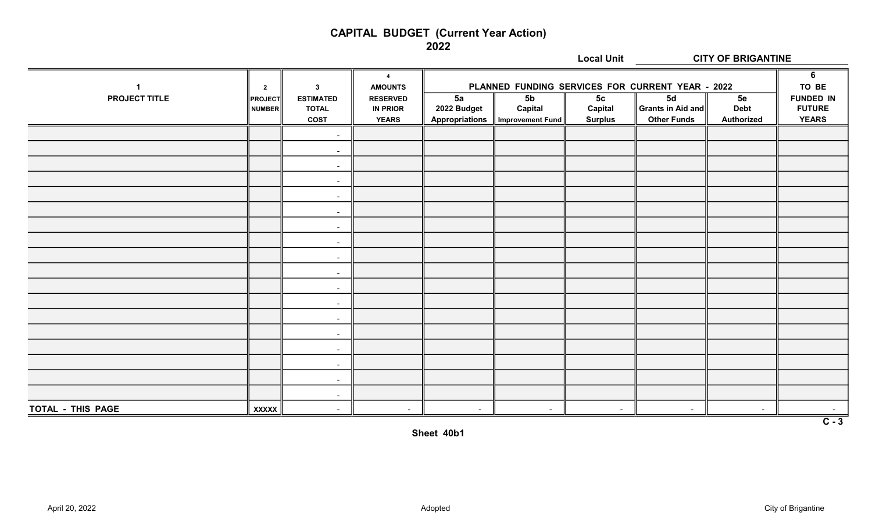#### CAPITAL BUDGET (Current Year Action)

2022

|                      |                          |                                  |                                    | <b>Local Unit</b><br><b>CITY OF BRIGANTINE</b>                                 |                  |                           |                        |                   |                                   |
|----------------------|--------------------------|----------------------------------|------------------------------------|--------------------------------------------------------------------------------|------------------|---------------------------|------------------------|-------------------|-----------------------------------|
| $\mathbf{1}$         | $\overline{2}$           | $\mathbf{3}$                     | $\overline{4}$<br><b>AMOUNTS</b>   | PLANNED FUNDING SERVICES FOR CURRENT YEAR - 2022<br>5a<br>5 <sub>b</sub><br>5d |                  |                           |                        |                   | 6<br>TO BE                        |
| <b>PROJECT TITLE</b> | <b>PROJECT</b><br>NUMBER | <b>ESTIMATED</b><br><b>TOTAL</b> | <b>RESERVED</b><br><b>IN PRIOR</b> | 2022 Budget                                                                    | Capital          | 5 <sub>c</sub><br>Capital | $\ $ Grants in Aid and | 5e<br><b>Debt</b> | <b>FUNDED IN</b><br><b>FUTURE</b> |
|                      |                          | <b>COST</b>                      | <b>YEARS</b>                       | <b>Appropriations</b>                                                          | Improvement Fund | <b>Surplus</b>            | <b>Other Funds</b>     | Authorized        | <b>YEARS</b>                      |
|                      |                          | $\sim$                           |                                    |                                                                                |                  |                           |                        |                   |                                   |
|                      |                          | $\sim$                           |                                    |                                                                                |                  |                           |                        |                   |                                   |
|                      |                          | $\sim$                           |                                    |                                                                                |                  |                           |                        |                   |                                   |
|                      |                          | $\sim$                           |                                    |                                                                                |                  |                           |                        |                   |                                   |
|                      |                          | $\sim$                           |                                    |                                                                                |                  |                           |                        |                   |                                   |
|                      |                          | $\sim$                           |                                    |                                                                                |                  |                           |                        |                   |                                   |
|                      |                          | $\sim$                           |                                    |                                                                                |                  |                           |                        |                   |                                   |
|                      |                          | $\sim$                           |                                    |                                                                                |                  |                           |                        |                   |                                   |
|                      |                          | $\sim$                           |                                    |                                                                                |                  |                           |                        |                   |                                   |
|                      |                          | $\sim$                           |                                    |                                                                                |                  |                           |                        |                   |                                   |
|                      |                          | $\sim$                           |                                    |                                                                                |                  |                           |                        |                   |                                   |
|                      |                          | $\sim$                           |                                    |                                                                                |                  |                           |                        |                   |                                   |
|                      |                          | $\sim$                           |                                    |                                                                                |                  |                           |                        |                   |                                   |
|                      |                          | $\sim$                           |                                    |                                                                                |                  |                           |                        |                   |                                   |
|                      |                          | $\sim$                           |                                    |                                                                                |                  |                           |                        |                   |                                   |
|                      |                          | $\sim$                           |                                    |                                                                                |                  |                           |                        |                   |                                   |
|                      |                          | $\blacksquare$                   |                                    |                                                                                |                  |                           |                        |                   |                                   |
|                      |                          | $\sim$                           |                                    |                                                                                |                  |                           |                        |                   |                                   |
| TOTAL - THIS PAGE    | <b>XXXXX</b>             | $\sim$                           | $\sim$                             | $\sim$                                                                         | $\sim$           | $\sim$                    | $\sim$                 | $\sim$            |                                   |
| $C - 3$              |                          |                                  |                                    |                                                                                |                  |                           |                        |                   |                                   |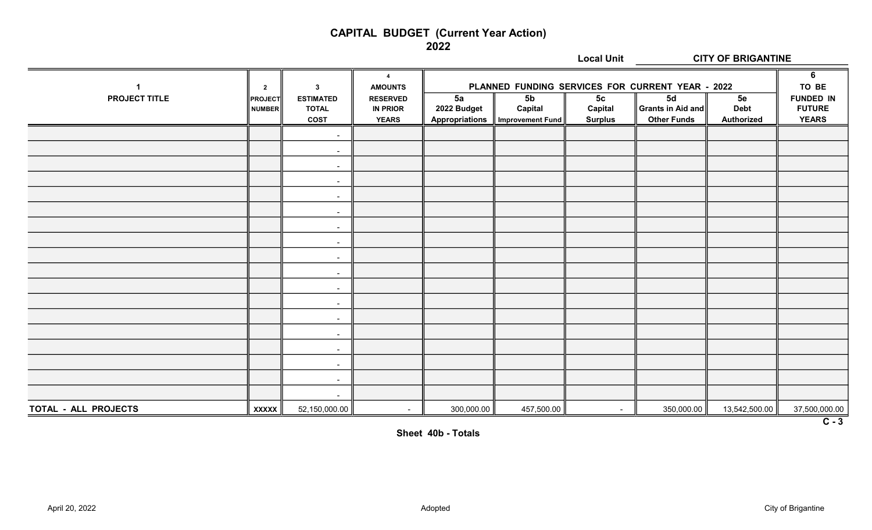# CAPITAL BUDGET (Current Year Action)

2022

|                      |                                                 |                                                                 |                                                                                                 |                                            |                                                      | <b>Local Unit</b>                           |                                                                                                          | <b>CITY OF BRIGANTINE</b>              |                                                                 |
|----------------------|-------------------------------------------------|-----------------------------------------------------------------|-------------------------------------------------------------------------------------------------|--------------------------------------------|------------------------------------------------------|---------------------------------------------|----------------------------------------------------------------------------------------------------------|----------------------------------------|-----------------------------------------------------------------|
| <b>PROJECT TITLE</b> | $\mathbf{2}$<br><b>PROJECT</b><br><b>NUMBER</b> | $\mathbf{3}$<br><b>ESTIMATED</b><br><b>TOTAL</b><br><b>COST</b> | $\overline{\mathbf{4}}$<br><b>AMOUNTS</b><br><b>RESERVED</b><br><b>IN PRIOR</b><br><b>YEARS</b> | 5a<br>2022 Budget<br><b>Appropriations</b> | 5 <sub>b</sub><br>Capital<br><b>Improvement Fund</b> | 5 <sub>c</sub><br>Capital<br><b>Surplus</b> | PLANNED FUNDING SERVICES FOR CURRENT YEAR - 2022<br>5d<br><b>Grants in Aid and</b><br><b>Other Funds</b> | 5e<br><b>Debt</b><br><b>Authorized</b> | 6<br>TO BE<br><b>FUNDED IN</b><br><b>FUTURE</b><br><b>YEARS</b> |
|                      |                                                 | $\blacksquare$                                                  |                                                                                                 |                                            |                                                      |                                             |                                                                                                          |                                        |                                                                 |
|                      |                                                 | $\blacksquare$                                                  |                                                                                                 |                                            |                                                      |                                             |                                                                                                          |                                        |                                                                 |
|                      |                                                 | $\blacksquare$                                                  |                                                                                                 |                                            |                                                      |                                             |                                                                                                          |                                        |                                                                 |
|                      |                                                 | $\blacksquare$                                                  |                                                                                                 |                                            |                                                      |                                             |                                                                                                          |                                        |                                                                 |
|                      |                                                 | $\blacksquare$                                                  |                                                                                                 |                                            |                                                      |                                             |                                                                                                          |                                        |                                                                 |
|                      |                                                 | $\blacksquare$                                                  |                                                                                                 |                                            |                                                      |                                             |                                                                                                          |                                        |                                                                 |
|                      |                                                 | $\blacksquare$                                                  |                                                                                                 |                                            |                                                      |                                             |                                                                                                          |                                        |                                                                 |
|                      |                                                 | $\blacksquare$                                                  |                                                                                                 |                                            |                                                      |                                             |                                                                                                          |                                        |                                                                 |
|                      |                                                 | $\sim$                                                          |                                                                                                 |                                            |                                                      |                                             |                                                                                                          |                                        |                                                                 |
|                      |                                                 | $\blacksquare$                                                  |                                                                                                 |                                            |                                                      |                                             |                                                                                                          |                                        |                                                                 |
|                      |                                                 | $\blacksquare$                                                  |                                                                                                 |                                            |                                                      |                                             |                                                                                                          |                                        |                                                                 |
|                      |                                                 | $\blacksquare$                                                  |                                                                                                 |                                            |                                                      |                                             |                                                                                                          |                                        |                                                                 |
|                      |                                                 | $\blacksquare$                                                  |                                                                                                 |                                            |                                                      |                                             |                                                                                                          |                                        |                                                                 |
|                      |                                                 | $\blacksquare$                                                  |                                                                                                 |                                            |                                                      |                                             |                                                                                                          |                                        |                                                                 |
|                      |                                                 | $\overline{\phantom{a}}$                                        |                                                                                                 |                                            |                                                      |                                             |                                                                                                          |                                        |                                                                 |
|                      |                                                 | $\sim$                                                          |                                                                                                 |                                            |                                                      |                                             |                                                                                                          |                                        |                                                                 |
|                      |                                                 | $\blacksquare$<br>$\overline{\phantom{a}}$                      |                                                                                                 |                                            |                                                      |                                             |                                                                                                          |                                        |                                                                 |
| TOTAL - ALL PROJECTS | <b>XXXXX</b>                                    | 52,150,000.00                                                   | $\blacksquare$                                                                                  | 300,000.00                                 | 457,500.00                                           | $\sim$                                      | 350,000.00                                                                                               | 13,542,500.00                          | 37,500,000.00                                                   |

 $\overline{C-3}$ 

Sheet 40b - Totals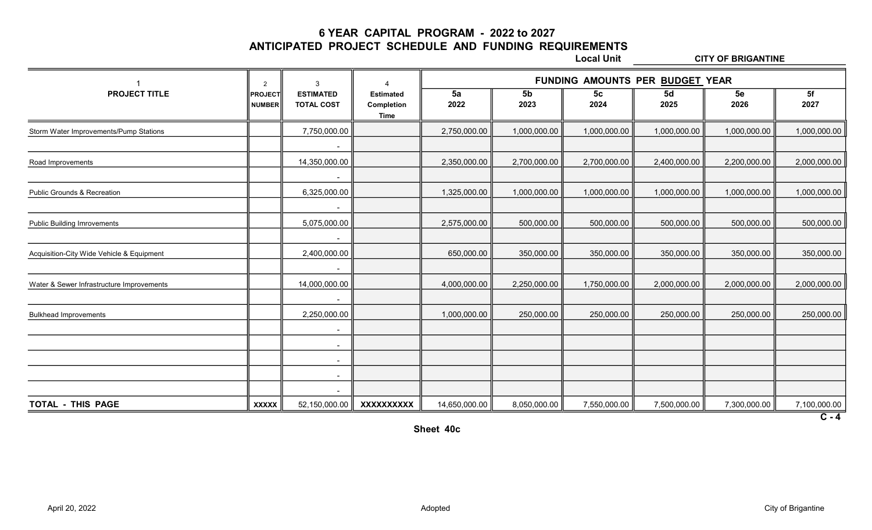6 YEAR CAPITAL PROGRAM - 2022 to 2027

ANTICIPATED PROJECT SCHEDULE AND FUNDING REQUIREMENTS

Local Unit CITY OF BRIGANTINE

|                                           | 2                               | 3                                     | 4                                      |               |                        | FUNDING AMOUNTS PER BUDGET YEAR |              |              |                         |
|-------------------------------------------|---------------------------------|---------------------------------------|----------------------------------------|---------------|------------------------|---------------------------------|--------------|--------------|-------------------------|
| <b>PROJECT TITLE</b>                      | <b>PROJECT</b><br><b>NUMBER</b> | <b>ESTIMATED</b><br><b>TOTAL COST</b> | <b>Estimated</b><br>Completion<br>Time | 5a<br>2022    | 5 <sub>b</sub><br>2023 | 5 <sub>c</sub><br>2024          | 5d<br>2025   | 5e<br>2026   | 5f<br>2027              |
| Storm Water Improvements/Pump Stations    |                                 | 7,750,000.00                          |                                        | 2,750,000.00  | 1,000,000.00           | 1,000,000.00                    | 1,000,000.00 | 1,000,000.00 | 1,000,000.00            |
| Road Improvements                         |                                 | $\blacksquare$<br>14,350,000.00       |                                        | 2,350,000.00  | 2,700,000.00           | 2,700,000.00                    | 2,400,000.00 | 2,200,000.00 | 2,000,000.00            |
| <b>Public Grounds &amp; Recreation</b>    |                                 | $\sim$<br>6,325,000.00                |                                        | 1,325,000.00  | 1,000,000.00           | 1,000,000.00                    | 1,000,000.00 | 1,000,000.00 | 1,000,000.00            |
| <b>Public Building Imrovements</b>        |                                 | 5,075,000.00                          |                                        | 2,575,000.00  | 500,000.00             | 500,000.00                      | 500,000.00   | 500,000.00   | 500,000.00              |
| Acquisition-City Wide Vehicle & Equipment |                                 | $\sim$<br>2,400,000.00                |                                        | 650,000.00    | 350,000.00             | 350,000.00                      | 350,000.00   | 350,000.00   | 350,000.00              |
| Water & Sewer Infrastructure Improvements |                                 | 14,000,000.00                         |                                        | 4,000,000.00  | 2,250,000.00           | 1,750,000.00                    | 2,000,000.00 | 2,000,000.00 | 2,000,000.00            |
| <b>Bulkhead Improvements</b>              |                                 | $\blacksquare$<br>2,250,000.00        |                                        | 1,000,000.00  | 250,000.00             | 250,000.00                      | 250,000.00   | 250,000.00   | 250,000.00              |
|                                           |                                 | $\sim$<br>$\sim$                      |                                        |               |                        |                                 |              |              |                         |
|                                           |                                 | $\blacksquare$<br>$\sim$              |                                        |               |                        |                                 |              |              |                         |
|                                           |                                 | $\blacksquare$                        |                                        |               |                        |                                 |              |              |                         |
| TOTAL - THIS PAGE                         | <b>XXXXX</b>                    | 52,150,000.00                         | XXXXXXXXXX                             | 14,650,000.00 | 8,050,000.00           | 7,550,000.00                    | 7,500,000.00 | 7,300,000.00 | 7,100,000.00<br>$C - 4$ |

Sheet 40c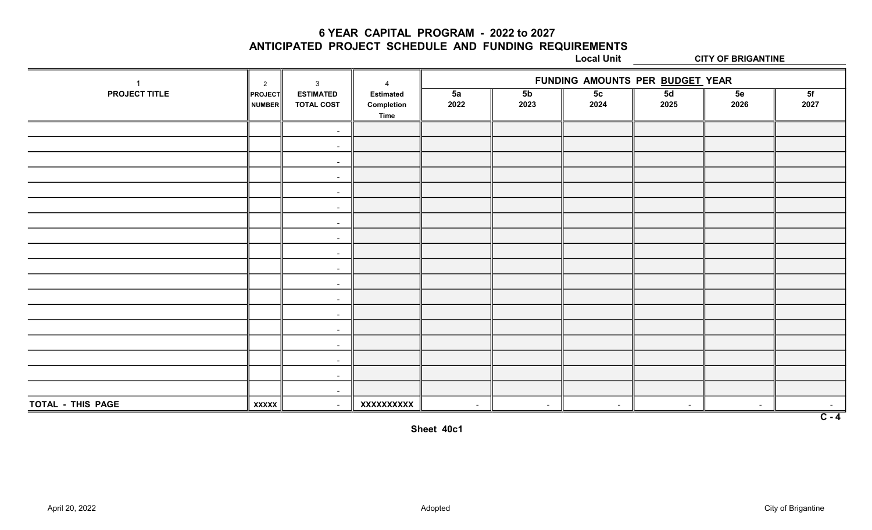6 YEAR CAPITAL PROGRAM - 2022 to 2027

ANTICIPATED PROJECT SCHEDULE AND FUNDING REQUIREMENTS

Local Unit CITY OF BRIGANTINE

|                   | $\overline{2}$           | 3                                     | $\overline{4}$                                | FUNDING AMOUNTS PER BUDGET YEAR |                        |                        |            |            |                  |  |
|-------------------|--------------------------|---------------------------------------|-----------------------------------------------|---------------------------------|------------------------|------------------------|------------|------------|------------------|--|
| PROJECT TITLE     | <b>PROJECT</b><br>NUMBER | <b>ESTIMATED</b><br><b>TOTAL COST</b> | <b>Estimated</b><br>Completion<br><b>Time</b> | 5a<br>2022                      | 5 <sub>b</sub><br>2023 | 5 <sub>c</sub><br>2024 | 5d<br>2025 | 5e<br>2026 | 5f<br>2027       |  |
|                   |                          | $\sim$                                |                                               |                                 |                        |                        |            |            |                  |  |
|                   |                          | $\sim$                                |                                               |                                 |                        |                        |            |            |                  |  |
|                   |                          | $\sim$                                |                                               |                                 |                        |                        |            |            |                  |  |
|                   |                          | $\sim$                                |                                               |                                 |                        |                        |            |            |                  |  |
|                   |                          | $\sim$                                |                                               |                                 |                        |                        |            |            |                  |  |
|                   |                          | $\sim$                                |                                               |                                 |                        |                        |            |            |                  |  |
|                   |                          | $\sim$                                |                                               |                                 |                        |                        |            |            |                  |  |
|                   |                          | $\sim$                                |                                               |                                 |                        |                        |            |            |                  |  |
|                   |                          | $\sim$                                |                                               |                                 |                        |                        |            |            |                  |  |
|                   |                          | $\sim$                                |                                               |                                 |                        |                        |            |            |                  |  |
|                   |                          | $\sim$                                |                                               |                                 |                        |                        |            |            |                  |  |
|                   |                          | $\sim$                                |                                               |                                 |                        |                        |            |            |                  |  |
|                   |                          | $\sim$                                |                                               |                                 |                        |                        |            |            |                  |  |
|                   |                          | $\sim$                                |                                               |                                 |                        |                        |            |            |                  |  |
|                   |                          | $\sim$                                |                                               |                                 |                        |                        |            |            |                  |  |
|                   |                          | $\sim$                                |                                               |                                 |                        |                        |            |            |                  |  |
|                   |                          | $\sim$                                |                                               |                                 |                        |                        |            |            |                  |  |
|                   |                          | $\sim$                                |                                               |                                 |                        |                        |            |            |                  |  |
| TOTAL - THIS PAGE | <b>XXXXX</b>             | $\sim$                                | XXXXXXXXXX                                    | $\sim$                          | $\sim$                 | $\sim$                 | $\sim$     |            | $\sim$           |  |
|                   |                          |                                       |                                               |                                 |                        |                        |            |            | $\overline{C-4}$ |  |

Sheet 40c1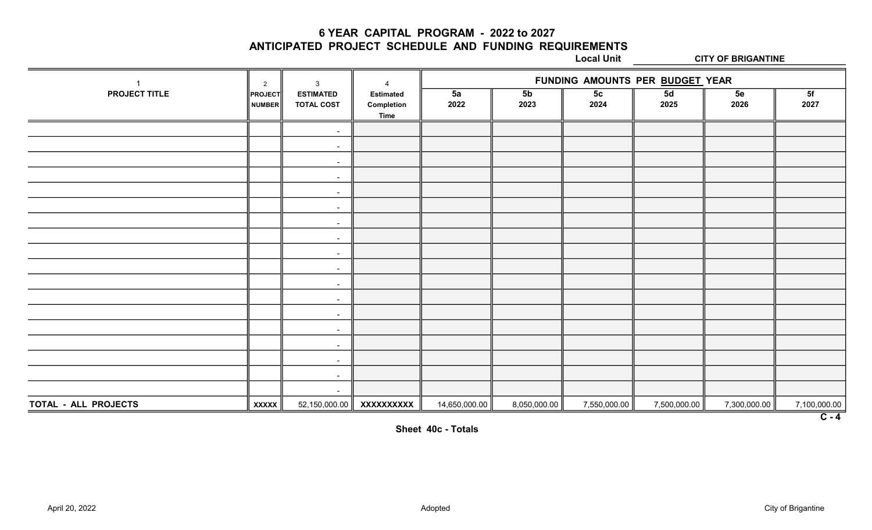6 YEAR CAPITAL PROGRAM - 2022 to 2027

ANTICIPATED PROJECT SCHEDULE AND FUNDING REQUIREMENTS

Local Unit CITY OF BRIGANTINE

|                      | 2                        | 3                                     | $\boldsymbol{\Lambda}$                        | FUNDING AMOUNTS PER BUDGET YEAR |                        |                        |              |              |              |
|----------------------|--------------------------|---------------------------------------|-----------------------------------------------|---------------------------------|------------------------|------------------------|--------------|--------------|--------------|
| PROJECT TITLE        | <b>PROJECT</b><br>NUMBER | <b>ESTIMATED</b><br><b>TOTAL COST</b> | <b>Estimated</b><br>Completion<br><b>Time</b> | 5a<br>2022                      | 5 <sub>b</sub><br>2023 | 5 <sub>c</sub><br>2024 | 5d<br>2025   | 5e<br>2026   | 5f<br>2027   |
|                      |                          | $\sim$                                |                                               |                                 |                        |                        |              |              |              |
|                      |                          | $\sim$                                |                                               |                                 |                        |                        |              |              |              |
|                      |                          | $\sim$                                |                                               |                                 |                        |                        |              |              |              |
|                      |                          | $\sim$                                |                                               |                                 |                        |                        |              |              |              |
|                      |                          | $\sim$                                |                                               |                                 |                        |                        |              |              |              |
|                      |                          | $\sim$                                |                                               |                                 |                        |                        |              |              |              |
|                      |                          | $\sim$                                |                                               |                                 |                        |                        |              |              |              |
|                      |                          | $\sim$                                |                                               |                                 |                        |                        |              |              |              |
|                      |                          | $\sim$                                |                                               |                                 |                        |                        |              |              |              |
|                      |                          | $\sim$                                |                                               |                                 |                        |                        |              |              |              |
|                      |                          | $\sim$                                |                                               |                                 |                        |                        |              |              |              |
|                      |                          | $\sim$                                |                                               |                                 |                        |                        |              |              |              |
|                      |                          | $\sim$                                |                                               |                                 |                        |                        |              |              |              |
|                      |                          | $\sim$                                |                                               |                                 |                        |                        |              |              |              |
|                      |                          | $\sim$                                |                                               |                                 |                        |                        |              |              |              |
|                      |                          | $\sim$                                |                                               |                                 |                        |                        |              |              |              |
|                      |                          | $\sim$                                |                                               |                                 |                        |                        |              |              |              |
|                      |                          | $\sim$                                |                                               |                                 |                        |                        |              |              |              |
| TOTAL - ALL PROJECTS | <b>XXXXX</b>             | 52,150,000.00                         | XXXXXXXXXX                                    | 14,650,000.00                   | 8,050,000.00           | 7,550,000.00           | 7,500,000.00 | 7,300,000.00 | 7,100,000.00 |
|                      |                          |                                       |                                               |                                 |                        |                        |              |              | $C - 4$      |

Sheet 40c - Totals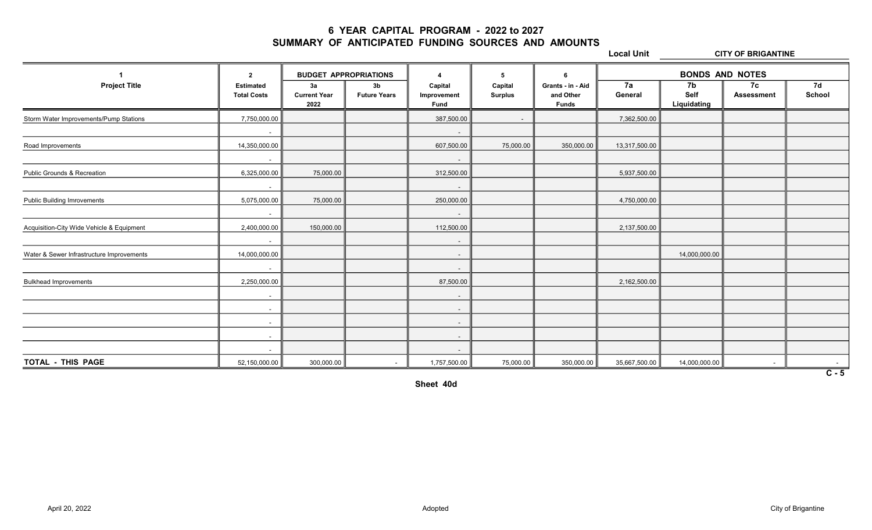## 6 YEAR CAPITAL PROGRAM - 2022 to 2027 SUMMARY OF ANTICIPATED FUNDING SOURCES AND AMOUNTS

Local Unit CITY OF BRIGANTINE

|                                           | $\overline{2}$                         | <b>BUDGET APPROPRIATIONS</b>      |                                       | $\boldsymbol{\Lambda}$                | 5                         | 6                                              |               | <b>BONDS AND NOTES</b>    |                         |                  |
|-------------------------------------------|----------------------------------------|-----------------------------------|---------------------------------------|---------------------------------------|---------------------------|------------------------------------------------|---------------|---------------------------|-------------------------|------------------|
| <b>Project Title</b>                      | <b>Estimated</b><br><b>Total Costs</b> | 3a<br><b>Current Year</b><br>2022 | 3 <sub>b</sub><br><b>Future Years</b> | Capital<br>Improvement<br><b>Fund</b> | Capital<br><b>Surplus</b> | Grants - in - Aid<br>and Other<br><b>Funds</b> | 7a<br>General | 7b<br>Self<br>Liquidating | 7c<br><b>Assessment</b> | 7d<br>School     |
| Storm Water Improvements/Pump Stations    | 7,750,000.00                           |                                   |                                       | 387,500.00                            | $\sim$ 10 $\,$            |                                                | 7,362,500.00  |                           |                         |                  |
|                                           | $\sim$                                 |                                   |                                       | $\sim$                                |                           |                                                |               |                           |                         |                  |
| Road Improvements                         | 14,350,000.00                          |                                   |                                       | 607,500.00                            | 75,000.00                 | 350,000.00                                     | 13,317,500.00 |                           |                         |                  |
|                                           | $\sim$                                 |                                   |                                       | $\sim$                                |                           |                                                |               |                           |                         |                  |
| <b>Public Grounds &amp; Recreation</b>    | 6,325,000.00                           | 75,000.00                         |                                       | 312,500.00                            |                           |                                                | 5,937,500.00  |                           |                         |                  |
|                                           | $\sim$                                 |                                   |                                       | $\sim$                                |                           |                                                |               |                           |                         |                  |
| <b>Public Building Imrovements</b>        | 5,075,000.00                           | 75,000.00                         |                                       | 250,000.00                            |                           |                                                | 4,750,000.00  |                           |                         |                  |
|                                           | $\sim$                                 |                                   |                                       | $\sim$                                |                           |                                                |               |                           |                         |                  |
| Acquisition-City Wide Vehicle & Equipment | 2,400,000.00                           | 150,000.00                        |                                       | 112,500.00                            |                           |                                                | 2,137,500.00  |                           |                         |                  |
|                                           | $\sim$                                 |                                   |                                       | $\sim$                                |                           |                                                |               |                           |                         |                  |
| Water & Sewer Infrastructure Improvements | 14,000,000.00                          |                                   |                                       | $\sim$                                |                           |                                                |               | 14,000,000.00             |                         |                  |
|                                           | $\sim$                                 |                                   |                                       | $\sim$                                |                           |                                                |               |                           |                         |                  |
| <b>Bulkhead Improvements</b>              | 2,250,000.00                           |                                   |                                       | 87,500.00                             |                           |                                                | 2,162,500.00  |                           |                         |                  |
|                                           | $\sim$                                 |                                   |                                       | $\sim$                                |                           |                                                |               |                           |                         |                  |
|                                           | $\sim$                                 |                                   |                                       | $\sim$                                |                           |                                                |               |                           |                         |                  |
|                                           | $\sim$                                 |                                   |                                       | $\sim$                                |                           |                                                |               |                           |                         |                  |
|                                           | $\sim$ $-$                             |                                   |                                       | $\sim$                                |                           |                                                |               |                           |                         |                  |
|                                           | $\sim$                                 |                                   |                                       | $\sim$                                |                           |                                                |               |                           |                         |                  |
| TOTAL - THIS PAGE                         | 52,150,000.00                          | 300,000.00                        | $\sim$ 100 $\mu$                      | 1,757,500.00                          | 75,000.00                 | 350,000.00                                     | 35,667,500.00 | 14,000,000.00             | $\sim$                  |                  |
|                                           |                                        |                                   |                                       |                                       |                           |                                                |               |                           |                         | $\overline{C-5}$ |

Sheet 40d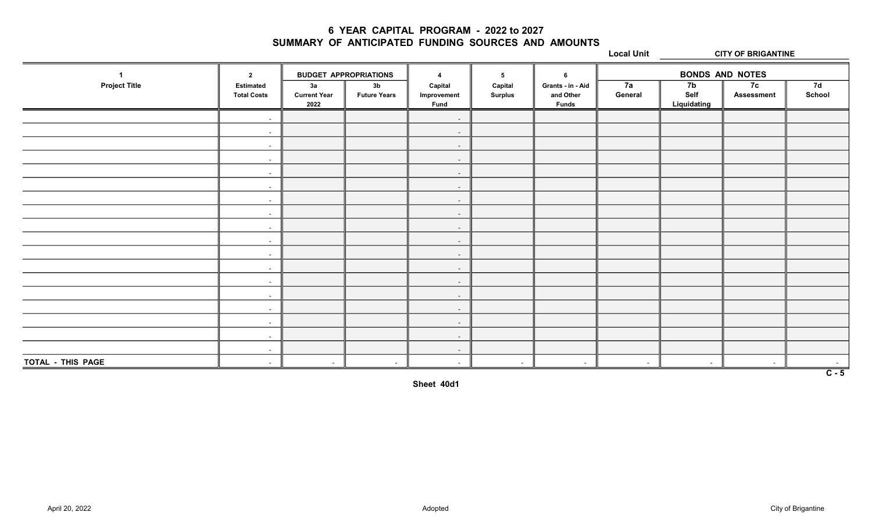## 6 YEAR CAPITAL PROGRAM - 2022 to 2027 SUMMARY OF ANTICIPATED FUNDING SOURCES AND AMOUNTS

Local Unit CITY OF BRIGANTINE

1 BUDGET APPROPRIATIONS 4 5 6 BONDS AND NOTES Project Title Estimated 3a 3b Capital Capital Grants - in - Aid 7a 7b 7c 7d Total Costs ║ Current Year ║ Future Years ║ Improvement ║ Surplus ║ and Other ║ General ║ Self ║ Assessment ║ School 2022  $\|$  Fund  $\|$  Funds  $\|$  Liquidating - - - - - - - - - - - - - - - - - - - - - - - - - - - - - - - - - - - - TOTAL - THIS PAGE | - | - | - | - | - | - | - | - $\overline{C - 5}$ 

Sheet 40d1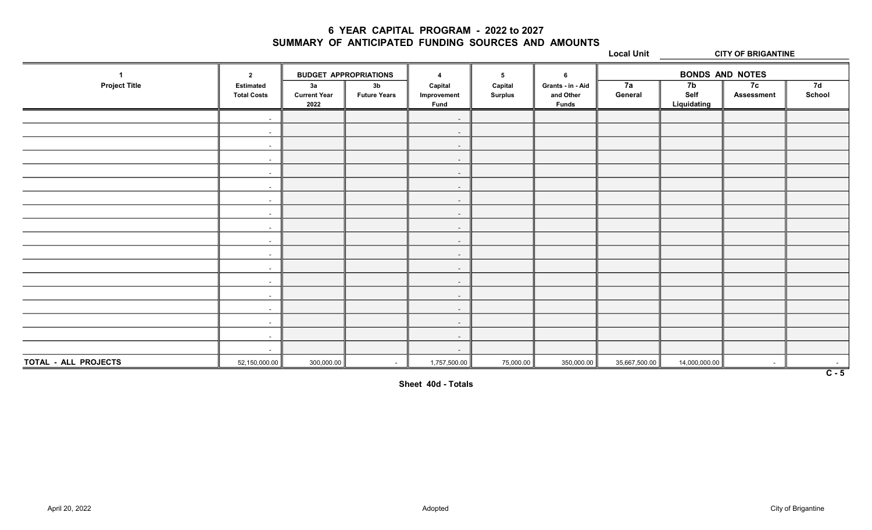## 6 YEAR CAPITAL PROGRAM - 2022 to 2027 SUMMARY OF ANTICIPATED FUNDING SOURCES AND AMOUNTS

Local Unit CITY OF BRIGANTINE

1 BUDGET APPROPRIATIONS 4 5 6 BONDS AND NOTES Project Title Estimated 3a 3b Capital Capital Grants - in - Aid 7a 7b 7c 7d Total Costs ║ Current Year ║ Future Years ║ Improvement ║ Surplus ║ and Other ║ General ║ Self ║ Assessment ║ School 2022  $\|$  Fund  $\|$  Funds  $\|$  Liquidating - - - - - - - - - - - - - - - - - - - - - - - - - - - - - - - - - - - -  $\textbf{TOTAL}\textbf{- ALL PROJECTS} \textcolor{white}{|} \textcolor{white}{|} \textcolor{white}{|} \textcolor{white}{|} \textcolor{white}{|} \textcolor{white}{|} \textcolor{white}{|} \textcolor{white}{|} \textcolor{white}{|} \textcolor{white}{|} \textcolor{white}{|} \textcolor{white}{|} \textcolor{white}{|} \textcolor{white}{|} \textcolor{white}{|} \textcolor{white}{|} \textcolor{white}{|} \textcolor{white}{|} \textcolor{white}{|} \textcolor{white}{|} \textcolor{white}{|} \textcolor{white}{|} \textcolor{white}{|} \textcolor{white}{|} \textcolor{white}{|} \textcolor{$  $\overline{C - 5}$ 

Sheet 40d - Totals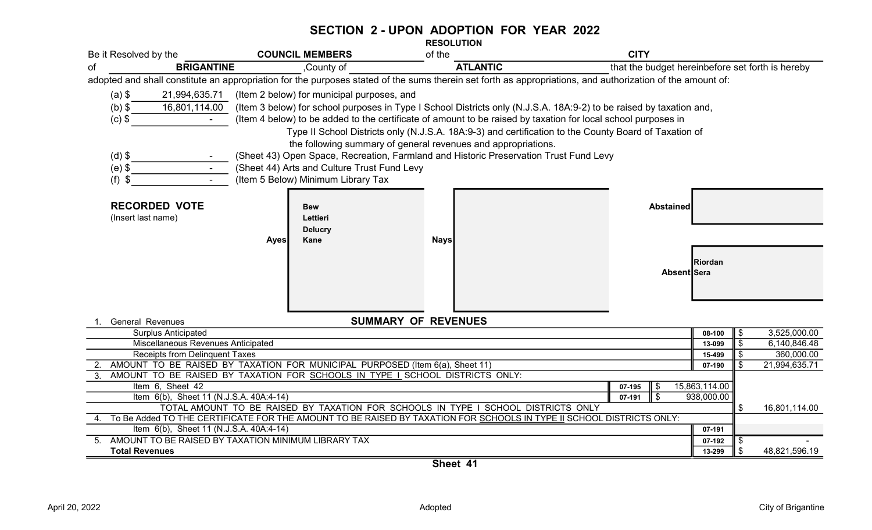#### SECTION 2 - UPON ADOPTION FOR YEAR 2022 RESOLUTION

|                                                                                                                                                                                                                        | Be it Resolved by the                                                                                                        | <b>COUNCIL MEMBERS</b>                                                                | of the                                                                                                                                                                                                                                                                                                                                                                                                                                                                                                                                | <b>CITY</b>                                                                                                                                                |                     |  |  |  |  |
|------------------------------------------------------------------------------------------------------------------------------------------------------------------------------------------------------------------------|------------------------------------------------------------------------------------------------------------------------------|---------------------------------------------------------------------------------------|---------------------------------------------------------------------------------------------------------------------------------------------------------------------------------------------------------------------------------------------------------------------------------------------------------------------------------------------------------------------------------------------------------------------------------------------------------------------------------------------------------------------------------------|------------------------------------------------------------------------------------------------------------------------------------------------------------|---------------------|--|--|--|--|
| οf                                                                                                                                                                                                                     | <b>BRIGANTINE</b>                                                                                                            | ,County of                                                                            | <b>ATLANTIC</b>                                                                                                                                                                                                                                                                                                                                                                                                                                                                                                                       | that the budget hereinbefore set forth is hereby                                                                                                           |                     |  |  |  |  |
|                                                                                                                                                                                                                        |                                                                                                                              |                                                                                       |                                                                                                                                                                                                                                                                                                                                                                                                                                                                                                                                       | adopted and shall constitute an appropriation for the purposes stated of the sums therein set forth as appropriations, and authorization of the amount of: |                     |  |  |  |  |
|                                                                                                                                                                                                                        | $(a)$ \$                                                                                                                     | 21,994,635.71 (Item 2 below) for municipal purposes, and                              |                                                                                                                                                                                                                                                                                                                                                                                                                                                                                                                                       |                                                                                                                                                            |                     |  |  |  |  |
|                                                                                                                                                                                                                        | $(b)$ \$<br>16,801,114.00                                                                                                    |                                                                                       |                                                                                                                                                                                                                                                                                                                                                                                                                                                                                                                                       | (Item 3 below) for school purposes in Type I School Districts only (N.J.S.A. 18A:9-2) to be raised by taxation and,                                        |                     |  |  |  |  |
|                                                                                                                                                                                                                        | $(c)$ \$<br>$\sim$                                                                                                           |                                                                                       |                                                                                                                                                                                                                                                                                                                                                                                                                                                                                                                                       |                                                                                                                                                            |                     |  |  |  |  |
| (Item 4 below) to be added to the certificate of amount to be raised by taxation for local school purposes in<br>Type II School Districts only (N.J.S.A. 18A:9-3) and certification to the County Board of Taxation of |                                                                                                                              |                                                                                       |                                                                                                                                                                                                                                                                                                                                                                                                                                                                                                                                       |                                                                                                                                                            |                     |  |  |  |  |
|                                                                                                                                                                                                                        |                                                                                                                              |                                                                                       | the following summary of general revenues and appropriations.                                                                                                                                                                                                                                                                                                                                                                                                                                                                         |                                                                                                                                                            |                     |  |  |  |  |
|                                                                                                                                                                                                                        | $(d)$ \$                                                                                                                     | (Sheet 43) Open Space, Recreation, Farmland and Historic Preservation Trust Fund Levy |                                                                                                                                                                                                                                                                                                                                                                                                                                                                                                                                       |                                                                                                                                                            |                     |  |  |  |  |
|                                                                                                                                                                                                                        | $(e)$ \$<br>$\sim$                                                                                                           | (Sheet 44) Arts and Culture Trust Fund Levy                                           |                                                                                                                                                                                                                                                                                                                                                                                                                                                                                                                                       |                                                                                                                                                            |                     |  |  |  |  |
|                                                                                                                                                                                                                        | $(f)$ \$                                                                                                                     | (Item 5 Below) Minimum Library Tax                                                    |                                                                                                                                                                                                                                                                                                                                                                                                                                                                                                                                       |                                                                                                                                                            |                     |  |  |  |  |
|                                                                                                                                                                                                                        |                                                                                                                              |                                                                                       |                                                                                                                                                                                                                                                                                                                                                                                                                                                                                                                                       |                                                                                                                                                            |                     |  |  |  |  |
|                                                                                                                                                                                                                        | <b>RECORDED VOTE</b>                                                                                                         |                                                                                       |                                                                                                                                                                                                                                                                                                                                                                                                                                                                                                                                       |                                                                                                                                                            |                     |  |  |  |  |
|                                                                                                                                                                                                                        |                                                                                                                              | <b>Bew</b>                                                                            |                                                                                                                                                                                                                                                                                                                                                                                                                                                                                                                                       | <b>Abstained</b>                                                                                                                                           |                     |  |  |  |  |
|                                                                                                                                                                                                                        | (Insert last name)                                                                                                           | Lettieri<br><b>Delucry</b>                                                            |                                                                                                                                                                                                                                                                                                                                                                                                                                                                                                                                       |                                                                                                                                                            |                     |  |  |  |  |
|                                                                                                                                                                                                                        |                                                                                                                              | Kane<br><b>Ayes</b>                                                                   | <b>Nays</b>                                                                                                                                                                                                                                                                                                                                                                                                                                                                                                                           |                                                                                                                                                            |                     |  |  |  |  |
|                                                                                                                                                                                                                        |                                                                                                                              |                                                                                       |                                                                                                                                                                                                                                                                                                                                                                                                                                                                                                                                       |                                                                                                                                                            |                     |  |  |  |  |
|                                                                                                                                                                                                                        |                                                                                                                              |                                                                                       |                                                                                                                                                                                                                                                                                                                                                                                                                                                                                                                                       | Riordan                                                                                                                                                    |                     |  |  |  |  |
|                                                                                                                                                                                                                        |                                                                                                                              |                                                                                       |                                                                                                                                                                                                                                                                                                                                                                                                                                                                                                                                       | Absent Sera                                                                                                                                                |                     |  |  |  |  |
|                                                                                                                                                                                                                        |                                                                                                                              |                                                                                       |                                                                                                                                                                                                                                                                                                                                                                                                                                                                                                                                       |                                                                                                                                                            |                     |  |  |  |  |
|                                                                                                                                                                                                                        |                                                                                                                              |                                                                                       |                                                                                                                                                                                                                                                                                                                                                                                                                                                                                                                                       |                                                                                                                                                            |                     |  |  |  |  |
|                                                                                                                                                                                                                        |                                                                                                                              |                                                                                       |                                                                                                                                                                                                                                                                                                                                                                                                                                                                                                                                       |                                                                                                                                                            |                     |  |  |  |  |
|                                                                                                                                                                                                                        | <b>General Revenues</b>                                                                                                      |                                                                                       | <b>SUMMARY OF REVENUES</b>                                                                                                                                                                                                                                                                                                                                                                                                                                                                                                            |                                                                                                                                                            |                     |  |  |  |  |
|                                                                                                                                                                                                                        | <b>Surplus Anticipated</b>                                                                                                   |                                                                                       |                                                                                                                                                                                                                                                                                                                                                                                                                                                                                                                                       | 08-100                                                                                                                                                     | 3,525,000.00<br>\$  |  |  |  |  |
|                                                                                                                                                                                                                        | Miscellaneous Revenues Anticipated                                                                                           |                                                                                       |                                                                                                                                                                                                                                                                                                                                                                                                                                                                                                                                       | 13-099                                                                                                                                                     | \$<br>6,140,846.48  |  |  |  |  |
|                                                                                                                                                                                                                        | Receipts from Delinquent Taxes                                                                                               |                                                                                       |                                                                                                                                                                                                                                                                                                                                                                                                                                                                                                                                       | 15-499                                                                                                                                                     | \$<br>360,000.00    |  |  |  |  |
|                                                                                                                                                                                                                        |                                                                                                                              | AMOUNT TO BE RAISED BY TAXATION FOR MUNICIPAL PURPOSED (Item 6(a), Sheet 11)          |                                                                                                                                                                                                                                                                                                                                                                                                                                                                                                                                       | 07-190                                                                                                                                                     | \$<br>21,994,635.71 |  |  |  |  |
| 3 <sub>1</sub>                                                                                                                                                                                                         |                                                                                                                              | AMOUNT TO BE RAISED BY TAXATION FOR SCHOOLS IN TYPE I SCHOOL DISTRICTS ONLY:          |                                                                                                                                                                                                                                                                                                                                                                                                                                                                                                                                       |                                                                                                                                                            |                     |  |  |  |  |
|                                                                                                                                                                                                                        | Item 6, Sheet 42                                                                                                             |                                                                                       |                                                                                                                                                                                                                                                                                                                                                                                                                                                                                                                                       | 15,863,114.00<br>07-195<br>\$<br>\$<br>938,000.00<br>07-191                                                                                                |                     |  |  |  |  |
|                                                                                                                                                                                                                        | Item 6(b), Sheet 11 (N.J.S.A. 40A:4-14)<br>TOTAL AMOUNT TO BE RAISED BY TAXATION FOR SCHOOLS IN TYPE I SCHOOL DISTRICTS ONLY |                                                                                       |                                                                                                                                                                                                                                                                                                                                                                                                                                                                                                                                       |                                                                                                                                                            |                     |  |  |  |  |
| \$<br>To Be Added TO THE CERTIFICATE FOR THE AMOUNT TO BE RAISED BY TAXATION FOR SCHOOLS IN TYPE II SCHOOL DISTRICTS ONLY:                                                                                             |                                                                                                                              |                                                                                       |                                                                                                                                                                                                                                                                                                                                                                                                                                                                                                                                       |                                                                                                                                                            |                     |  |  |  |  |
|                                                                                                                                                                                                                        | Item 6(b), Sheet 11 (N.J.S.A. 40A:4-14)                                                                                      |                                                                                       |                                                                                                                                                                                                                                                                                                                                                                                                                                                                                                                                       | 07-191                                                                                                                                                     |                     |  |  |  |  |
|                                                                                                                                                                                                                        |                                                                                                                              | 5. AMOUNT TO BE RAISED BY TAXATION MINIMUM LIBRARY TAX                                |                                                                                                                                                                                                                                                                                                                                                                                                                                                                                                                                       | 07-192                                                                                                                                                     | \$                  |  |  |  |  |
|                                                                                                                                                                                                                        | <b>Total Revenues</b>                                                                                                        |                                                                                       | $\overline{\bullet}$ $\overline{\bullet}$ $\overline{\bullet}$ $\overline{\bullet}$ $\overline{\bullet}$ $\overline{\bullet}$ $\overline{\bullet}$ $\overline{\bullet}$ $\overline{\bullet}$ $\overline{\bullet}$ $\overline{\bullet}$ $\overline{\bullet}$ $\overline{\bullet}$ $\overline{\bullet}$ $\overline{\bullet}$ $\overline{\bullet}$ $\overline{\bullet}$ $\overline{\bullet}$ $\overline{\bullet}$ $\overline{\bullet}$ $\overline{\bullet}$ $\overline{\bullet}$ $\overline{\bullet}$ $\overline{\bullet}$ $\overline{\$ | 13-299                                                                                                                                                     | \$<br>48,821,596.19 |  |  |  |  |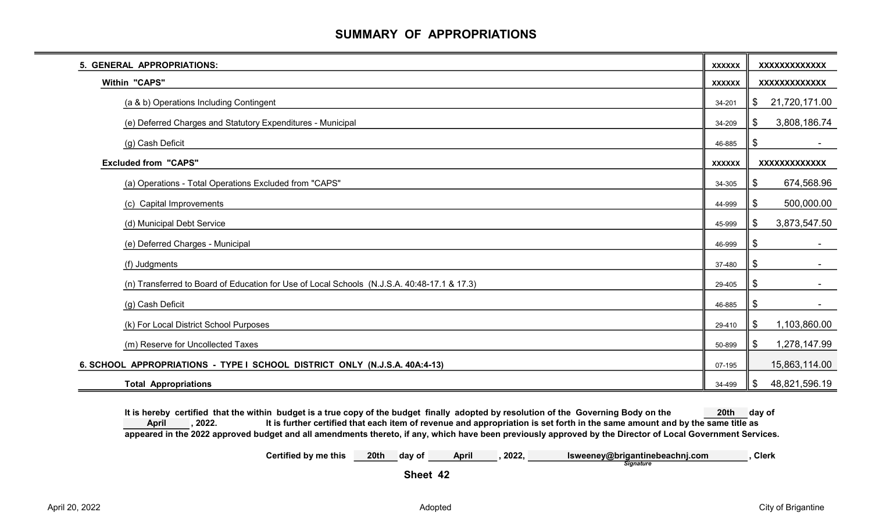## SUMMARY OF APPROPRIATIONS

| 5. GENERAL APPROPRIATIONS:                                                                  | <b>XXXXXX</b> | XXXXXXXXXXXX        |
|---------------------------------------------------------------------------------------------|---------------|---------------------|
| <b>Within "CAPS"</b>                                                                        | <b>XXXXXX</b> | XXXXXXXXXXXX        |
| (a & b) Operations Including Contingent                                                     | 34-201        | 21,720,171.00<br>\$ |
| (e) Deferred Charges and Statutory Expenditures - Municipal                                 | 34-209        | 3,808,186.74<br>\$  |
| (g) Cash Deficit                                                                            | 46-885        | \$                  |
| <b>Excluded from "CAPS"</b>                                                                 | <b>XXXXXX</b> | XXXXXXXXXXXX        |
| (a) Operations - Total Operations Excluded from "CAPS"                                      | 34-305        | 674,568.96<br>\$    |
| (c) Capital Improvements                                                                    | 44-999        | 500,000.00<br>\$    |
| (d) Municipal Debt Service                                                                  | 45-999        | 3,873,547.50<br>\$  |
| (e) Deferred Charges - Municipal                                                            | 46-999        | \$                  |
| (f) Judgments                                                                               | 37-480        | \$                  |
| (n) Transferred to Board of Education for Use of Local Schools (N.J.S.A. 40:48-17.1 & 17.3) | 29-405        | \$                  |
| (g) Cash Deficit                                                                            | 46-885        | \$                  |
| (k) For Local District School Purposes                                                      | 29-410        | 1,103,860.00<br>\$  |
| (m) Reserve for Uncollected Taxes                                                           | 50-899        | 1,278,147.99<br>\$  |
| 6. SCHOOL APPROPRIATIONS - TYPE I SCHOOL DISTRICT ONLY (N.J.S.A. 40A:4-13)                  | 07-195        | 15,863,114.00       |
| <b>Total Appropriations</b>                                                                 | 34-499        | 48,821,596.19<br>\$ |

It is hereby certified that the within budget is a true copy of the budget finally adopted by resolution of the Governing Body on the 20th day of , 2022. It is further certified that each item of revenue and appropriation is set forth in the same amount and by the same title as appeared in the 2022 approved budget and all amendments thereto, if any, which have been previously approved by the Director of Local Government Services. April

> Certified by me this 20th day of April ,2022, Isweeney@brigantinebeachnj.com ,Clerk **Signature**

Sheet 42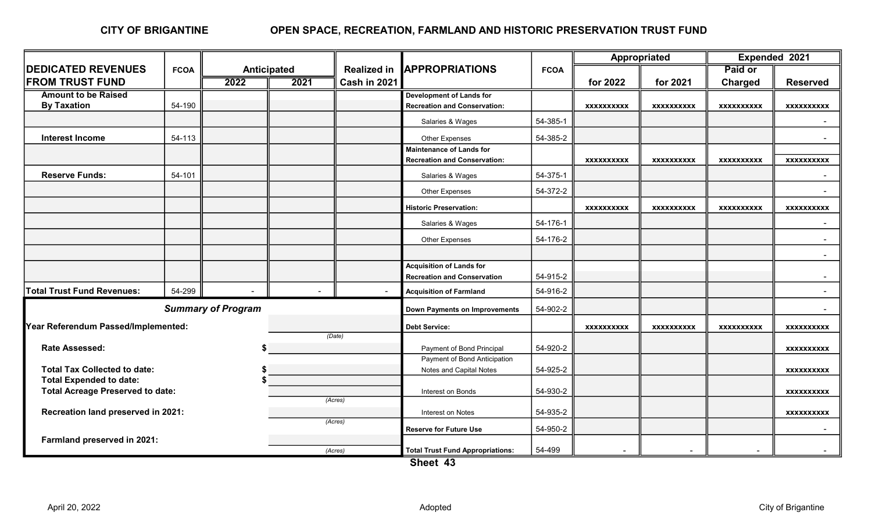## OPEN SPACE, RECREATION, FARMLAND AND HISTORIC PRESERVATION TRUST FUND

|                                                    |             |                           |      |                    |                                         |             | Appropriated      |                   | Expended 2021     |                   |
|----------------------------------------------------|-------------|---------------------------|------|--------------------|-----------------------------------------|-------------|-------------------|-------------------|-------------------|-------------------|
| <b>DEDICATED REVENUES</b>                          | <b>FCOA</b> | <b>Anticipated</b>        |      | <b>Realized in</b> | <b>IAPPROPRIATIONS</b>                  | <b>FCOA</b> |                   |                   | Paid or           |                   |
| <b>FROM TRUST FUND</b>                             |             | $\overline{2022}$         | 2021 | Cash in 2021       |                                         |             | for 2022          | for 2021          | <b>Charged</b>    | <b>Reserved</b>   |
| <b>Amount to be Raised</b>                         |             |                           |      |                    | <b>Development of Lands for</b>         |             |                   |                   |                   |                   |
| <b>By Taxation</b>                                 | 54-190      |                           |      |                    | <b>Recreation and Conservation:</b>     |             | <b>XXXXXXXXXX</b> | <b>XXXXXXXXXX</b> | <b>XXXXXXXXXX</b> | <b>XXXXXXXXXX</b> |
|                                                    |             |                           |      |                    | Salaries & Wages                        | 54-385-1    |                   |                   |                   |                   |
| <b>Interest Income</b>                             | 54-113      |                           |      |                    | Other Expenses                          | 54-385-2    |                   |                   |                   |                   |
|                                                    |             |                           |      |                    | <b>Maintenance of Lands for</b>         |             |                   |                   |                   |                   |
|                                                    |             |                           |      |                    | <b>Recreation and Conservation:</b>     |             | <b>XXXXXXXXXX</b> | <b>XXXXXXXXXX</b> | <b>XXXXXXXXXX</b> | <b>XXXXXXXXXX</b> |
| <b>Reserve Funds:</b>                              | 54-101      |                           |      |                    | Salaries & Wages                        | 54-375-1    |                   |                   |                   |                   |
|                                                    |             |                           |      |                    | Other Expenses                          | 54-372-2    |                   |                   |                   |                   |
|                                                    |             |                           |      |                    | <b>Historic Preservation:</b>           |             | <b>XXXXXXXXXX</b> | <b>XXXXXXXXXX</b> | <b>XXXXXXXXXX</b> | XXXXXXXXXX        |
|                                                    |             |                           |      |                    | Salaries & Wages                        | 54-176-1    |                   |                   |                   |                   |
|                                                    |             |                           |      |                    | Other Expenses                          | 54-176-2    |                   |                   |                   | $\sim$            |
|                                                    |             |                           |      |                    |                                         |             |                   |                   |                   | $\sim$            |
|                                                    |             |                           |      |                    | <b>Acquisition of Lands for</b>         |             |                   |                   |                   |                   |
|                                                    |             |                           |      |                    | <b>Recreation and Conservation</b>      | 54-915-2    |                   |                   |                   | $\sim$            |
| <b>Total Trust Fund Revenues:</b>                  | 54-299      |                           |      | $\sim$             | <b>Acquisition of Farmland</b>          | 54-916-2    |                   |                   |                   | $\sim$            |
|                                                    |             | <b>Summary of Program</b> |      |                    | <b>Down Payments on Improvements</b>    | 54-902-2    |                   |                   |                   | $\sim$            |
| Year Referendum Passed/Implemented:                |             |                           |      |                    | <b>Debt Service:</b>                    |             | <b>XXXXXXXXXX</b> | <b>XXXXXXXXXX</b> | <b>XXXXXXXXXX</b> | <b>XXXXXXXXXX</b> |
|                                                    |             |                           |      | (Date)             |                                         |             |                   |                   |                   |                   |
| <b>Rate Assessed:</b>                              |             |                           |      |                    | Payment of Bond Principal               | 54-920-2    |                   |                   |                   | <b>XXXXXXXXXX</b> |
|                                                    |             |                           |      |                    | Payment of Bond Anticipation            |             |                   |                   |                   |                   |
| <b>Total Tax Collected to date:</b>                |             |                           |      |                    | Notes and Capital Notes                 | 54-925-2    |                   |                   |                   | <b>XXXXXXXXXX</b> |
| <b>Total Expended to date:</b>                     |             |                           |      |                    | Interest on Bonds                       | 54-930-2    |                   |                   |                   |                   |
| <b>Total Acreage Preserved to date:</b><br>(Acres) |             |                           |      |                    |                                         |             |                   |                   |                   | <b>XXXXXXXXXX</b> |
| Recreation land preserved in 2021:                 |             |                           |      |                    | Interest on Notes                       | 54-935-2    |                   |                   |                   | <b>XXXXXXXXXX</b> |
|                                                    |             |                           |      | (Acres)            | <b>Reserve for Future Use</b>           | 54-950-2    |                   |                   |                   |                   |
| Farmland preserved in 2021:                        |             |                           |      |                    |                                         |             |                   |                   |                   |                   |
|                                                    |             |                           |      | (Acres)            | <b>Total Trust Fund Appropriations:</b> | 54-499      |                   |                   |                   |                   |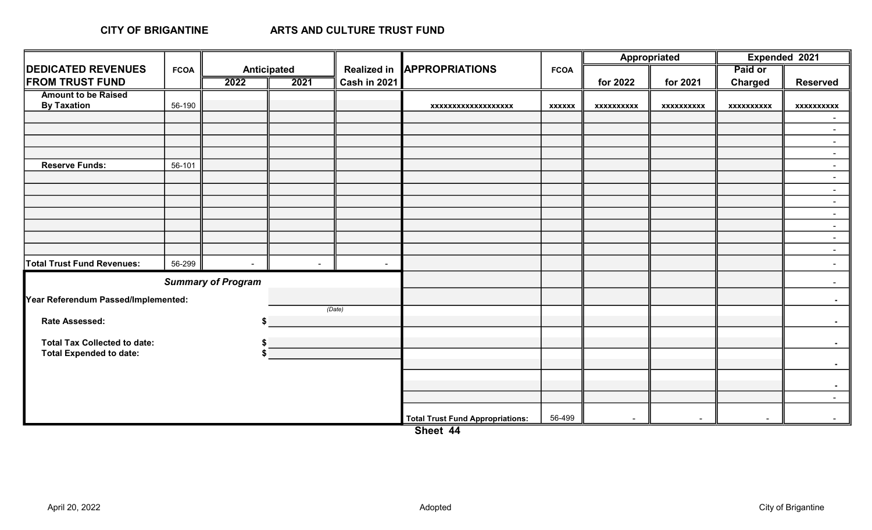### CITY OF BRIGANTINE

|                                     |             |                           |             |                    |                                         |               | Appropriated      |                | Expended 2021     |                  |
|-------------------------------------|-------------|---------------------------|-------------|--------------------|-----------------------------------------|---------------|-------------------|----------------|-------------------|------------------|
| <b>DEDICATED REVENUES</b>           | <b>FCOA</b> |                           | Anticipated | <b>Realized in</b> | <b>APPROPRIATIONS</b>                   | <b>FCOA</b>   |                   |                | Paid or           |                  |
| <b>FROM TRUST FUND</b>              |             | 2022                      | 2021        | Cash in 2021       |                                         |               | for 2022          | for 2021       | <b>Charged</b>    | <b>Reserved</b>  |
| <b>Amount to be Raised</b>          |             |                           |             |                    |                                         |               |                   |                |                   |                  |
| <b>By Taxation</b>                  | 56-190      |                           |             |                    | xxxxxxxxxxxxxxxxxx                      | <b>XXXXXX</b> | <b>XXXXXXXXXX</b> | xxxxxxxxxx     | <b>XXXXXXXXXX</b> | xxxxxxxxxx       |
|                                     |             |                           |             |                    |                                         |               |                   |                |                   | $\sim$           |
|                                     |             |                           |             |                    |                                         |               |                   |                |                   | $\sim$           |
|                                     |             |                           |             |                    |                                         |               |                   |                |                   | $\sim$           |
|                                     |             |                           |             |                    |                                         |               |                   |                |                   | $\sim$           |
| <b>Reserve Funds:</b>               | 56-101      |                           |             |                    |                                         |               |                   |                |                   | $\sim$           |
|                                     |             |                           |             |                    |                                         |               |                   |                |                   | $\sim$           |
|                                     |             |                           |             |                    |                                         |               |                   |                |                   | $\sim$           |
|                                     |             |                           |             |                    |                                         |               |                   |                |                   | $\sim$           |
|                                     |             |                           |             |                    |                                         |               |                   |                |                   | $\sim$           |
|                                     |             |                           |             |                    |                                         |               |                   |                |                   | $\sim$           |
|                                     |             |                           |             |                    |                                         |               |                   |                |                   | $\sim$           |
|                                     |             |                           |             |                    |                                         |               |                   |                |                   | $\sim$ $-$       |
| <b>Total Trust Fund Revenues:</b>   | 56-299      | $\blacksquare$            | $\sim$      | $\sim$             |                                         |               |                   |                |                   | $\sim$           |
|                                     |             | <b>Summary of Program</b> |             |                    |                                         |               |                   |                |                   | $\sim$           |
| Year Referendum Passed/Implemented: |             |                           |             |                    |                                         |               |                   |                |                   | $\sim$ $-$       |
|                                     |             |                           |             | (Date)             |                                         |               |                   |                |                   |                  |
| Rate Assessed:                      |             |                           |             |                    |                                         |               |                   |                |                   | $\sim 100$       |
| <b>Total Tax Collected to date:</b> |             |                           |             |                    |                                         |               |                   |                |                   | $\sim$ 10 $\pm$  |
| <b>Total Expended to date:</b>      |             |                           |             |                    |                                         |               |                   |                |                   |                  |
|                                     |             |                           |             |                    |                                         |               |                   |                |                   | $\sim$ $-$       |
|                                     |             |                           |             |                    |                                         |               |                   |                |                   |                  |
|                                     |             |                           |             |                    |                                         |               |                   |                |                   | $\sim$ $-$       |
|                                     |             |                           |             |                    |                                         |               |                   |                |                   | $\Delta \sim 10$ |
|                                     |             |                           |             |                    | <b>Total Trust Fund Appropriations:</b> | 56-499        |                   | $\blacksquare$ |                   |                  |

Sheet 44